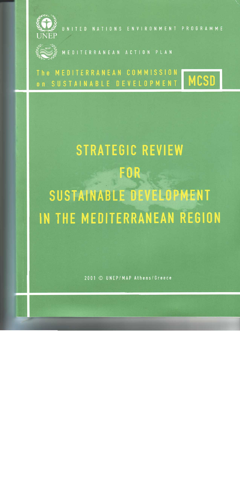

UNITED NATIONS ENVIRONMENT PROGRAMME



MEDITERRANEAN ACTION PLAN

The MEDITERRANEAN COMMISSION ON SUSTAINABLE DEVELOPMENT



# **STRATEGIC REVIEW** FOR SUSTAINABLE DEVELOPMENT IN THE MEDITERRANEAN REGION

2001 © UNEP/MAP Athens/Greece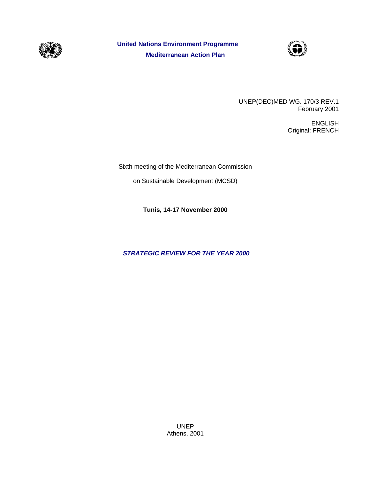

**United Nations Environment Programme Mediterranean Action Plan** 



UNEP(DEC)MED WG. 170/3 REV.1 February 2001

> ENGLISH Original: FRENCH

Sixth meeting of the Mediterranean Commission

on Sustainable Development (MCSD)

**Tunis, 14-17 November 2000** 

 *STRATEGIC REVIEW FOR THE YEAR 2000* 

UNEP Athens, 2001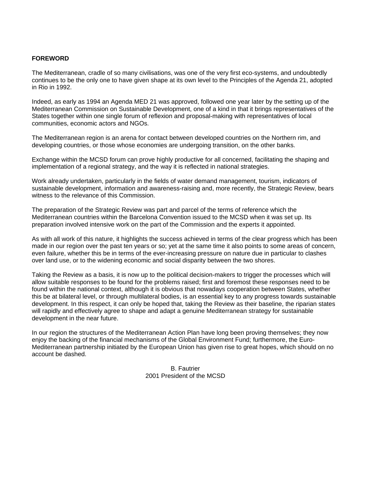## **FOREWORD**

The Mediterranean, cradle of so many civilisations, was one of the very first eco-systems, and undoubtedly continues to be the only one to have given shape at its own level to the Principles of the Agenda 21, adopted in Rio in 1992.

Indeed, as early as 1994 an Agenda MED 21 was approved, followed one year later by the setting up of the Mediterranean Commission on Sustainable Development, one of a kind in that it brings representatives of the States together within one single forum of reflexion and proposal-making with representatives of local communities, economic actors and NGOs.

The Mediterranean region is an arena for contact between developed countries on the Northern rim, and developing countries, or those whose economies are undergoing transition, on the other banks.

Exchange within the MCSD forum can prove highly productive for all concerned, facilitating the shaping and implementation of a regional strategy, and the way it is reflected in national strategies.

Work already undertaken, particularly in the fields of water demand management, tourism, indicators of sustainable development, information and awareness-raising and, more recently, the Strategic Review, bears witness to the relevance of this Commission.

The preparation of the Strategic Review was part and parcel of the terms of reference which the Mediterranean countries within the Barcelona Convention issued to the MCSD when it was set up. Its preparation involved intensive work on the part of the Commission and the experts it appointed.

As with all work of this nature, it highlights the success achieved in terms of the clear progress which has been made in our region over the past ten years or so; yet at the same time it also points to some areas of concern, even failure, whether this be in terms of the ever-increasing pressure on nature due in particular to clashes over land use, or to the widening economic and social disparity between the two shores.

Taking the Review as a basis, it is now up to the political decision-makers to trigger the processes which will allow suitable responses to be found for the problems raised; first and foremost these responses need to be found within the national context, although it is obvious that nowadays cooperation between States, whether this be at bilateral level, or through multilateral bodies, is an essential key to any progress towards sustainable development. In this respect, it can only be hoped that, taking the Review as their baseline, the riparian states will rapidly and effectively agree to shape and adapt a genuine Mediterranean strategy for sustainable development in the near future.

In our region the structures of the Mediterranean Action Plan have long been proving themselves; they now enjoy the backing of the financial mechanisms of the Global Environment Fund; furthermore, the Euro-Mediterranean partnership initiated by the European Union has given rise to great hopes, which should on no account be dashed.

> B. Fautrier 2001 President of the MCSD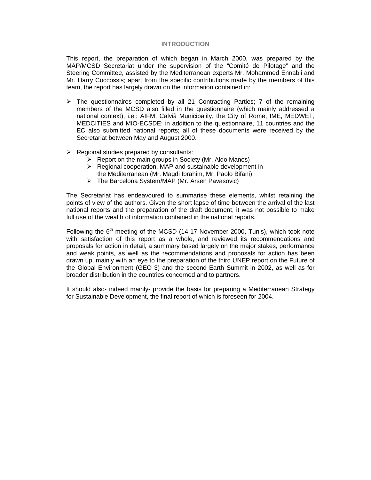#### **INTRODUCTION**

This report, the preparation of which began in March 2000, was prepared by the MAP/MCSD Secretariat under the supervision of the "Comité de Pilotage" and the Steering Committee, assisted by the Mediterranean experts Mr. Mohammed Ennabli and Mr. Harry Coccossis; apart from the specific contributions made by the members of this team, the report has largely drawn on the information contained in:

- $\triangleright$  The questionnaires completed by all 21 Contracting Parties; 7 of the remaining members of the MCSD also filled in the questionnaire (which mainly addressed a national context), i.e.: AIFM, Calvià Municipality, the City of Rome, IME, MEDWET, MEDCITIES and MIO-ECSDE; in addition to the questionnaire, 11 countries and the EC also submitted national reports; all of these documents were received by the Secretariat between May and August 2000.
- $\triangleright$  Regional studies prepared by consultants:
	- $\triangleright$  Report on the main groups in Society (Mr. Aldo Manos)
	- $\triangleright$  Regional cooperation, MAP and sustainable development in the Mediterranean (Mr. Magdi Ibrahim, Mr. Paolo Bifani)
	- ¾ The Barcelona System/MAP (Mr. Arsen Pavasovic)

The Secretariat has endeavoured to summarise these elements, whilst retaining the points of view of the authors. Given the short lapse of time between the arrival of the last national reports and the preparation of the draft document, it was not possible to make full use of the wealth of information contained in the national reports.

Following the  $6<sup>th</sup>$  meeting of the MCSD (14-17 November 2000, Tunis), which took note with satisfaction of this report as a whole, and reviewed its recommendations and proposals for action in detail, a summary based largely on the major stakes, performance and weak points, as well as the recommendations and proposals for action has been drawn up, mainly with an eye to the preparation of the third UNEP report on the Future of the Global Environment (GEO 3) and the second Earth Summit in 2002, as well as for broader distribution in the countries concerned and to partners.

It should also- indeed mainly- provide the basis for preparing a Mediterranean Strategy for Sustainable Development, the final report of which is foreseen for 2004.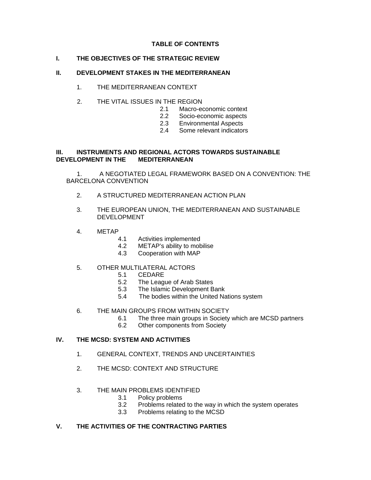## **TABLE OF CONTENTS**

## **I. THE OBJECTIVES OF THE STRATEGIC REVIEW**

## **II. DEVELOPMENT STAKES IN THE MEDITERRANEAN**

- 1. THE MEDITERRANEAN CONTEXT
- 2. THE VITAL ISSUES IN THE REGION
	- 2.1 Macro-economic context
	- 2.2 Socio-economic aspects<br>2.3 Environmental Aspects
	- 2.3 Environmental Aspects<br>2.4 Some relevant indicator
	- Some relevant indicators

## **III. INSTRUMENTS AND REGIONAL ACTORS TOWARDS SUSTAINABLE DEVELOPMENT IN THE MEDITERRANEAN**

 1. A NEGOTIATED LEGAL FRAMEWORK BASED ON A CONVENTION: THE BARCELONA CONVENTION

- 2. A STRUCTURED MEDITERRANEAN ACTION PLAN
- 3. THE EUROPEAN UNION, THE MEDITERRANEAN AND SUSTAINABLE DEVELOPMENT
- 4. METAP
	- 4.1 Activities implemented
	- 4.2 METAP's ability to mobilise
	- 4.3 Cooperation with MAP

## 5. OTHER MULTILATERAL ACTORS

- 5.1 CEDARE
- 5.2 The League of Arab States<br>5.3 The Islamic Development B
- The Islamic Development Bank
- 5.4 The bodies within the United Nations system
- 6. THE MAIN GROUPS FROM WITHIN SOCIETY
	- 6.1 The three main groups in Society which are MCSD partners
		- 6.2 Other components from Society

## **IV. THE MCSD: SYSTEM AND ACTIVITIES**

- 1. GENERAL CONTEXT, TRENDS AND UNCERTAINTIES
- 2. THE MCSD: CONTEXT AND STRUCTURE
- 3. THE MAIN PROBLEMS IDENTIFIED
	- 3.1 Policy problems
	- 3.2 Problems related to the way in which the system operates
	- 3.3 Problems relating to the MCSD

## **V. THE ACTIVITIES OF THE CONTRACTING PARTIES**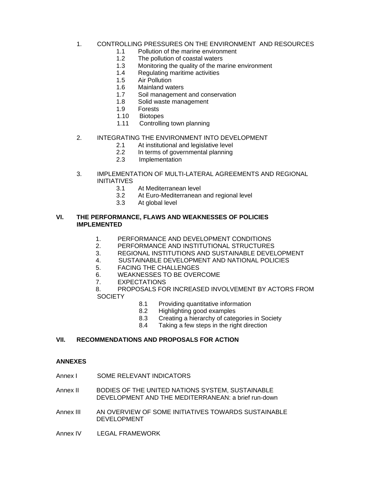- 1. CONTROLLING PRESSURES ON THE ENVIRONMENT AND RESOURCES
	- 1.1 Pollution of the marine environment
	- 1.2 The pollution of coastal waters
	- 1.3 Monitoring the quality of the marine environment
	- 1.4 Regulating maritime activities
	- 1.5 Air Pollution
	- 1.6 Mainland waters
	- 1.7 Soil management and conservation
	- 1.8 Solid waste management
	- 1.9 Forests
	- 1.10 Biotopes
	- 1.11 Controlling town planning

## 2. INTEGRATING THE ENVIRONMENT INTO DEVELOPMENT

- 2.1 At institutional and legislative level
- 2.2 In terms of governmental planning
- 2.3 Implementation
- 3. IMPLEMENTATION OF MULTI-LATERAL AGREEMENTS AND REGIONAL INITIATIVES
	- 3.1 At Mediterranean level
	- 3.2 At Euro-Mediterranean and regional level
	- 3.3 At global level

## **VI. THE PERFORMANCE, FLAWS AND WEAKNESSES OF POLICIES IMPLEMENTED**

- 1. PERFORMANCE AND DEVELOPMENT CONDITIONS
- 2. PERFORMANCE AND INSTITUTIONAL STRUCTURES
- 3. REGIONAL INSTITUTIONS AND SUSTAINABLE DEVELOPMENT
- 4. SUSTAINABLE DEVELOPMENT AND NATIONAL POLICIES
- 5. FACING THE CHALLENGES
- 6. WEAKNESSES TO BE OVERCOME
- 7. EXPECTATIONS

 8. PROPOSALS FOR INCREASED INVOLVEMENT BY ACTORS FROM **SOCIETY** 

- 8.1 Providing quantitative information
- 8.2 Highlighting good examples
- 8.3 Creating a hierarchy of categories in Society
- 8.4 Taking a few steps in the right direction

## **VII. RECOMMENDATIONS AND PROPOSALS FOR ACTION**

## **ANNEXES**

- Annex I SOME RELEVANT INDICATORS
- Annex II BODIES OF THE UNITED NATIONS SYSTEM, SUSTAINABLE DEVELOPMENT AND THE MEDITERRANEAN: a brief run-down
- Annex III AN OVERVIEW OF SOME INITIATIVES TOWARDS SUSTAINABLE DEVELOPMENT
- Annex IV LEGAL FRAMEWORK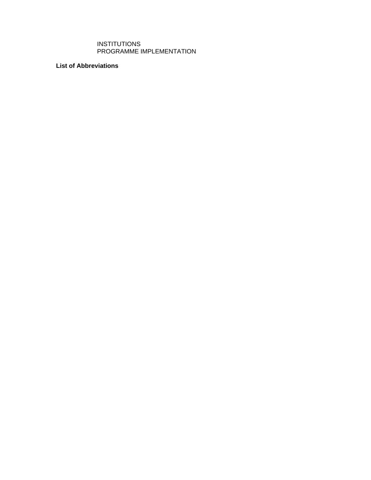## INSTITUTIONS PROGRAMME IMPLEMENTATION

**List of Abbreviations**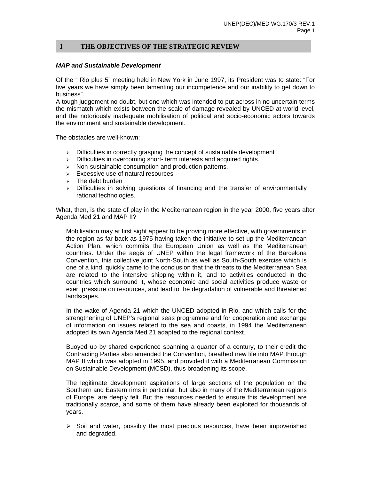# **1. THE OBJECTIVES OF THE STRATEGIC REVIEW I THE OBJECTIVES OF THE STRATEGIC REVIEW**

#### *MAP and Sustainable Development*

Of the " Rio plus 5" meeting held in New York in June 1997, its President was to state: "For five years we have simply been lamenting our incompetence and our inability to get down to business".

A tough judgement no doubt, but one which was intended to put across in no uncertain terms the mismatch which exists between the scale of damage revealed by UNCED at world level, and the notoriously inadequate mobilisation of political and socio-economic actors towards the environment and sustainable development.

The obstacles are well-known:

- $\geq$  Difficulties in correctly grasping the concept of sustainable development
- $\geq$  Difficulties in overcoming short- term interests and acquired rights.
- $\triangleright$  Non-sustainable consumption and production patterns.
- $\geq$  Excessive use of natural resources
- $\geq$  The debt burden
- ¾ Difficulties in solving questions of financing and the transfer of environmentally rational technologies.

What, then, is the state of play in the Mediterranean region in the year 2000, five years after Agenda Med 21 and MAP II?

Mobilisation may at first sight appear to be proving more effective, with governments in the region as far back as 1975 having taken the initiative to set up the Mediterranean Action Plan, which commits the European Union as well as the Mediterranean countries. Under the aegis of UNEP within the legal framework of the Barcelona Convention, this collective joint North-South as well as South-South exercise which is one of a kind, quickly came to the conclusion that the threats to the Mediterranean Sea are related to the intensive shipping within it, and to activities conducted in the countries which surround it, whose economic and social activities produce waste or exert pressure on resources, and lead to the degradation of vulnerable and threatened landscapes.

In the wake of Agenda 21 which the UNCED adopted in Rio, and which calls for the strengthening of UNEP's regional seas programme and for cooperation and exchange of information on issues related to the sea and coasts, in 1994 the Mediterranean adopted its own Agenda Med 21 adapted to the regional context.

Buoyed up by shared experience spanning a quarter of a century, to their credit the Contracting Parties also amended the Convention, breathed new life into MAP through MAP II which was adopted in 1995, and provided it with a Mediterranean Commission on Sustainable Development (MCSD), thus broadening its scope.

The legitimate development aspirations of large sections of the population on the Southern and Eastern rims in particular, but also in many of the Mediterranean regions of Europe, are deeply felt. But the resources needed to ensure this development are traditionally scarce, and some of them have already been exploited for thousands of years.

 $\triangleright$  Soil and water, possibly the most precious resources, have been impoverished and degraded.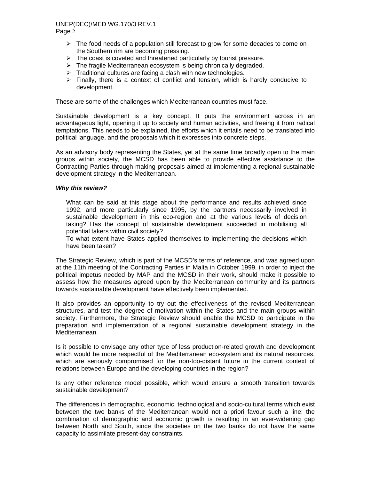- $\triangleright$  The food needs of a population still forecast to grow for some decades to come on the Southern rim are becoming pressing.
- $\triangleright$  The coast is coveted and threatened particularly by tourist pressure.
- $\triangleright$  The fragile Mediterranean ecosystem is being chronically degraded.
- $\triangleright$  Traditional cultures are facing a clash with new technologies.
- $\triangleright$  Finally, there is a context of conflict and tension, which is hardly conducive to development.

These are some of the challenges which Mediterranean countries must face.

Sustainable development is a key concept. It puts the environment across in an advantageous light, opening it up to society and human activities, and freeing it from radical temptations. This needs to be explained, the efforts which it entails need to be translated into political language, and the proposals which it expresses into concrete steps.

As an advisory body representing the States, yet at the same time broadly open to the main groups within society, the MCSD has been able to provide effective assistance to the Contracting Parties through making proposals aimed at implementing a regional sustainable development strategy in the Mediterranean.

## *Why this review?*

What can be said at this stage about the performance and results achieved since 1992, and more particularly since 1995, by the partners necessarily involved in sustainable development in this eco-region and at the various levels of decision taking? Has the concept of sustainable development succeeded in mobilising all potential takers within civil society?

To what extent have States applied themselves to implementing the decisions which have been taken?

The Strategic Review, which is part of the MCSD's terms of reference, and was agreed upon at the 11th meeting of the Contracting Parties in Malta in October 1999, in order to inject the political impetus needed by MAP and the MCSD in their work, should make it possible to assess how the measures agreed upon by the Mediterranean community and its partners towards sustainable development have effectively been implemented.

It also provides an opportunity to try out the effectiveness of the revised Mediterranean structures, and test the degree of motivation within the States and the main groups within society. Furthermore, the Strategic Review should enable the MCSD to participate in the preparation and implementation of a regional sustainable development strategy in the Mediterranean.

Is it possible to envisage any other type of less production-related growth and development which would be more respectful of the Mediterranean eco-system and its natural resources, which are seriously compromised for the non-too-distant future in the current context of relations between Europe and the developing countries in the region?

Is any other reference model possible, which would ensure a smooth transition towards sustainable development?

The differences in demographic, economic, technological and socio-cultural terms which exist between the two banks of the Mediterranean would not a priori favour such a line: the combination of demographic and economic growth is resulting in an ever-widening gap between North and South, since the societies on the two banks do not have the same capacity to assimilate present-day constraints.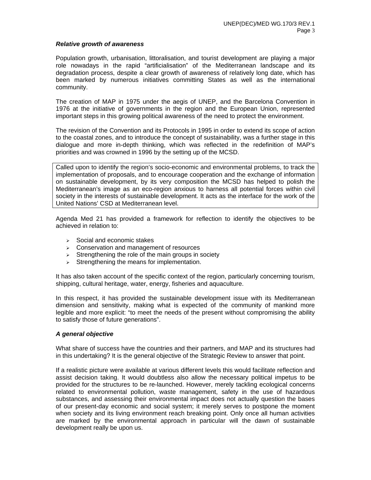## *Relative growth of awareness*

Population growth, urbanisation, littoralisation, and tourist development are playing a major role nowadays in the rapid "artificialisation" of the Mediterranean landscape and its degradation process, despite a clear growth of awareness of relatively long date, which has been marked by numerous initiatives committing States as well as the international community.

The creation of MAP in 1975 under the aegis of UNEP, and the Barcelona Convention in 1976 at the initiative of governments in the region and the European Union, represented important steps in this growing political awareness of the need to protect the environment.

The revision of the Convention and its Protocols in 1995 in order to extend its scope of action to the coastal zones, and to introduce the concept of sustainability, was a further stage in this dialogue and more in-depth thinking, which was reflected in the redefinition of MAP's priorities and was crowned in 1996 by the setting up of the MCSD.

Called upon to identify the region's socio-economic and environmental problems, to track the implementation of proposals, and to encourage cooperation and the exchange of information on sustainable development, by its very composition the MCSD has helped to polish the Mediterranean's image as an eco-region anxious to harness all potential forces within civil society in the interests of sustainable development. It acts as the interface for the work of the United Nations' CSD at Mediterranean level.

Agenda Med 21 has provided a framework for reflection to identify the objectives to be achieved in relation to:

- ¾ Social and economic stakes
- $\geq$  Conservation and management of resources
- $\triangleright$  Strengthening the role of the main groups in society
- $\geq$  Strengthening the means for implementation.

It has also taken account of the specific context of the region, particularly concerning tourism, shipping, cultural heritage, water, energy, fisheries and aquaculture.

In this respect, it has provided the sustainable development issue with its Mediterranean dimension and sensitivity, making what is expected of the community of mankind more legible and more explicit: "to meet the needs of the present without compromising the ability to satisfy those of future generations".

## *A general objective*

What share of success have the countries and their partners, and MAP and its structures had in this undertaking? It is the general objective of the Strategic Review to answer that point.

If a realistic picture were available at various different levels this would facilitate reflection and assist decision taking. It would doubtless also allow the necessary political impetus to be provided for the structures to be re-launched. However, merely tackling ecological concerns related to environmental pollution, waste management, safety in the use of hazardous substances, and assessing their environmental impact does not actually question the bases of our present-day economic and social system; it merely serves to postpone the moment when society and its living environment reach breaking point. Only once all human activities are marked by the environmental approach in particular will the dawn of sustainable development really be upon us.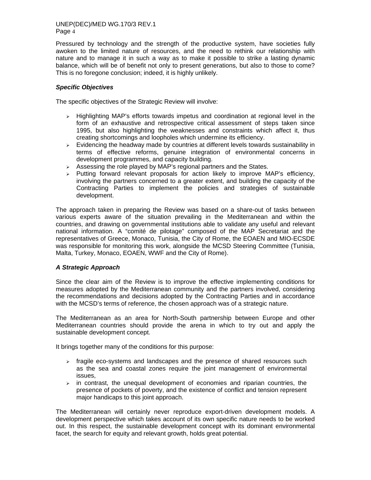Pressured by technology and the strength of the productive system, have societies fully awoken to the limited nature of resources, and the need to rethink our relationship with nature and to manage it in such a way as to make it possible to strike a lasting dynamic balance, which will be of benefit not only to present generations, but also to those to come? This is no foregone conclusion; indeed, it is highly unlikely.

## *Specific Objectives*

The specific objectives of the Strategic Review will involve:

- $\triangleright$  Highlighting MAP's efforts towards impetus and coordination at regional level in the form of an exhaustive and retrospective critical assessment of steps taken since 1995, but also highlighting the weaknesses and constraints which affect it, thus creating shortcomings and loopholes which undermine its efficiency.
- $\triangleright$  Evidencing the headway made by countries at different levels towards sustainability in terms of effective reforms, genuine integration of environmental concerns in development programmes, and capacity building.
- ¾ Assessing the role played by MAP's regional partners and the States.
- $\triangleright$  Putting forward relevant proposals for action likely to improve MAP's efficiency, involving the partners concerned to a greater extent, and building the capacity of the Contracting Parties to implement the policies and strategies of sustainable development.

The approach taken in preparing the Review was based on a share-out of tasks between various experts aware of the situation prevailing in the Mediterranean and within the countries, and drawing on governmental institutions able to validate any useful and relevant national information. A "comité de pilotage" composed of the MAP Secretariat and the representatives of Greece, Monaco, Tunisia, the City of Rome, the EOAEN and MIO-ECSDE was responsible for monitoring this work, alongside the MCSD Steering Committee (Tunisia, Malta, Turkey, Monaco, EOAEN, WWF and the City of Rome).

## *A Strategic Approach*

Since the clear aim of the Review is to improve the effective implementing conditions for measures adopted by the Mediterranean community and the partners involved, considering the recommendations and decisions adopted by the Contracting Parties and in accordance with the MCSD's terms of reference, the chosen approach was of a strategic nature.

The Mediterranean as an area for North-South partnership between Europe and other Mediterranean countries should provide the arena in which to try out and apply the sustainable development concept.

It brings together many of the conditions for this purpose:

- $\triangleright$  fragile eco-systems and landscapes and the presence of shared resources such as the sea and coastal zones require the joint management of environmental issues,
- $\triangleright$  in contrast, the unequal development of economies and riparian countries, the presence of pockets of poverty, and the existence of conflict and tension represent major handicaps to this joint approach.

The Mediterranean will certainly never reproduce export-driven development models. A development perspective which takes account of its own specific nature needs to be worked out. In this respect, the sustainable development concept with its dominant environmental facet, the search for equity and relevant growth, holds great potential.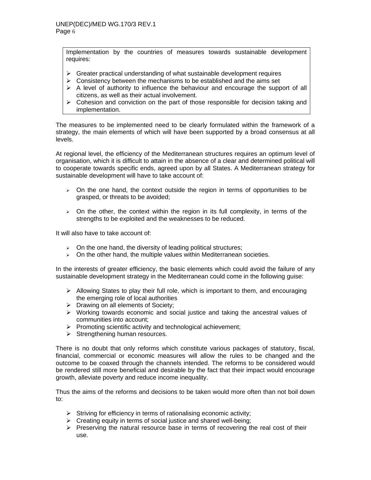Implementation by the countries of measures towards sustainable development requires:

- $\triangleright$  Greater practical understanding of what sustainable development requires
- $\triangleright$  Consistency between the mechanisms to be established and the aims set
- $\triangleright$  A level of authority to influence the behaviour and encourage the support of all citizens, as well as their actual involvement.
- $\triangleright$  Cohesion and conviction on the part of those responsible for decision taking and implementation.

The measures to be implemented need to be clearly formulated within the framework of a strategy, the main elements of which will have been supported by a broad consensus at all levels.

At regional level, the efficiency of the Mediterranean structures requires an optimum level of organisation, which it is difficult to attain in the absence of a clear and determined political will to cooperate towards specific ends, agreed upon by all States. A Mediterranean strategy for sustainable development will have to take account of:

- $\geq$  On the one hand, the context outside the region in terms of opportunities to be grasped, or threats to be avoided;
- $\geq$  On the other, the context within the region in its full complexity, in terms of the strengths to be exploited and the weaknesses to be reduced.

It will also have to take account of:

- $\geq$  On the one hand, the diversity of leading political structures;
- $\geq$  On the other hand, the multiple values within Mediterranean societies.

In the interests of greater efficiency, the basic elements which could avoid the failure of any sustainable development strategy in the Mediterranean could come in the following guise:

- $\triangleright$  Allowing States to play their full role, which is important to them, and encouraging the emerging role of local authorities
- $\triangleright$  Drawing on all elements of Society;
- $\triangleright$  Working towards economic and social justice and taking the ancestral values of communities into account;
- ¾ Promoting scientific activity and technological achievement;
- $\triangleright$  Strengthening human resources.

There is no doubt that only reforms which constitute various packages of statutory, fiscal, financial, commercial or economic measures will allow the rules to be changed and the outcome to be coaxed through the channels intended. The reforms to be considered would be rendered still more beneficial and desirable by the fact that their impact would encourage growth, alleviate poverty and reduce income inequality.

Thus the aims of the reforms and decisions to be taken would more often than not boil down to:

- $\triangleright$  Striving for efficiency in terms of rationalising economic activity;
- $\triangleright$  Creating equity in terms of social justice and shared well-being;
- $\triangleright$  Preserving the natural resource base in terms of recovering the real cost of their use.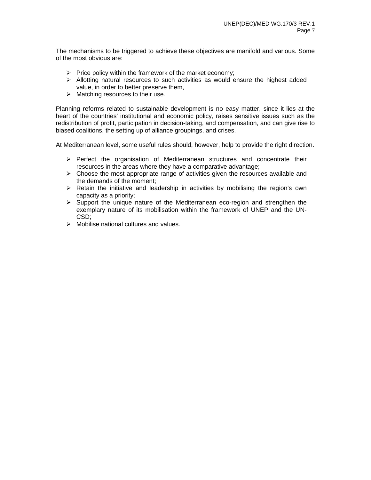The mechanisms to be triggered to achieve these objectives are manifold and various. Some of the most obvious are:

- $\triangleright$  Price policy within the framework of the market economy;
- $\triangleright$  Allotting natural resources to such activities as would ensure the highest added value, in order to better preserve them,
- $\triangleright$  Matching resources to their use.

Planning reforms related to sustainable development is no easy matter, since it lies at the heart of the countries' institutional and economic policy, raises sensitive issues such as the redistribution of profit, participation in decision-taking, and compensation, and can give rise to biased coalitions, the setting up of alliance groupings, and crises.

At Mediterranean level, some useful rules should, however, help to provide the right direction.

- $\triangleright$  Perfect the organisation of Mediterranean structures and concentrate their resources in the areas where they have a comparative advantage;
- $\triangleright$  Choose the most appropriate range of activities given the resources available and the demands of the moment;
- $\triangleright$  Retain the initiative and leadership in activities by mobilising the region's own capacity as a priority;
- ¾ Support the unique nature of the Mediterranean eco-region and strengthen the exemplary nature of its mobilisation within the framework of UNEP and the UN-CSD;
- $\triangleright$  Mobilise national cultures and values.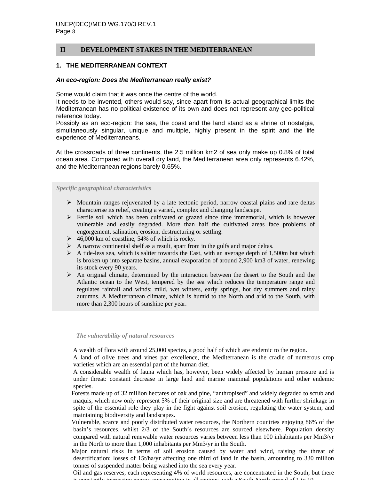## **II DEVELOPMENT STAKES IN THE MEDITERRANEAN II DEVELOPMENT STAKES IN THE MEDITERRANEAN**

## **1. THE MEDITERRANEAN CONTEXT**

#### *An eco-region: Does the Mediterranean really exist?*

Some would claim that it was once the centre of the world.

It needs to be invented, others would say, since apart from its actual geographical limits the Mediterranean has no political existence of its own and does not represent any geo-political reference today.

Possibly as an eco-region: the sea, the coast and the land stand as a shrine of nostalgia, simultaneously singular, unique and multiple, highly present in the spirit and the life experience of Mediterraneans.

At the crossroads of three continents, the 2.5 million km2 of sea only make up 0.8% of total ocean area. Compared with overall dry land, the Mediterranean area only represents 6.42%, and the Mediterranean regions barely 0.65%.

*Specific geographical characteristics* 

- $\triangleright$  Mountain ranges rejuvenated by a late tectonic period, narrow coastal plains and rare deltas characterise its relief, creating a varied, complex and changing landscape.
- $\triangleright$  Fertile soil which has been cultivated or grazed since time immemorial, which is however vulnerable and easily degraded. More than half the cultivated areas face problems of engorgement, salination, erosion, destructuring or settling.
- $\geq 46,000$  km of coastline, 54% of which is rocky.
- $\triangleright$  A narrow continental shelf as a result, apart from in the gulfs and major deltas.
- $\triangleright$  A tide-less sea, which is saltier towards the East, with an average depth of 1,500m but which is broken up into separate basins, annual evaporation of around 2,900 km3 of water, renewing its stock every 90 years.
- $\triangleright$  An original climate, determined by the interaction between the desert to the South and the Atlantic ocean to the West, tempered by the sea which reduces the temperature range and regulates rainfall and winds: mild, wet winters, early springs, hot dry summers and rainy autumns. A Mediterranean climate, which is humid to the North and arid to the South, with more than 2,300 hours of sunshine per year.

#### *The vulnerability of natural resources*

A wealth of flora with around 25,000 species, a good half of which are endemic to the region.

A land of olive trees and vines par excellence, the Mediterranean is the cradle of numerous crop varieties which are an essential part of the human diet.

A considerable wealth of fauna which has, however, been widely affected by human pressure and is under threat: constant decrease in large land and marine mammal populations and other endemic species.

Forests made up of 32 million hectares of oak and pine, "anthropised" and widely degraded to scrub and maquis, which now only represent 5% of their original size and are threatened with further shrinkage in spite of the essential role they play in the fight against soil erosion, regulating the water system, and maintaining biodiversity and landscapes.

Vulnerable, scarce and poorly distributed water resources, the Northern countries enjoying 86% of the basin's resources, whilst 2/3 of the South's resources are sourced elsewhere. Population density compared with natural renewable water resources varies between less than 100 inhabitants per Mm3/yr in the North to more than 1,000 inhabitants per Mm3/yr in the South.

 Major natural risks in terms of soil erosion caused by water and wind, raising the threat of desertification: losses of 15t/ha/yr affecting one third of land in the basin, amounting to 330 million tonnes of suspended matter being washed into the sea every year.

 Oil and gas reserves, each representing 4% of world resources, are concentrated in the South, but there is constantly increasing energy consumption in all regions with a South North spread of 1 to 10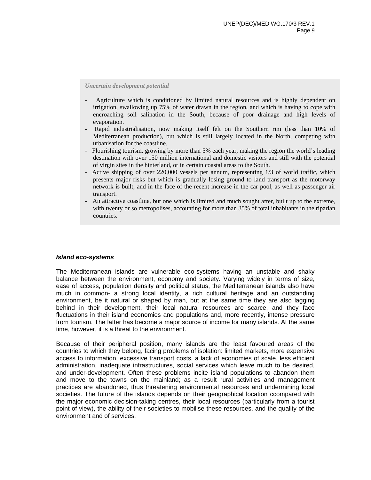*Uncertain development potential* 

- Agriculture which is conditioned by limited natural resources and is highly dependent on irrigation, swallowing up 75% of water drawn in the region, and which is having to cope with encroaching soil salination in the South, because of poor drainage and high levels of evaporation.
- Rapid industrialisation**,** now making itself felt on the Southern rim (less than 10% of Mediterranean production), but which is still largely located in the North, competing with urbanisation for the coastline.
- Flourishing tourism, growing by more than 5% each year, making the region the world's leading destination with over 150 million international and domestic visitors and still with the potential of virgin sites in the hinterland, or in certain coastal areas to the South.
- Active shipping of over 220,000 vessels per annum, representing 1/3 of world traffic, which presents major risks but which is gradually losing ground to land transport as the motorway network is built, and in the face of the recent increase in the car pool, as well as passenger air transport.
- An attractive coastline, but one which is limited and much sought after, built up to the extreme, with twenty or so metropolises, accounting for more than 35% of total inhabitants in the riparian countries.

## *Island eco-systems*

The Mediterranean islands are vulnerable eco-systems having an unstable and shaky balance between the environment, economy and society. Varying widely in terms of size, ease of access, population density and political status, the Mediterranean islands also have much in common- a strong local identity, a rich cultural heritage and an outstanding environment, be it natural or shaped by man, but at the same time they are also lagging behind in their development, their local natural resources are scarce, and they face fluctuations in their island economies and populations and, more recently, intense pressure from tourism. The latter has become a major source of income for many islands. At the same time, however, it is a threat to the environment.

Because of their peripheral position, many islands are the least favoured areas of the countries to which they belong, facing problems of isolation: limited markets, more expensive access to information, excessive transport costs, a lack of economies of scale, less efficient administration, inadequate infrastructures, social services which leave much to be desired, and under-development. Often these problems incite island populations to abandon them and move to the towns on the mainland; as a result rural activities and management practices are abandoned, thus threatening environmental resources and undermining local societies. The future of the islands depends on their geographical location ccompared with the major economic decision-taking centres, their local resources (particularly from a tourist point of view), the ability of their societies to mobilise these resources, and the quality of the environment and of services.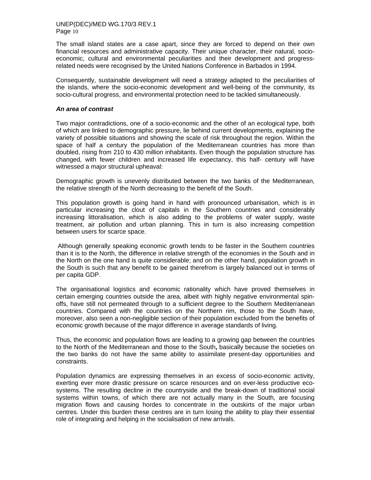The small island states are a case apart, since they are forced to depend on their own financial resources and administrative capacity. Their unique character, their natural, socioeconomic, cultural and environmental peculiarities and their development and progressrelated needs were recognised by the United Nations Conference in Barbados in 1994.

Consequently, sustainable development will need a strategy adapted to the peculiarities of the islands, where the socio-economic development and well-being of the community, its socio-cultural progress, and environmental protection need to be tackled simultaneously.

## *An area of contrast*

Two major contradictions, one of a socio-economic and the other of an ecological type, both of which are linked to demographic pressure, lie behind current developments, explaining the variety of possible situations and showing the scale of risk throughout the region. Within the space of half a century the population of the Mediterranean countries has more than doubled, rising from 210 to 430 million inhabitants. Even though the population structure has changed, with fewer children and increased life expectancy, this half- century will have witnessed a major structural upheaval:

Demographic growth is unevenly distributed between the two banks of the Mediterranean, the relative strength of the North decreasing to the benefit of the South.

This population growth is going hand in hand with pronounced urbanisation, which is in particular increasing the clout of capitals in the Southern countries and considerably increasing littoralisation, which is also adding to the problems of water supply, waste treatment, air pollution and urban planning. This in turn is also increasing competition between users for scarce space.

Although generally speaking economic growth tends to be faster in the Southern countries than it is to the North, the difference in relative strength of the economies in the South and in the North on the one hand is quite considerable; and on the other hand, population growth in the South is such that any benefit to be gained therefrom is largely balanced out in terms of per capita GDP.

The organisational logistics and economic rationality which have proved themselves in certain emerging countries outside the area, albeit with highly negative environmental spinoffs, have still not permeated through to a sufficient degree to the Southern Mediterranean countries. Compared with the countries on the Northern rim, those to the South have, moreover, also seen a non-negligible section of their population excluded from the benefits of economic growth because of the major difference in average standards of living.

Thus, the economic and population flows are leading to a growing gap between the countries to the North of the Mediterranean and those to the South**,** basically because the societies on the two banks do not have the same ability to assimilate present-day opportunities and constraints.

Population dynamics are expressing themselves in an excess of socio-economic activity, exerting ever more drastic pressure on scarce resources and on ever-less productive ecosystems. The resulting decline in the countryside and the break-down of traditional social systems within towns, of which there are not actually many in the South, are focusing migration flows and causing hordes to concentrate in the outskirts of the major urban centres. Under this burden these centres are in turn losing the ability to play their essential role of integrating and helping in the socialisation of new arrivals.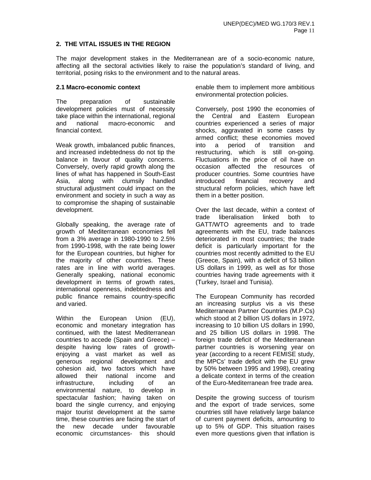## **2. THE VITAL ISSUES IN THE REGION**

The major development stakes in the Mediterranean are of a socio-economic nature, affecting all the sectoral activities likely to raise the population's standard of living, and territorial, posing risks to the environment and to the natural areas.

## **2.1 Macro-economic context**

The preparation of sustainable development policies must of necessity take place within the international, regional and national macro-economic and financial context.

Weak growth, imbalanced public finances, and increased indebtedness do not tip the balance in favour of quality concerns. Conversely, overly rapid growth along the lines of what has happened in South-East Asia, along with clumsily handled structural adjustment could impact on the environment and society in such a way as to compromise the shaping of sustainable development.

Globally speaking, the average rate of growth of Mediterranean economies fell from a 3% average in 1980-1990 to 2.5% from 1990-1998, with the rate being lower for the European countries, but higher for the majority of other countries. These rates are in line with world averages. Generally speaking, national economic development in terms of growth rates, international openness, indebtedness and public finance remains country-specific and varied.

Within the European Union (EU), economic and monetary integration has continued, with the latest Mediterranean countries to accede (Spain and Greece) – despite having low rates of growthenjoying a vast market as well as generous regional development and cohesion aid, two factors which have allowed their national income and infrastructure, including of an environmental nature, to develop in spectacular fashion; having taken on board the single currency, and enjoying major tourist development at the same time, these countries are facing the start of the new decade under favourable economic circumstances- this should enable them to implement more ambitious environmental protection policies.

Conversely, post 1990 the economies of the Central and Eastern European countries experienced a series of major shocks, aggravated in some cases by armed conflict; these economies moved into a period of transition and restructuring, which is still on-going. Fluctuations in the price of oil have on occasion affected the resources of producer countries. Some countries have introduced financial recovery and structural reform policies, which have left them in a better position.

Over the last decade, within a context of trade liberalisation linked both to GATT/WTO agreements and to trade agreements with the EU, trade balances deteriorated in most countries; the trade deficit is particularly important for the countries most recently admitted to the EU (Greece, Spain), with a deficit of 53 billion US dollars in 1999, as well as for those countries having trade agreements with it (Turkey, Israel and Tunisia).

The European Community has recorded an increasing surplus vis a vis these Mediterranean Partner Countries (M.P.Cs) which stood at 2 billion US dollars in 1972, increasing to 10 billion US dollars in 1990, and 25 billion US dollars in 1998. The foreign trade deficit of the Mediterranean partner countries is worsening year on year (according to a recent FEMISE study, the MPCs' trade deficit with the EU grew by 50% between 1995 and 1998), creating a delicate context in terms of the creation of the Euro-Mediterranean free trade area.

Despite the growing success of tourism and the export of trade services, some countries still have relatively large balance of current payment deficits, amounting to up to 5% of GDP. This situation raises even more questions given that inflation is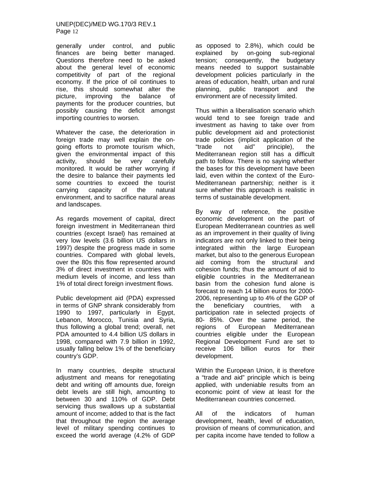generally under control, and public finances are being better managed. Questions therefore need to be asked about the general level of economic competitivity of part of the regional economy. If the price of oil continues to rise, this should somewhat alter the picture, improving the balance of payments for the producer countries, but possibly causing the deficit amongst importing countries to worsen.

Whatever the case, the deterioration in foreign trade may well explain the ongoing efforts to promote tourism which, given the environmental impact of this activity, should be very carefully monitored. It would be rather worrying if the desire to balance their payments led some countries to exceed the tourist carrying capacity of the natural environment, and to sacrifice natural areas and landscapes.

As regards movement of capital, direct foreign investment in Mediterranean third countries (except Israel) has remained at very low levels (3.6 billion US dollars in 1997) despite the progress made in some countries. Compared with global levels, over the 80s this flow represented around 3% of direct investment in countries with medium levels of income, and less than 1% of total direct foreign investment flows.

Public development aid (PDA) expressed in terms of GNP shrank considerably from 1990 to 1997, particularly in Egypt, Lebanon, Morocco, Tunisia and Syria, thus following a global trend; overall, net PDA amounted to 4.4 billion US dollars in 1998, compared with 7.9 billion in 1992, usually falling below 1% of the beneficiary country's GDP.

In many countries, despite structural adjustment and means for renegotiating debt and writing off amounts due, foreign debt levels are still high, amounting to between 30 and 110% of GDP. Debt servicing thus swallows up a substantial amount of income; added to that is the fact that throughout the region the average level of military spending continues to exceed the world average (4.2% of GDP

as opposed to 2.8%), which could be explained by on-going sub-regional tension; consequently, the budgetary means needed to support sustainable development policies particularly in the areas of education, health, urban and rural planning, public transport and the environment are of necessity limited.

Thus within a liberalisation scenario which would tend to see foreign trade and investment as having to take over from public development aid and protectionist trade policies (implicit application of the "trade not aid" principle), the Mediterranean region still has a difficult path to follow. There is no saying whether the bases for this development have been laid, even within the context of the Euro-Mediterranean partnership; neither is it sure whether this approach is realistic in terms of sustainable development.

By way of reference, the positive economic development on the part of European Mediterranean countries as well as an improvement in their quality of living indicators are not only linked to their being integrated within the large European market, but also to the generous European aid coming from the structural and cohesion funds; thus the amount of aid to eligible countries in the Mediterranean basin from the cohesion fund alone is forecast to reach 14 billion euros for 2000- 2006, representing up to 4% of the GDP of the beneficiary countries, with a participation rate in selected projects of 80- 85%. Over the same period, the regions of European Mediterranean countries eligible under the European Regional Development Fund are set to receive 106 billion euros for their development.

Within the European Union, it is therefore a "trade and aid" principle which is being applied, with undeniable results from an economic point of view at least for the Mediterranean countries concerned.

All of the indicators of human development, health, level of education, provision of means of communication, and per capita income have tended to follow a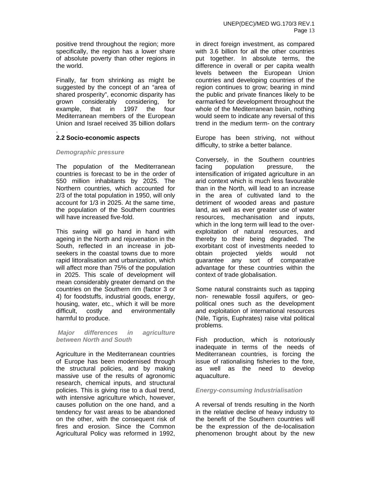positive trend throughout the region; more specifically, the region has a lower share of absolute poverty than other regions in the world.

Finally, far from shrinking as might be suggested by the concept of an "area of shared prosperity", economic disparity has grown considerably considering, for example, that in 1997 the four Mediterranean members of the European Union and Israel received 35 billion dollars

#### . **2.2 Socio-economic aspects**

## *Demographic pressure*

The population of the Mediterranean countries is forecast to be in the order of 550 million inhabitants by 2025. The Northern countries, which accounted for 2/3 of the total population in 1950, will only account for 1/3 in 2025. At the same time, the population of the Southern countries will have increased five-fold.

This swing will go hand in hand with ageing in the North and rejuvenation in the South, reflected in an increase in jobseekers in the coastal towns due to more rapid littoralisation and urbanization, which will affect more than 75% of the population in 2025. This scale of development will mean considerably greater demand on the countries on the Southern rim (factor 3 or 4) for foodstuffs, industrial goods, energy, housing, water, etc., which it will be more difficult, costly and environmentally harmful to produce.

#### *Major differences in agriculture between North and South*

Agriculture in the Mediterranean countries of Europe has been modernised through the structural policies, and by making massive use of the results of agronomic research, chemical inputs, and structural policies. This is giving rise to a dual trend, with intensive agriculture which, however, causes pollution on the one hand, and a tendency for vast areas to be abandoned on the other, with the consequent risk of fires and erosion. Since the Common Agricultural Policy was reformed in 1992, in direct foreign investment, as compared with 3.6 billion for all the other countries put together. In absolute terms, the difference in overall or per capita wealth levels between the European Union countries and developing countries of the region continues to grow; bearing in mind the public and private finances likely to be earmarked for development throughout the whole of the Mediterranean basin, nothing would seem to indicate any reversal of this trend in the medium term- on the contrary

Europe has been striving, not without difficulty, to strike a better balance.

Conversely, in the Southern countries facing population pressure, the intensification of irrigated agriculture in an arid context which is much less favourable than in the North, will lead to an increase in the area of cultivated land to the detriment of wooded areas and pasture land, as well as ever greater use of water resources, mechanisation and inputs, which in the long term will lead to the overexploitation of natural resources, and thereby to their being degraded. The exorbitant cost of investments needed to obtain projected yields would not guarantee any sort of comparative advantage for these countries within the context of trade globalisation.

Some natural constraints such as tapping non- renewable fossil aquifers, or geopolitical ones such as the development and exploitation of international resources (Nile, Tigris, Euphrates) raise vital political problems.

Fish production, which is notoriously inadequate in terms of the needs of Mediterranean countries, is forcing the issue of rationalising fisheries to the fore, as well as the need to develop aquaculture.

## *Energy-consuming Industrialisation*

A reversal of trends resulting in the North in the relative decline of heavy industry to the benefit of the Southern countries will be the expression of the de-localisation phenomenon brought about by the new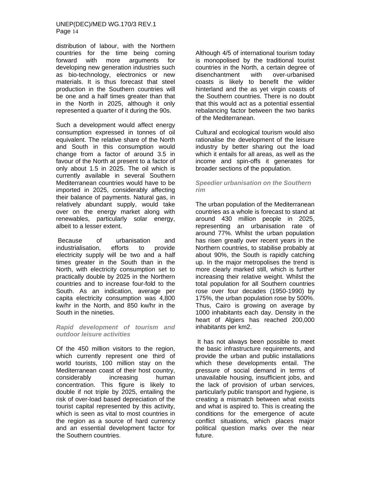distribution of labour, with the Northern countries for the time being coming forward with more arguments for developing new generation industries such as bio-technology, electronics or new materials. It is thus forecast that steel production in the Southern countries will be one and a half times greater than that in the North in 2025, although it only represented a quarter of it during the 90s.

Such a development would affect energy consumption expressed in tonnes of oil equivalent. The relative share of the North and South in this consumption would change from a factor of around 3.5 in favour of the North at present to a factor of only about 1.5 in 2025. The oil which is currently available in several Southern Mediterranean countries would have to be imported in 2025, considerably affecting their balance of payments. Natural gas, in relatively abundant supply, would take over on the energy market along with renewables, particularly solar energy, albeit to a lesser extent.

 Because of urbanisation and industrialisation, efforts to provide electricity supply will be two and a half times greater in the South than in the North, with electricity consumption set to practically double by 2025 in the Northern countries and to increase four-fold to the South. As an indication, average per capita electricity consumption was 4,800 kw/hr in the North, and 850 kw/hr in the South in the nineties.

*Rapid development of tourism and outdoor leisure activities* 

Of the 450 million visitors to the region, which currently represent one third of world tourists, 100 million stay on the Mediterranean coast of their host country, considerably increasing human concentration. This figure is likely to double if not triple by 2025, entailing the risk of over-load based depreciation of the tourist capital represented by this activity, which is seen as vital to most countries in the region as a source of hard currency and an essential development factor for the Southern countries.

Although 4/5 of international tourism today is monopolised by the traditional tourist countries in the North, a certain degree of disenchantment with over-urbanised coasts is likely to benefit the wilder hinterland and the as yet virgin coasts of the Southern countries. There is no doubt that this would act as a potential essential rebalancing factor between the two banks of the Mediterranean.

Cultural and ecological tourism would also rationalise the development of the leisure industry by better sharing out the load which it entails for all areas, as well as the income and spin-offs it generates for broader sections of the population.

## *Speedier urbanisation on the Southern rim*

The urban population of the Mediterranean countries as a whole is forecast to stand at around 430 million people in 2025, representing an urbanisation rate of around 77%. Whilst the urban population has risen greatly over recent years in the Northern countries, to stabilise probably at about 90%, the South is rapidly catching up. In the major metropolises the trend is more clearly marked still, which is further increasing their relative weight. Whilst the total population for all Southern countries rose over four decades (1950-1990) by 175%, the urban population rose by 500%. Thus, Cairo is growing on average by 1000 inhabitants each day. Density in the heart of Algiers has reached 200,000 inhabitants per km2.

 It has not always been possible to meet the basic infrastructure requirements, and provide the urban and public installations which these developments entail. The pressure of social demand in terms of unavailable housing, insufficient jobs, and the lack of provision of urban services, particularly public transport and hygiene, is creating a mismatch between what exists and what is aspired to. This is creating the conditions for the emergence of acute conflict situations, which places major political question marks over the near future.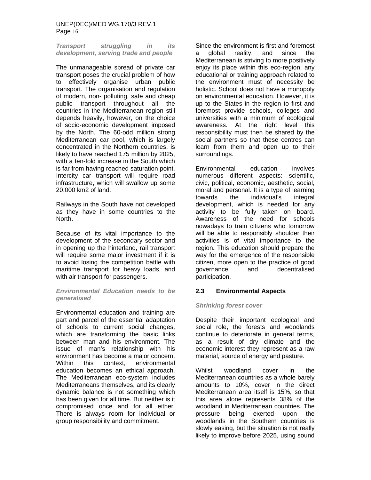*Transport struggling in its development, serving trade and people* 

The unmanageable spread of private car transport poses the crucial problem of how to effectively organise urban public transport. The organisation and regulation of modern, non- polluting, safe and cheap public transport throughout all the countries in the Mediterranean region still depends heavily, however, on the choice of socio-economic development imposed by the North. The 60-odd million strong Mediterranean car pool, which is largely concentrated in the Northern countries, is likely to have reached 175 million by 2025, with a ten-fold increase in the South which is far from having reached saturation point. Intercity car transport will require road infrastructure, which will swallow up some 20,000 km2 of land.

Railways in the South have not developed as they have in some countries to the North.

Because of its vital importance to the development of the secondary sector and in opening up the hinterland, rail transport will require some major investment if it is to avoid losing the competition battle with maritime transport for heavy loads, and with air transport for passengers.

#### *Environmental Education needs to be generalised*

Environmental education and training are part and parcel of the essential adaptation of schools to current social changes, which are transforming the basic links between man and his environment. The issue of man's relationship with his environment has become a major concern. Within this context, environmental education becomes an ethical approach. The Mediterranean eco-system includes Mediterraneans themselves, and its clearly dynamic balance is not something which has been given for all time. But neither is it compromised once and for all either. There is always room for individual or group responsibility and commitment.

Since the environment is first and foremost a global reality, and since the Mediterranean is striving to more positively enjoy its place within this eco-region, any educational or training approach related to the environment must of necessity be holistic. School does not have a monopoly on environmental education. However, it is up to the States in the region to first and foremost provide schools, colleges and universities with a minimum of ecological awareness. At the right level this responsibility must then be shared by the social partners so that these centres can learn from them and open up to their surroundings.

Environmental education involves numerous different aspects: scientific, civic, political, economic, aesthetic, social, moral and personal. It is a type of learning towards the individual's integral development, which is needed for any activity to be fully taken on board. Awareness of the need for schools nowadays to train citizens who tomorrow will be able to responsibly shoulder their activities is of vital importance to the region**.** This education should prepare the way for the emergence of the responsible citizen, more open to the practice of good governance and decentralised participation.

## **2.3 Environmental Aspects**

## *Shrinking forest cover*

Despite their important ecological and social role, the forests and woodlands continue to deteriorate in general terms, as a result of dry climate and the economic interest they represent as a raw material, source of energy and pasture.

Whilst woodland cover in the Mediterranean countries as a whole barely amounts to 10%, cover in the direct Mediterranean area itself is 15%, so that this area alone represents 38% of the woodland in Mediterranean countries. The pressure being exerted upon the woodlands in the Southern countries is slowly easing, but the situation is not really likely to improve before 2025, using sound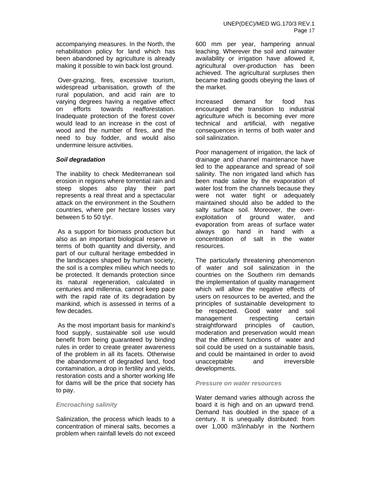accompanying measures. In the North, the rehabilitation policy for land which has been abandoned by agriculture is already making it possible to win back lost ground.

 Over-grazing, fires, excessive tourism, widespread urbanisation, growth of the rural population, and acid rain are to varying degrees having a negative effect on efforts towards reafforestation. Inadequate protection of the forest cover would lead to an increase in the cost of wood and the number of fires, and the need to buy fodder, and would also undermine leisure activities.

## *Soil degradation*

The inability to check Mediterranean soil erosion in regions where torrential rain and steep slopes also play their part represents a real threat and a spectacular attack on the environment in the Southern countries, where per hectare losses vary between 5 to 50 t/yr.

 As a support for biomass production but also as an important biological reserve in terms of both quantity and diversity, and part of our cultural heritage embedded in the landscapes shaped by human society, the soil is a complex milieu which needs to be protected. It demands protection since its natural regeneration, calculated in centuries and millennia, cannot keep pace with the rapid rate of its degradation by mankind, which is assessed in terms of a few decades.

 As the most important basis for mankind's food supply, sustainable soil use would benefit from being guaranteed by binding rules in order to create greater awareness of the problem in all its facets. Otherwise the abandonment of degraded land, food contamination, a drop in fertility and yields, restoration costs and a shorter working life for dams will be the price that society has to pay.

## *Encroaching salinity*

Salinization, the process which leads to a concentration of mineral salts, becomes a problem when rainfall levels do not exceed 600 mm per year, hampering annual leaching. Wherever the soil and rainwater availability or irrigation have allowed it, agricultural over-production has been achieved. The agricultural surpluses then became trading goods obeying the laws of the market.

Increased demand for food has encouraged the transition to industrial agriculture which is becoming ever more technical and artificial, with negative consequences in terms of both water and soil salinization.

Poor management of irrigation, the lack of drainage and channel maintenance have led to the appearance and spread of soil salinity. The non irrigated land which has been made saline by the evaporation of water lost from the channels because they were not water tight or adequately maintained should also be added to the salty surface soil. Moreover, the overexploitation of ground water, and evaporation from areas of surface water always go hand in hand with a concentration of salt in the water resources.

The particularly threatening phenomenon of water and soil salinization in the countries on the Southern rim demands the implementation of quality management which will allow the negative effects of users on resources to be averted, and the principles of sustainable development to be respected. Good water and soil management respecting certain straightforward principles of caution, moderation and preservation would mean that the different functions of water and soil could be used on a sustainable basis, and could be maintained in order to avoid unacceptable and irreversible developments.

## *Pressure on water resources*

Water demand varies although across the board it is high and on an upward trend. Demand has doubled in the space of a century. It is unequally distributed: from over 1,000 m3/inhab/yr in the Northern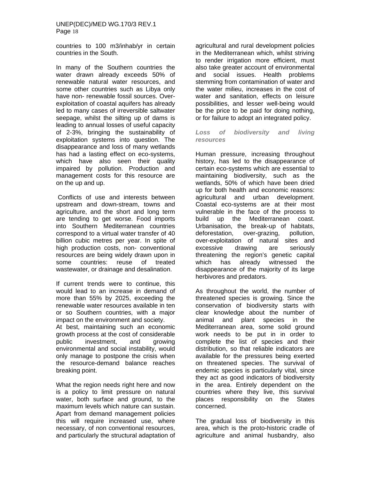countries to 100 m3/inhab/yr in certain countries in the South.

In many of the Southern countries the water drawn already exceeds 50% of renewable natural water resources, and some other countries such as Libya only have non- renewable fossil sources. Overexploitation of coastal aquifers has already led to many cases of irreversible saltwater seepage, whilst the silting up of dams is leading to annual losses of useful capacity of 2-3%, bringing the sustainability of exploitation systems into question. The disappearance and loss of many wetlands has had a lasting effect on eco-systems, which have also seen their quality impaired by pollution. Production and management costs for this resource are on the up and up.

 Conflicts of use and interests between upstream and down-stream, towns and agriculture, and the short and long term are tending to get worse. Food imports into Southern Mediterranean countries correspond to a virtual water transfer of 40 billion cubic metres per year. In spite of high production costs, non- conventional resources are being widely drawn upon in some countries: reuse of treated wastewater, or drainage and desalination.

If current trends were to continue, this would lead to an increase in demand of more than 55% by 2025, exceeding the renewable water resources available in ten or so Southern countries, with a major impact on the environment and society. At best, maintaining such an economic growth process at the cost of considerable public investment, and growing environmental and social instability, would only manage to postpone the crisis when

the resource-demand balance reaches breaking point.

What the region needs right here and now is a policy to limit pressure on natural water, both surface and ground, to the maximum levels which nature can sustain. Apart from demand management policies this will require increased use, where necessary, of non conventional resources, and particularly the structural adaptation of agricultural and rural development policies in the Mediterranean which, whilst striving to render irrigation more efficient, must also take greater account of environmental and social issues. Health problems stemming from contamination of water and the water milieu, increases in the cost of water and sanitation, effects on leisure possibilities, and lesser well-being would be the price to be paid for doing nothing, or for failure to adopt an integrated policy.

*Loss of biodiversity and living resources* 

Human pressure, increasing throughout history, has led to the disappearance of certain eco-systems which are essential to maintaining biodiversity, such as the wetlands, 50% of which have been dried up for both health and economic reasons: agricultural and urban development. Coastal eco-systems are at their most vulnerable in the face of the process to build up the Mediterranean coast. Urbanisation, the break-up of habitats, deforestation, over-grazing, pollution, over-exploitation of natural sites and excessive drawing are seriously threatening the region's genetic capital which has already witnessed the disappearance of the majority of its large herbivores and predators.

As throughout the world, the number of threatened species is growing. Since the conservation of biodiversity starts with clear knowledge about the number of animal and plant species in the Mediterranean area, some solid ground work needs to be put in in order to complete the list of species and their distribution, so that reliable indicators are available for the pressures being exerted on threatened species. The survival of endemic species is particularly vital, since they act as good indicators of biodiversity in the area. Entirely dependent on the countries where they live, this survival places responsibility on the States concerned.

The gradual loss of biodiversity in this area, which is the proto-historic cradle of agriculture and animal husbandry, also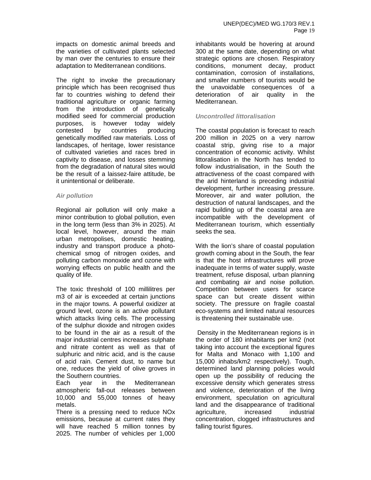impacts on domestic animal breeds and the varieties of cultivated plants selected by man over the centuries to ensure their adaptation to Mediterranean conditions.

The right to invoke the precautionary principle which has been recognised thus far to countries wishing to defend their traditional agriculture or organic farming from the introduction of genetically modified seed for commercial production purposes, is however today widely contested by countries producing genetically modified raw materials. Loss of landscapes, of heritage, lower resistance of cultivated varieties and races bred in captivity to disease, and losses stemming from the degradation of natural sites would be the result of a laissez-faire attitude, be it unintentional or deliberate.

## *Air pollution*

Regional air pollution will only make a minor contribution to global pollution, even in the long term (less than 3% in 2025). At local level, however, around the main urban metropolises, domestic heating, industry and transport produce a photochemical smog of nitrogen oxides, and polluting carbon monoxide and ozone with worrying effects on public health and the quality of life.

The toxic threshold of 100 millilitres per m3 of air is exceeded at certain junctions in the major towns. A powerful oxidizer at ground level, ozone is an active pollutant which attacks living cells. The processing of the sulphur dioxide and nitrogen oxides to be found in the air as a result of the major industrial centres increases sulphate and nitrate content as well as that of sulphuric and nitric acid, and is the cause of acid rain. Cement dust, to name but one, reduces the yield of olive groves in the Southern countries.

Each year in the Mediterranean atmospheric fall-out releases between 10,000 and 55,000 tonnes of heavy metals.

There is a pressing need to reduce NOx emissions, because at current rates they will have reached 5 million tonnes by 2025. The number of vehicles per 1,000

inhabitants would be hovering at around 300 at the same date, depending on what strategic options are chosen. Respiratory conditions, monument decay, product contamination, corrosion of installations, and smaller numbers of tourists would be the unavoidable consequences of a deterioration of air quality in the Mediterranean.

## *Uncontrolled littoralisation*

The coastal population is forecast to reach 200 million in 2025 on a very narrow coastal strip, giving rise to a major concentration of economic activity. Whilst littoralisation in the North has tended to follow industrialisation, in the South the attractiveness of the coast compared with the arid hinterland is preceding industrial development, further increasing pressure. Moreover, air and water pollution, the destruction of natural landscapes, and the rapid building up of the coastal area are incompatible with the development of Mediterranean tourism, which essentially seeks the sea.

With the lion's share of coastal population growth coming about in the South, the fear is that the host infrastructures will prove inadequate in terms of water supply, waste treatment, refuse disposal, urban planning and combating air and noise pollution. Competition between users for scarce space can but create dissent within society. The pressure on fragile coastal eco-systems and limited natural resources is threatening their sustainable use.

 Density in the Mediterranean regions is in the order of 180 inhabitants per km2 (not taking into account the exceptional figures for Malta and Monaco with 1,100 and 15,000 inhabs/km2 respectively). Tough, determined land planning policies would open up the possibility of reducing the excessive density which generates stress and violence, deterioration of the living environment, speculation on agricultural land and the disappearance of traditional agriculture, increased industrial concentration, clogged infrastructures and falling tourist figures.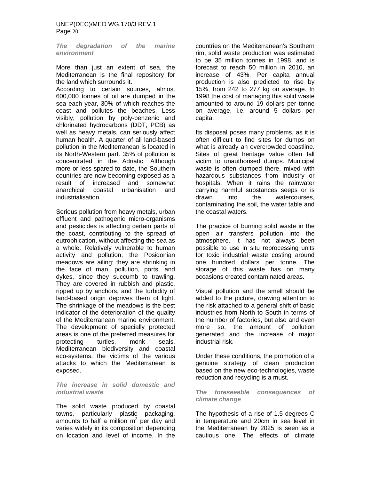*The degradation of the marine environment* 

More than just an extent of sea, the Mediterranean is the final repository for the land which surrounds it.

According to certain sources, almost 600,000 tonnes of oil are dumped in the sea each year, 30% of which reaches the coast and pollutes the beaches. Less visibly, pollution by poly-benzenic and chlorinated hydrocarbons (DDT, PCB) as well as heavy metals, can seriously affect human health. A quarter of all land-based pollution in the Mediterranean is located in its North-Western part. 35% of pollution is concentrated in the Adriatic. Although more or less spared to date, the Southern countries are now becoming exposed as a result of increased and somewhat anarchical coastal urbanisation and industrialisation.

Serious pollution from heavy metals, urban effluent and pathogenic micro-organisms and pesticides is affecting certain parts of the coast, contributing to the spread of eutrophication, without affecting the sea as a whole. Relatively vulnerable to human activity and pollution, the Posidonian meadows are ailing: they are shrinking in the face of man, pollution, ports, and dykes, since they succumb to trawling. They are covered in rubbish and plastic, ripped up by anchors, and the turbidity of land-based origin deprives them of light. The shrinkage of the meadows is the best indicator of the deterioration of the quality of the Mediterranean marine environment. The development of specially protected areas is one of the preferred measures for protecting turtles, monk seals, Mediterranean biodiversity and coastal eco-systems, the victims of the various attacks to which the Mediterranean is exposed.

## *The increase in solid domestic and industrial waste*

The solid waste produced by coastal towns, particularly plastic packaging, amounts to half a million  $m<sup>3</sup>$  per day and varies widely in its composition depending on location and level of income. In the countries on the Mediterranean's Southern rim, solid waste production was estimated to be 35 million tonnes in 1998, and is forecast to reach 50 million in 2010, an increase of 43%. Per capita annual production is also predicted to rise by 15%, from 242 to 277 kg on average. In 1998 the cost of managing this solid waste amounted to around 19 dollars per tonne on average, i.e. around 5 dollars per capita.

Its disposal poses many problems, as it is often difficult to find sites for dumps on what is already an overcrowded coastline. Sites of great heritage value often fall victim to unauthorised dumps. Municipal waste is often dumped there, mixed with hazardous substances from industry or hospitals. When it rains the rainwater carrying harmful substances seeps or is drawn into the watercourses, contaminating the soil, the water table and the coastal waters.

The practice of burning solid waste in the open air transfers pollution into the atmosphere. It has not always been possible to use in situ reprocessing units for toxic industrial waste costing around one hundred dollars per tonne. The storage of this waste has on many occasions created contaminated areas.

Visual pollution and the smell should be added to the picture, drawing attention to the risk attached to a general shift of basic industries from North to South in terms of the number of factories, but also and even more so, the amount of pollution generated and the increase of major industrial risk.

Under these conditions, the promotion of a genuine strategy of clean production based on the new eco-technologies, waste reduction and recycling is a must.

## *The foreseeable consequences of climate change*

The hypothesis of a rise of 1.5 degrees C in temperature and 20cm in sea level in the Mediterranean by 2025 is seen as a cautious one. The effects of climate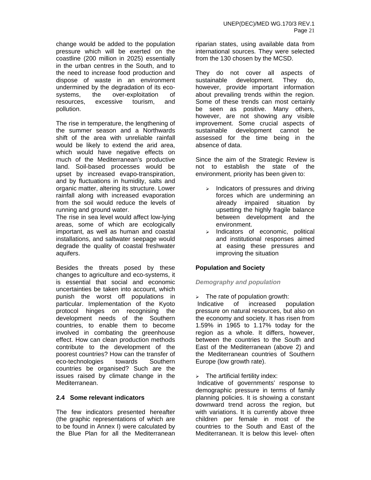change would be added to the population pressure which will be exerted on the coastline (200 million in 2025) essentially in the urban centres in the South, and to the need to increase food production and dispose of waste in an environment undermined by the degradation of its ecosystems, the over-exploitation of resources, excessive tourism, and pollution.

The rise in temperature, the lengthening of the summer season and a Northwards shift of the area with unreliable rainfall would be likely to extend the arid area, which would have negative effects on much of the Mediterranean's productive land. Soil-based processes would be upset by increased evapo-transpiration, and by fluctuations in humidity, salts and organic matter, altering its structure. Lower rainfall along with increased evaporation from the soil would reduce the levels of running and ground water.

The rise in sea level would affect low-lying areas, some of which are ecologically important, as well as human and coastal installations, and saltwater seepage would degrade the quality of coastal freshwater aquifers.

Besides the threats posed by these changes to agriculture and eco-systems, it is essential that social and economic uncertainties be taken into account, which punish the worst off populations in particular. Implementation of the Kyoto protocol hinges on recognising the development needs of the Southern countries, to enable them to become involved in combating the greenhouse effect. How can clean production methods contribute to the development of the poorest countries? How can the transfer of eco-technologies towards Southern countries be organised? Such are the issues raised by climate change in the Mediterranean.

## **2.4 Some relevant indicators**

The few indicators presented hereafter (the graphic representations of which are to be found in Annex I) were calculated by the Blue Plan for all the Mediterranean riparian states, using available data from international sources. They were selected from the 130 chosen by the MCSD.

They do not cover all aspects of sustainable development. They do, however, provide important information about prevailing trends within the region. Some of these trends can most certainly be seen as positive. Many others, however, are not showing any visible improvement. Some crucial aspects of sustainable development cannot be assessed for the time being in the absence of data.

Since the aim of the Strategic Review is not to establish the state of the environment, priority has been given to:

- $\geq$  Indicators of pressures and driving forces which are undermining an already impaired situation by upsetting the highly fragile balance between development and the environment.
- ¾ Indicators of economic, political and institutional responses aimed at easing these pressures and improving the situation

## **Population and Society**

## *Demography and population*

 $\geq$  The rate of population growth:

 Indicative of increased population pressure on natural resources, but also on the economy and society. It has risen from 1.59% in 1965 to 1.17% today for the region as a whole. It differs, however, between the countries to the South and East of the Mediterranean (above 2) and the Mediterranean countries of Southern Europe (low growth rate).

 $\triangleright$  The artificial fertility index:

 Indicative of governments' response to demographic pressure in terms of family planning policies. It is showing a constant downward trend across the region, but with variations. It is currently above three children per female in most of the countries to the South and East of the Mediterranean. It is below this level- often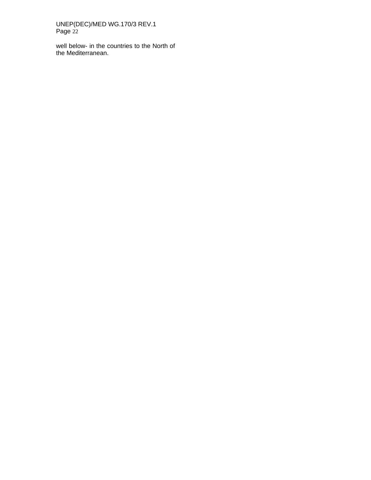well below- in the countries to the North of the Mediterranean.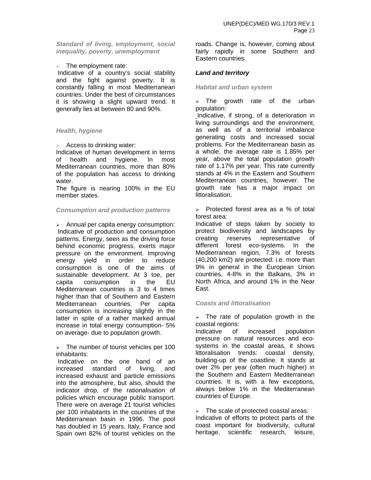*Standard of living, employment, social inequality, poverty, unemployment* 

 $\triangleright$  The employment rate:

 Indicative of a country's social stability and the fight against poverty. It is constantly falling in most Mediterranean countries. Under the best of circumstances it is showing a slight upward trend. It generally lies at between 80 and 90%.

## *Health, hygiene*

 $\triangleright$  Access to drinking water:

Indicative of human development in terms of health and hygiene. In most Mediterranean countries, more than 80% of the population has access to drinking water.

The figure is nearing 100% in the EU member states.

## *Consumption and production patterns*

 $\geq$  Annual per capita energy consumption: Indicative of production and consumption patterns. Energy, seen as the driving force behind economic progress, exerts major pressure on the environment. Improving energy yield in order to reduce consumption is one of the aims of sustainable development. At 3 toe, per capita consumption in the EU Mediterranean countries is 3 to 4 times higher than that of Southern and Eastern Mediterranean countries. Per capita consumption is increasing slightly in the latter in spite of a rather marked annual increase in total energy consumption- 5% on average- due to population growth.

 $\geq$  The number of tourist vehicles per 100 inhabitants:

 Indicative on the one hand of an increased standard of living, and increased exhaust and particle emissions into the atmosphere, but also, should the indicator drop, of the rationalisation of policies which encourage public transport. There were on average 21 tourist vehicles per 100 inhabitants in the countries of the Mediterranean basin in 1996. The pool has doubled in 15 years. Italy, France and Spain own 82% of tourist vehicles on the roads. Change is, however, coming about fairly rapidly in some Southern and Eastern countries.

## *Land and territory*

#### *Habitat and urban system*

 $\geq$  The growth rate of the urban population:

Indicative, if strong, of a deterioration in living surroundings and the environment, as well as of a territorial imbalance generating costs and increased social problems. For the Mediterranean basin as a whole, the average rate is 1.85% per year, above the total population growth rate of 1.17% per year. This rate currently stands at 4% in the Eastern and Southern Mediterranean countries, however. The growth rate has a major impact on littoralisation.

¾ Protected forest area as a % of total forest area:

Indicative of steps taken by society to protect biodiversity and landscapes by creating reserves representative of different forest eco-systems. In the Mediterranean region, 7.3% of forests (40,200 km2) are protected: i.e. more than 9% in general in the European Union countries, 4-8% in the Balkans, 3% in North Africa, and around 1% in the Near East.

## *Coasts and littoralisation*

 $\geq$  The rate of population growth in the coastal regions:

Indicative of increased population pressure on natural resources and ecosystems in the coastal areas, it shows littoralisation trends: coastal density, building-up of the coastline. It stands at over 2% per year (often much higher) in the Southern and Eastern Mediterranean countries. It is, with a few exceptions, always below 1% in the Mediterranean countries of Europe.

 $\geq$  The scale of protected coastal areas: Indicative of efforts to protect parts of the coast important for biodiversity, cultural heritage, scientific research, leisure,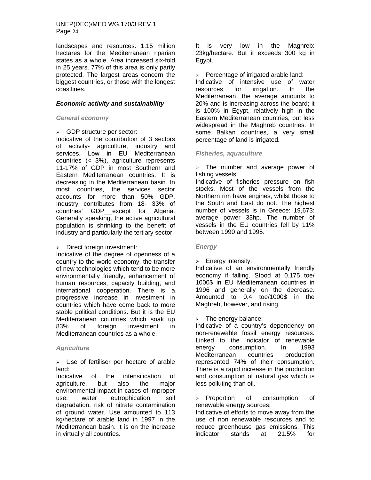landscapes and resources. 1.15 million hectares for the Mediterranean riparian states as a whole. Area increased six-fold in 25 years. 77% of this area is only partly protected. The largest areas concern the biggest countries, or those with the longest coastlines.

## *Economic activity and sustainability*

#### *General economy*

## ¾ GDP structure per sector:

Indicative of the contribution of 3 sectors of activity- agriculture, industry and services. Low in EU Mediterranean countries (< 3%), agriculture represents 11-17% of GDP in most Southern and Eastern Mediterranean countries. It is decreasing in the Mediterranean basin. In most countries, the services sector accounts for more than 50% GDP. Industry contributes from 18- 33% of countries' GDP\_except for Algeria. Generally speaking, the active agricultural population is shrinking to the benefit of industry and particularly the tertiary sector.

## ¾ Direct foreign investment:

Indicative of the degree of openness of a country to the world economy, the transfer of new technologies which tend to be more environmentally friendly, enhancement of human resources, capacity building, and international cooperation. There is a progressive increase in investment in countries which have come back to more stable political conditions. But it is the EU Mediterranean countries which soak up 83% of foreign investment in Mediterranean countries as a whole.

## *Agriculture*

 $\triangleright$  Use of fertiliser per hectare of arable land:

Indicative of the intensification of agriculture, but also the major environmental impact in cases of improper use: water eutrophication, soil degradation, risk of nitrate contamination of ground water. Use amounted to 113 kg/hectare of arable land in 1997 in the Mediterranean basin. It is on the increase in virtually all countries.

It is very low in the Maghreb: 23kg/hectare. But it exceeds 300 kg in Egypt.

 $\triangleright$  Percentage of irrigated arable land: Indicative of intensive use of water resources for irrigation. In the Mediterranean, the average amounts to 20% and is increasing across the board; it is 100% in Egypt, relatively high in the Eastern Mediterranean countries, but less widespread in the Maghreb countries. In some Balkan countries, a very small percentage of land is irrigated.

## *Fisheries, aquaculture*

 $\geq$  The number and average power of fishing vessels:

Indicative of fisheries pressure on fish stocks. Most of the vessels from the Northern rim have engines, whilst those to the South and East do not. The highest number of vessels is in Greece: 19,673: average power 33hp. The number of vessels in the EU countries fell by 11% between 1990 and 1995.

*Energy* 

 $\triangleright$  Energy intensity:

Indicative of an environmentally friendly economy if falling. Stood at 0.175 toe/ 1000\$ in EU Mediterranean countries in 1996 and generally on the decrease. Amounted to 0.4 toe/1000\$ in the Maghreb, however, and rising.

 $\triangleright$  The energy balance:

Indicative of a country's dependency on non-renewable fossil energy resources. Linked to the indicator of renewable energy consumption. In 1993 Mediterranean countries production represented 74% of their consumption. There is a rapid increase in the production and consumption of natural gas which is less polluting than oil.

¾ Proportion of consumption of renewable energy sources:

Indicative of efforts to move away from the use of non renewable resources and to reduce greenhouse gas emissions. This indicator stands at 21.5% for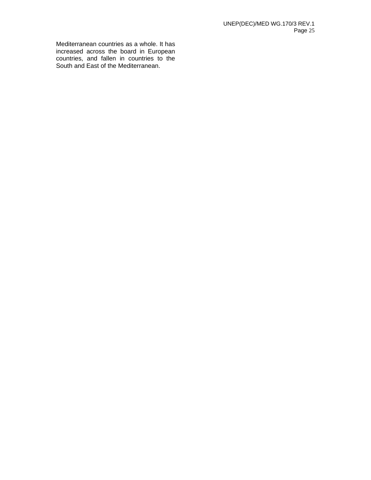Mediterranean countries as a whole. It has increased across the board in European countries, and fallen in countries to the South and East of the Mediterranean.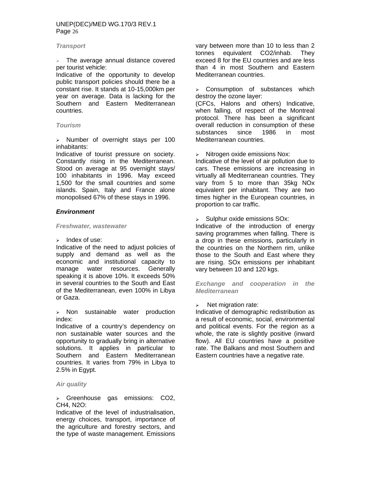#### *Transport*

 $\triangleright$  The average annual distance covered per tourist vehicle:

Indicative of the opportunity to develop public transport policies should there be a constant rise. It stands at 10-15,000km per year on average. Data is lacking for the Southern and Eastern Mediterranean countries.

#### *Tourism*

¾ Number of overnight stays per 100 inhabitants:

Indicative of tourist pressure on society. Constantly rising in the Mediterranean. Stood on average at 95 overnight stays/ 100 inhabitants in 1996. May exceed 1,500 for the small countries and some islands. Spain, Italy and France alone monopolised 67% of these stays in 1996.

## *Environment*

#### *Freshwater, wastewater*

 $\blacktriangleright$  Index of use:

Indicative of the need to adjust policies of supply and demand as well as the economic and institutional capacity to manage water resources. Generally speaking it is above 10%. It exceeds 50% in several countries to the South and East of the Mediterranean, even 100% in Libya or Gaza.

 $\geq$  Non sustainable water production index:

Indicative of a country's dependency on non sustainable water sources and the opportunity to gradually bring in alternative solutions. It applies in particular to Southern and Eastern Mediterranean countries. It varies from 79% in Libya to 2.5% in Egypt.

## *Air quality*

¾ Greenhouse gas emissions: CO2, CH4, N2O:

Indicative of the level of industrialisation, energy choices, transport, importance of the agriculture and forestry sectors, and the type of waste management. Emissions vary between more than 10 to less than 2 tonnes equivalent CO2/inhab. They exceed 8 for the EU countries and are less than 4 in most Southern and Eastern Mediterranean countries.

 $\geq$  Consumption of substances which destroy the ozone layer:

(CFCs, Halons and others) Indicative, when falling, of respect of the Montreal protocol. There has been a significant overall reduction in consumption of these substances since 1986 in most Mediterranean countries.

¾ Nitrogen oxide emissions Nox:

Indicative of the level of air pollution due to cars. These emissions are increasing in virtually all Mediterranean countries. They vary from 5 to more than 35kg NOx equivalent per inhabitant. They are two times higher in the European countries, in proportion to car traffic.

 $\triangleright$  Sulphur oxide emissions SOx:

Indicative of the introduction of energy saving programmes when falling. There is a drop in these emissions, particularly in the countries on the Northern rim, unlike those to the South and East where they are rising. SOx emissions per inhabitant vary between 10 and 120 kgs.

*Exchange and cooperation in the Mediterranean* 

 $\triangleright$  Net migration rate:

Indicative of demographic redistribution as a result of economic, social, environmental and political events. For the region as a whole, the rate is slightly positive (inward flow). All EU countries have a positive rate. The Balkans and most Southern and Eastern countries have a negative rate.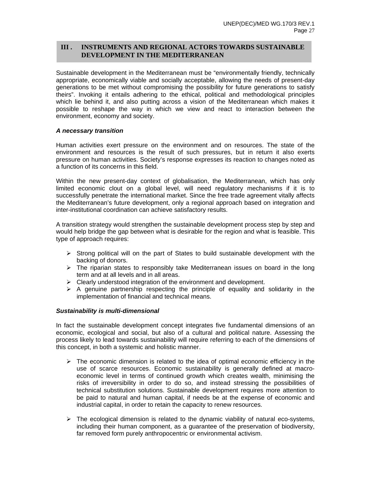## **III . INSTRUMENTS AND REGIONAL ACTORS TOWARDS SUSTAINABLE DEVELOPMENT IN THE MEDITERRANEAN**

Sustainable development in the Mediterranean must be "environmentally friendly, technically appropriate, economically viable and socially acceptable, allowing the needs of present-day generations to be met without compromising the possibility for future generations to satisfy theirs". Invoking it entails adhering to the ethical, political and methodological principles which lie behind it, and also putting across a vision of the Mediterranean which makes it possible to reshape the way in which we view and react to interaction between the environment, economy and society.

## *A necessary transition*

Human activities exert pressure on the environment and on resources. The state of the environment and resources is the result of such pressures, but in return it also exerts pressure on human activities. Society's response expresses its reaction to changes noted as a function of its concerns in this field.

Within the new present-day context of globalisation, the Mediterranean, which has only limited economic clout on a global level, will need regulatory mechanisms if it is to successfully penetrate the international market. Since the free trade agreement vitally affects the Mediterranean's future development, only a regional approach based on integration and inter-institutional coordination can achieve satisfactory results.

A transition strategy would strengthen the sustainable development process step by step and would help bridge the gap between what is desirable for the region and what is feasible. This type of approach requires:

- $\triangleright$  Strong political will on the part of States to build sustainable development with the backing of donors.
- $\triangleright$  The riparian states to responsibly take Mediterranean issues on board in the long term and at all levels and in all areas.
- $\triangleright$  Clearly understood integration of the environment and development.
- $\triangleright$  A genuine partnership respecting the principle of equality and solidarity in the implementation of financial and technical means.

## *Sustainability is multi-dimensional*

In fact the sustainable development concept integrates five fundamental dimensions of an economic, ecological and social, but also of a cultural and political nature. Assessing the process likely to lead towards sustainability will require referring to each of the dimensions of this concept, in both a systemic and holistic manner.

- $\triangleright$  The economic dimension is related to the idea of optimal economic efficiency in the use of scarce resources. Economic sustainability is generally defined at macroeconomic level in terms of continued growth which creates wealth, minimising the risks of irreversibility in order to do so, and instead stressing the possibilities of technical substitution solutions. Sustainable development requires more attention to be paid to natural and human capital, if needs be at the expense of economic and industrial capital, in order to retain the capacity to renew resources.
- $\triangleright$  The ecological dimension is related to the dynamic viability of natural eco-systems, including their human component, as a guarantee of the preservation of biodiversity, far removed form purely anthropocentric or environmental activism.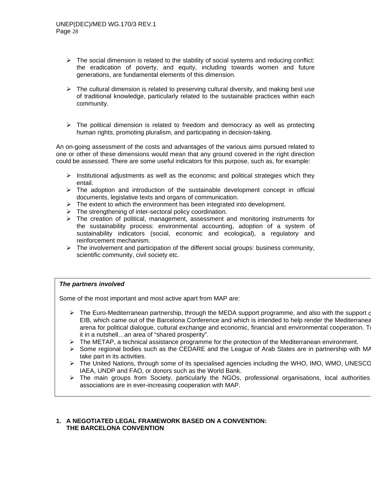- $\triangleright$  The social dimension is related to the stability of social systems and reducing conflict: the eradication of poverty, and equity, including towards women and future generations, are fundamental elements of this dimension.
- $\triangleright$  The cultural dimension is related to preserving cultural diversity, and making best use of traditional knowledge, particularly related to the sustainable practices within each community.
- $\triangleright$  The political dimension is related to freedom and democracy as well as protecting human rights, promoting pluralism, and participating in decision-taking.

An on-going assessment of the costs and advantages of the various aims pursued related to one or other of these dimensions would mean that any ground covered in the right direction could be assessed. There are some useful indicators for this purpose, such as, for example:

- $\triangleright$  Institutional adjustments as well as the economic and political strategies which they entail.
- $\triangleright$  The adoption and introduction of the sustainable development concept in official documents, legislative texts and organs of communication.
- $\triangleright$  The extent to which the environment has been integrated into development.
- $\triangleright$  The strengthening of inter-sectoral policy coordination.
- $\triangleright$  The creation of political, management, assessment and monitoring instruments for the sustainability process: environmental accounting, adoption of a system of sustainability indicators (social, economic and ecological), a regulatory and reinforcement mechanism.
- $\triangleright$  The involvement and participation of the different social groups: business community, scientific community, civil society etc.

## *The partners involved*

Some of the most important and most active apart from MAP are:

- $\triangleright$  The Euro-Mediterranean partnership, through the MEDA support programme, and also with the support of EIB, which came out of the Barcelona Conference and which is intended to help render the Mediterranea arena for political dialogue, cultural exchange and economic, financial and environmental cooperation. To it in a nutshell…an area of "shared prosperity".
- $\triangleright$  The METAP, a technical assistance programme for the protection of the Mediterranean environment.
- $\triangleright$  Some regional bodies such as the CEDARE and the League of Arab States are in partnership with MA take part in its activities.
- $\triangleright$  The United Nations, through some of its specialised agencies including the WHO, IMO, WMO, UNESCO IAEA, UNDP and FAO, or donors such as the World Bank.
- $\triangleright$  The main groups from Society, particularly the NGOs, professional organisations, local authorities associations are in ever-increasing cooperation with MAP.

## **1. A NEGOTIATED LEGAL FRAMEWORK BASED ON A CONVENTION: THE BARCELONA CONVENTION**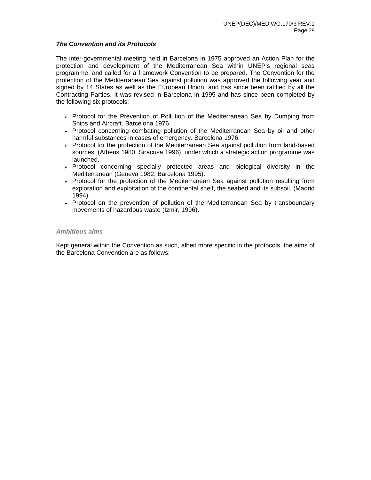## *The Convention and its Protocols*

The inter-governmental meeting held in Barcelona in 1975 approved an Action Plan for the protection and development of the Mediterranean Sea within UNEP's regional seas programme, and called for a framework Convention to be prepared. The Convention for the protection of the Mediterranean Sea against pollution was approved the following year and signed by 14 States as well as the European Union, and has since been ratified by all the Contracting Parties. It was revised in Barcelona in 1995 and has since been completed by the following six protocols:

- $\triangleright$  Protocol for the Prevention of Pollution of the Mediterranean Sea by Dumping from Ships and Aircraft. Barcelona 1976.
- $\triangleright$  Protocol concerning combating pollution of the Mediterranean Sea by oil and other harmful substances in cases of emergency. Barcelona 1976.
- $\triangleright$  Protocol for the protection of the Mediterranean Sea against pollution from land-based sources. (Athens 1980, Siracusa 1996), under which a strategic action programme was launched.
- ¾ Protocol concerning specially protected areas and biological diversity in the Mediterranean (Geneva 1982, Barcelona 1995).
- $\triangleright$  Protocol for the protection of the Mediterranean Sea against pollution resulting from exploration and exploitation of the continental shelf, the seabed and its subsoil. (Madrid 1994).
- $\triangleright$  Protocol on the prevention of pollution of the Mediterranean Sea by transboundary movements of hazardous waste (Izmir, 1996).

#### *Ambitious aims*

Kept general within the Convention as such, albeit more specific in the protocols, the aims of the Barcelona Convention are as follows: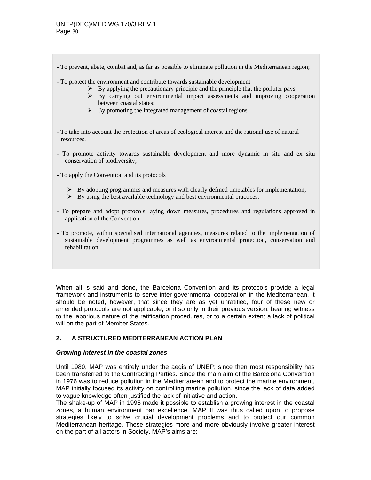- To prevent, abate, combat and, as far as possible to eliminate pollution in the Mediterranean region;
- To protect the environment and contribute towards sustainable development
	- $\triangleright$  By applying the precautionary principle and the principle that the polluter pays
	- $\triangleright$  By carrying out environmental impact assessments and improving cooperation between coastal states;
	- $\triangleright$  By promoting the integrated management of coastal regions
- **-** To take into account the protection of areas of ecological interest and the rational use of natural resources.
- To promote activity towards sustainable development and more dynamic in situ and ex situ conservation of biodiversity;
- To apply the Convention and its protocols
	- $\triangleright$  By adopting programmes and measures with clearly defined timetables for implementation;
	- $\triangleright$  By using the best available technology and best environmental practices.
- To prepare and adopt protocols laying down measures, procedures and regulations approved in application of the Convention.
- To promote, within specialised international agencies, measures related to the implementation of sustainable development programmes as well as environmental protection, conservation and rehabilitation.

When all is said and done, the Barcelona Convention and its protocols provide a legal framework and instruments to serve inter-governmental cooperation in the Mediterranean. It should be noted, however, that since they are as yet unratified, four of these new or amended protocols are not applicable, or if so only in their previous version, bearing witness to the laborious nature of the ratification procedures, or to a certain extent a lack of political will on the part of Member States.

# **2. A STRUCTURED MEDITERRANEAN ACTION PLAN**

### *Growing interest in the coastal zones*

Until 1980, MAP was entirely under the aegis of UNEP; since then most responsibility has been transferred to the Contracting Parties. Since the main aim of the Barcelona Convention in 1976 was to reduce pollution in the Mediterranean and to protect the marine environment, MAP initially focused its activity on controlling marine pollution, since the lack of data added to vague knowledge often justified the lack of initiative and action.

The shake-up of MAP in 1995 made it possible to establish a growing interest in the coastal zones, a human environment par excellence. MAP II was thus called upon to propose strategies likely to solve crucial development problems and to protect our common Mediterranean heritage. These strategies more and more obviously involve greater interest on the part of all actors in Society. MAP's aims are: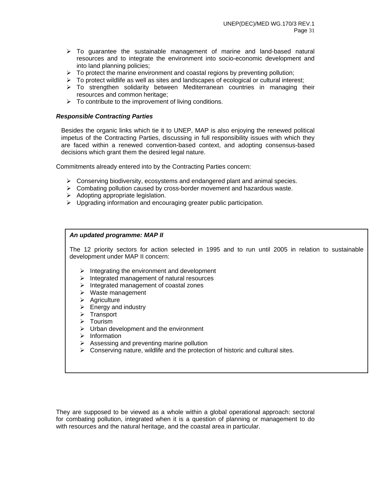- $\triangleright$  To guarantee the sustainable management of marine and land-based natural resources and to integrate the environment into socio-economic development and into land planning policies;
- $\triangleright$  To protect the marine environment and coastal regions by preventing pollution;
- ¾ To protect wildlife as well as sites and landscapes of ecological or cultural interest;
- $\triangleright$  To strengthen solidarity between Mediterranean countries in managing their resources and common heritage;
- $\triangleright$  To contribute to the improvement of living conditions.

## *Responsible Contracting Parties*

Besides the organic links which tie it to UNEP, MAP is also enjoying the renewed political impetus of the Contracting Parties, discussing in full responsibility issues with which they are faced within a renewed convention-based context, and adopting consensus-based decisions which grant them the desired legal nature.

Commitments already entered into by the Contracting Parties concern:

- $\triangleright$  Conserving biodiversity, ecosystems and endangered plant and animal species.
- $\triangleright$  Combating pollution caused by cross-border movement and hazardous waste.
- $\triangleright$  Adopting appropriate legislation.
- $\triangleright$  Upgrading information and encouraging greater public participation.

### *An updated programme: MAP II*

The 12 priority sectors for action selected in 1995 and to run until 2005 in relation to sustainable development under MAP II concern:

- $\triangleright$  Integrating the environment and development
- $\triangleright$  Integrated management of natural resources
- $\triangleright$  Integrated management of coastal zones
- $\triangleright$  Waste management
- $\triangleright$  Agriculture
- $\triangleright$  Energy and industry
- $\triangleright$  Transport
- $\triangleright$  Tourism
- $\triangleright$  Urban development and the environment
- $\triangleright$  Information
- $\triangleright$  Assessing and preventing marine pollution
- $\triangleright$  Conserving nature, wildlife and the protection of historic and cultural sites.

They are supposed to be viewed as a whole within a global operational approach: sectoral for combating pollution, integrated when it is a question of planning or management to do with resources and the natural heritage, and the coastal area in particular.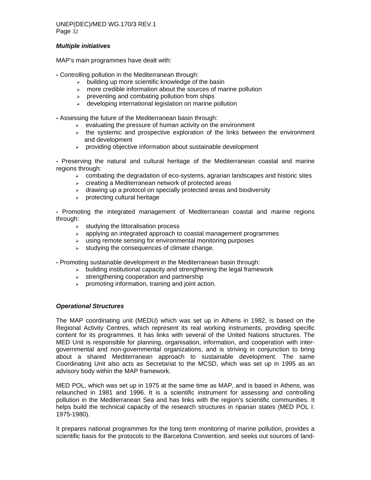## UNEP(DEC)/MED WG.170/3 REV.1 Page 32

### *Multiple initiatives*

MAP's main programmes have dealt with:

**-** Controlling pollution in the Mediterranean through:

- $\geq$  building up more scientific knowledge of the basin
- $\geq$  more credible information about the sources of marine pollution
- $\triangleright$  preventing and combating pollution from ships
- $\geq$  developing international legislation on marine pollution

**-** Assessing the future of the Mediterranean basin through:

- $\ge$  evaluating the pressure of human activity on the environment
- $\triangleright$  the systemic and prospective exploration of the links between the environment and development
- $\triangleright$  providing objective information about sustainable development

**-** Preserving the natural and cultural heritage of the Mediterranean coastal and marine regions through:

- $\triangleright$  combating the degradation of eco-systems, agrarian landscapes and historic sites
- $\triangleright$  creating a Mediterranean network of protected areas
- $\geq$  drawing up a protocol on specially protected areas and biodiversity
- $\ge$  protecting cultural heritage

**-** Promoting the integrated management of Mediterranean coastal and marine regions through:

- $\triangleright$  studying the littoralisation process
- ¾ applying an integrated approach to coastal management programmes
- $\geq$  using remote sensing for environmental monitoring purposes
- $\geq$  studying the consequences of climate change.

**-** Promoting sustainable development in the Mediterranean basin through:

- $\geq$  building institutional capacity and strengthening the legal framework
- $\triangleright$  strengthening cooperation and partnership
- $\geq$  promoting information, training and joint action.

### *Operational Structures*

The MAP coordinating unit (MEDU) which was set up in Athens in 1982, is based on the Regional Activity Centres, which represent its real working instruments, providing specific content for its programmes. It has links with several of the United Nations structures. The MED Unit is responsible for planning, organisation, information, and cooperation with intergovernmental and non-governmental organizations, and is striving in conjunction to bring about a shared Mediterranean approach to sustainable development. The same Coordinating Unit also acts as Secretariat to the MCSD, which was set up in 1995 as an advisory body within the MAP framework.

MED POL, which was set up in 1975 at the same time as MAP, and is based in Athens, was relaunched in 1981 and 1996. It is a scientific instrument for assessing and controlling pollution in the Mediterranean Sea and has links with the region's scientific communities. It helps build the technical capacity of the research structures in riparian states (MED POL I: 1975-1980).

It prepares national programmes for the long term monitoring of marine pollution, provides a scientific basis for the protocols to the Barcelona Convention, and seeks out sources of land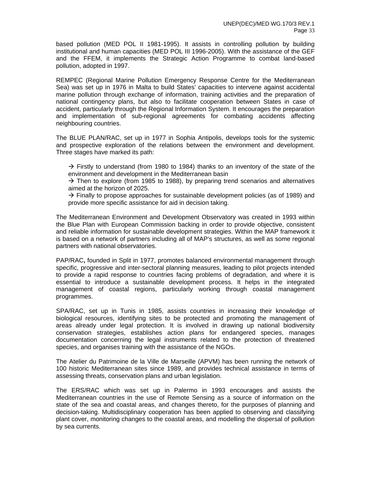based pollution (MED POL II 1981-1995). It assists in controlling pollution by building institutional and human capacities (MED POL III 1996-2005). With the assistance of the GEF and the FFEM, it implements the Strategic Action Programme to combat land-based pollution, adopted in 1997.

REMPEC (Regional Marine Pollution Emergency Response Centre for the Mediterranean Sea) was set up in 1976 in Malta to build States' capacities to intervene against accidental marine pollution through exchange of information, training activities and the preparation of national contingency plans, but also to facilitate cooperation between States in case of accident, particularly through the Regional Information System. It encourages the preparation and implementation of sub-regional agreements for combating accidents affecting neighbouring countries.

The BLUE PLAN/RAC, set up in 1977 in Sophia Antipolis, develops tools for the systemic and prospective exploration of the relations between the environment and development. Three stages have marked its path:

 $\rightarrow$  Firstly to understand (from 1980 to 1984) thanks to an inventory of the state of the environment and development in the Mediterranean basin

 $\rightarrow$  Then to explore (from 1985 to 1988), by preparing trend scenarios and alternatives aimed at the horizon of 2025.

 $\rightarrow$  Finally to propose approaches for sustainable development policies (as of 1989) and provide more specific assistance for aid in decision taking.

The Mediterranean Environment and Development Observatory was created in 1993 within the Blue Plan with European Commission backing in order to provide objective, consistent and reliable information for sustainable development strategies. Within the MAP framework it is based on a network of partners including all of MAP's structures, as well as some regional partners with national observatories.

PAP/RAC**,** founded in Split in 1977, promotes balanced environmental management through specific, progressive and inter-sectoral planning measures, leading to pilot projects intended to provide a rapid response to countries facing problems of degradation, and where it is essential to introduce a sustainable development process. It helps in the integrated management of coastal regions, particularly working through coastal management programmes.

SPA/RAC, set up in Tunis in 1985, assists countries in increasing their knowledge of biological resources, identifying sites to be protected and promoting the management of areas already under legal protection. It is involved in drawing up national biodiversity conservation strategies, establishes action plans for endangered species, manages documentation concerning the legal instruments related to the protection of threatened species, and organises training with the assistance of the NGOs.

The Atelier du Patrimoine de la Ville de Marseille (APVM) has been running the network of 100 historic Mediterranean sites since 1989, and provides technical assistance in terms of assessing threats, conservation plans and urban legislation.

The ERS/RAC which was set up in Palermo in 1993 encourages and assists the Mediterranean countries in the use of Remote Sensing as a source of information on the state of the sea and coastal areas, and changes thereto, for the purposes of planning and decision-taking. Multidisciplinary cooperation has been applied to observing and classifying plant cover, monitoring changes to the coastal areas, and modelling the dispersal of pollution by sea currents.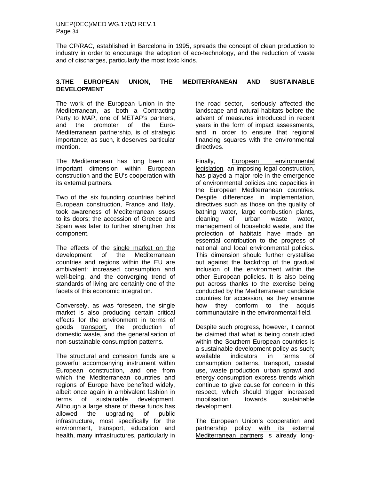The CP/RAC, established in Barcelona in 1995, spreads the concept of clean production to industry in order to encourage the adoption of eco-technology, and the reduction of waste and of discharges, particularly the most toxic kinds.

## **3.THE EUROPEAN UNION, THE MEDITERRANEAN AND SUSTAINABLE DEVELOPMENT**

The work of the European Union in the Mediterranean, as both a Contracting Party to MAP, one of METAP's partners, and the promoter of the Euro-Mediterranean partnership, is of strategic importance; as such, it deserves particular mention.

The Mediterranean has long been an important dimension within European construction and the EU's cooperation with its external partners.

Two of the six founding countries behind European construction, France and Italy, took awareness of Mediterranean issues to its doors; the accession of Greece and Spain was later to further strengthen this component.

The effects of the single market on the development of the Mediterranean countries and regions within the EU are ambivalent: increased consumption and well-being, and the converging trend of standards of living are certainly one of the facets of this economic integration.

Conversely, as was foreseen, the single market is also producing certain critical effects for the environment in terms of goods transport*,* the production of domestic waste, and the generalisation of non-sustainable consumption patterns.

The structural and cohesion funds are a powerful accompanying instrument within European construction, and one from which the Mediterranean countries and regions of Europe have benefited widely, albeit once again in ambivalent fashion in terms of sustainable development. Although a large share of these funds has allowed the upgrading of public infrastructure, most specifically for the environment, transport, education and health, many infrastructures, particularly in the road sector, seriously affected the landscape and natural habitats before the advent of measures introduced in recent years in the form of impact assessments, and in order to ensure that regional financing squares with the environmental directives.

Finally, European environmental legislation*,* an imposing legal construction, has played a major role in the emergence of environmental policies and capacities in the European Mediterranean countries. Despite differences in implementation, directives such as those on the quality of bathing water, large combustion plants, cleaning of urban waste water, management of household waste, and the protection of habitats have made an essential contribution to the progress of national and local environmental policies. This dimension should further crystallise out against the backdrop of the gradual inclusion of the environment within the other European policies. It is also being put across thanks to the exercise being conducted by the Mediterranean candidate countries for accession, as they examine how they conform to the acquis communautaire in the environmental field.

Despite such progress, however, it cannot be claimed that what is being constructed within the Southern European countries is a sustainable development policy as such; available indicators in terms of consumption patterns, transport, coastal use, waste production, urban sprawl and energy consumption express trends which continue to give cause for concern in this respect, which should trigger increased mobilisation towards sustainable development.

The European Union's cooperation and partnership policy with its external Mediterranean partners is already long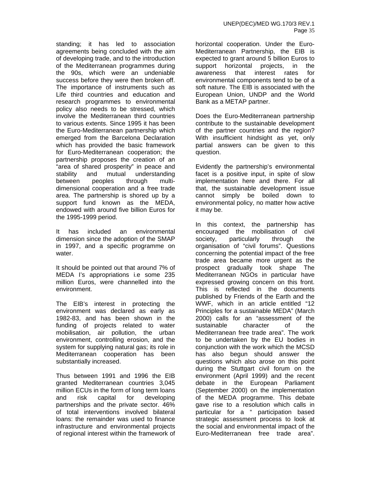standing; it has led to association agreements being concluded with the aim of developing trade, and to the introduction of the Mediterranean programmes during the 90s, which were an undeniable success before they were then broken off. The importance of instruments such as Life third countries and education and research programmes to environmental policy also needs to be stressed, which involve the Mediterranean third countries to various extents. Since 1995 it has been the Euro-Mediterranean partnership which emerged from the Barcelona Declaration which has provided the basic framework for Euro-Mediterranean cooperation; the partnership proposes the creation of an "area of shared prosperity" in peace and stability and mutual understanding between peoples through multidimensional cooperation and a free trade area. The partnership is shored up by a support fund known as the MEDA, endowed with around five billion Euros for the 1995-1999 period.

It has included an environmental dimension since the adoption of the SMAP in 1997, and a specific programme on water.

It should be pointed out that around 7% of MEDA I's appropriations i.e some 235 million Euros, were channelled into the environment.

The EIB's interest in protecting the environment was declared as early as 1982-83, and has been shown in the funding of projects related to water mobilisation, air pollution, the urban environment, controlling erosion, and the system for supplying natural gas; its role in Mediterranean cooperation has been substantially increased.

Thus between 1991 and 1996 the EIB granted Mediterranean countries 3,045 million ECUs in the form of long term loans and risk capital for developing partnerships and the private sector. 46% of total interventions involved bilateral loans: the remainder was used to finance infrastructure and environmental projects of regional interest within the framework of horizontal cooperation. Under the Euro-Mediterranean Partnership, the EIB is expected to grant around 5 billion Euros to support horizontal projects, in the awareness that interest rates for environmental components tend to be of a soft nature. The EIB is associated with the European Union, UNDP and the World Bank as a METAP partner.

Does the Euro-Mediterranean partnership contribute to the sustainable development of the partner countries and the region? With insufficient hindsight as yet, only partial answers can be given to this question.

Evidently the partnership's environmental facet is a positive input, in spite of slow implementation here and there. For all that, the sustainable development issue cannot simply be boiled down to environmental policy, no matter how active it may be.

In this context, the partnership has encouraged the mobilisation of civil society, particularly through the organisation of "civil forums". Questions concerning the potential impact of the free trade area became more urgent as the prospect gradually took shape The Mediterranean NGOs in particular have expressed growing concern on this front. This is reflected in the documents published by Friends of the Earth and the WWF, which in an article entitled "12 Principles for a sustainable MEDA" (March 2000) calls for an "assessment of the sustainable character of the Mediterranean free trade area". The work to be undertaken by the EU bodies in conjunction with the work which the MCSD has also begun should answer the questions which also arose on this point during the Stuttgart civil forum on the environment (April 1999) and the recent debate in the European Parliament (September 2000) on the implementation of the MEDA programme. This debate gave rise to a resolution which calls in particular for a " participation based strategic assessment process to look at the social and environmental impact of the Euro-Mediterranean free trade area".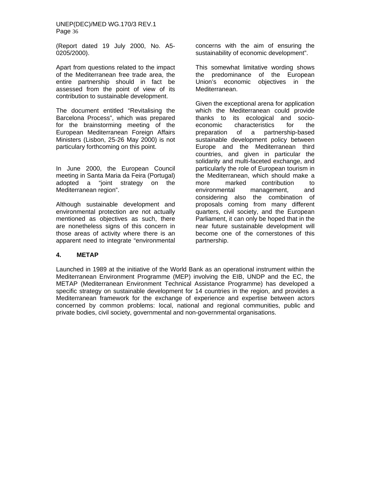UNEP(DEC)/MED WG.170/3 REV.1 Page 36

(Report dated 19 July 2000, No. A5- 0205/2000).

Apart from questions related to the impact of the Mediterranean free trade area, the entire partnership should in fact be assessed from the point of view of its contribution to sustainable development.

The document entitled "Revitalising the Barcelona Process", which was prepared for the brainstorming meeting of the European Mediterranean Foreign Affairs Ministers (Lisbon, 25-26 May 2000) is not particulary forthcoming on this point.

In June 2000, the European Council meeting in Santa Maria da Feira (Portugal) adopted a "joint strategy on the Mediterranean region".

Although sustainable development and environmental protection are not actually mentioned as objectives as such, there are nonetheless signs of this concern in those areas of activity where there is an apparent need to integrate "environmental concerns with the aim of ensuring the sustainability of economic development".

This somewhat limitative wording shows the predominance of the European Union's economic objectives in the Mediterranean.

Given the exceptional arena for application which the Mediterranean could provide thanks to its ecological and socioeconomic characteristics for the preparation of a partnership-based sustainable development policy between Europe and the Mediterranean third countries, and given in particular the solidarity and multi-faceted exchange, and particularly the role of European tourism in the Mediterranean, which should make a more marked contribution to environmental management, and considering also the combination of proposals coming from many different quarters, civil society, and the European Parliament, it can only be hoped that in the near future sustainable development will become one of the cornerstones of this partnership.

# **4. METAP**

Launched in 1989 at the initiative of the World Bank as an operational instrument within the Mediterranean Environment Programme (MEP) involving the EIB, UNDP and the EC, the METAP (Mediterranean Environment Technical Assistance Programme) has developed a specific strategy on sustainable development for 14 countries in the region, and provides a Mediterranean framework for the exchange of experience and expertise between actors concerned by common problems: local, national and regional communities, public and private bodies, civil society, governmental and non-governmental organisations.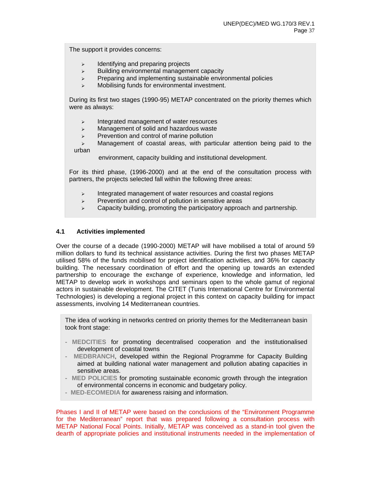The support it provides concerns:

- $\geq$  Identifying and preparing projects
- $\triangleright$  Building environmental management capacity
- $\triangleright$  Preparing and implementing sustainable environmental policies
- $\triangleright$  Mobilising funds for environmental investment.

During its first two stages (1990-95) METAP concentrated on the priority themes which were as always:

- ¾ Integrated management of water resources
- $\triangleright$  Management of solid and hazardous waste
- $\triangleright$  Prevention and control of marine pollution

 $\triangleright$  Management of coastal areas, with particular attention being paid to the urban

environment, capacity building and institutional development.

For its third phase, (1996-2000) and at the end of the consultation process with partners, the projects selected fall within the following three areas:

- ¾ Integrated management of water resources and coastal regions
- $\triangleright$  Prevention and control of pollution in sensitive areas
- Capacity building, promoting the participatory approach and partnership.

## **4.1 Activities implemented**

Over the course of a decade (1990-2000) METAP will have mobilised a total of around 59 million dollars to fund its technical assistance activities. During the first two phases METAP utilised 58% of the funds mobilised for project identification activities, and 36% for capacity building. The necessary coordination of effort and the opening up towards an extended partnership to encourage the exchange of experience, knowledge and information, led METAP to develop work in workshops and seminars open to the whole gamut of regional actors in sustainable development. The CITET (Tunis International Centre for Environmental Technologies) is developing a regional project in this context on capacity building for impact assessments, involving 14 Mediterranean countries.

The idea of working in networks centred on priority themes for the Mediterranean basin took front stage:

- **MEDCITIES** for promoting decentralised cooperation and the institutionalised development of coastal towns
- **MEDBRANCH**, developed within the Regional Programme for Capacity Building aimed at building national water management and pollution abating capacities in sensitive areas.
- **MED POLICIES** for promoting sustainable economic growth through the integration of environmental concerns in economic and budgetary policy.
- **MED-ECOMEDIA** for awareness raising and information.

Phases I and II of METAP were based on the conclusions of the "Environment Programme for the Mediterranean" report that was prepared following a consultation process with METAP National Focal Points. Initially, METAP was conceived as a stand-in tool given the dearth of appropriate policies and institutional instruments needed in the implementation of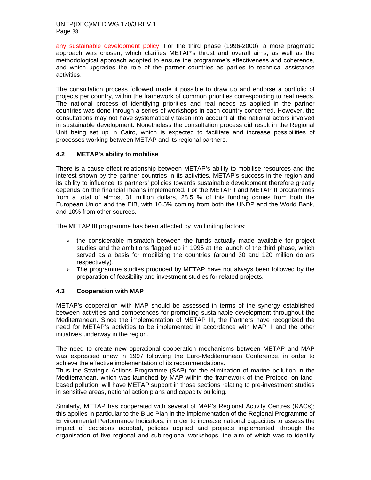## UNEP(DEC)/MED WG.170/3 REV.1 Page 38

any sustainable development policy. For the third phase (1996-2000), a more pragmatic approach was chosen, which clarifies METAP's thrust and overall aims, as well as the methodological approach adopted to ensure the programme's effectiveness and coherence, and which upgrades the role of the partner countries as parties to technical assistance activities.

The consultation process followed made it possible to draw up and endorse a portfolio of projects per country, within the framework of common priorities corresponding to real needs. The national process of identifying priorities and real needs as applied in the partner countries was done through a series of workshops in each country concerned. However, the consultations may not have systematically taken into account all the national actors involved in sustainable development. Nonetheless the consultation process did result in the Regional Unit being set up in Cairo, which is expected to facilitate and increase possibilities of processes working between METAP and its regional partners.

# **4.2 METAP's ability to mobilise**

There is a cause-effect relationship between METAP's ability to mobilise resources and the interest shown by the partner countries in its activities. METAP's success in the region and its ability to influence its partners' policies towards sustainable development therefore greatly depends on the financial means implemented. For the METAP I and METAP II programmes from a total of almost 31 million dollars, 28.5 % of this funding comes from both the European Union and the EIB, with 16.5% coming from both the UNDP and the World Bank, and 10% from other sources.

The METAP III programme has been affected by two limiting factors:

- $\triangleright$  the considerable mismatch between the funds actually made available for project studies and the ambitions flagged up in 1995 at the launch of the third phase, which served as a basis for mobilizing the countries (around 30 and 120 million dollars respectively).
- $\geq$  The programme studies produced by METAP have not always been followed by the preparation of feasibility and investment studies for related projects.

# **4.3 Cooperation with MAP**

METAP's cooperation with MAP should be assessed in terms of the synergy established between activities and competences for promoting sustainable development throughout the Mediterranean. Since the implementation of METAP III, the Partners have recognized the need for METAP's activities to be implemented in accordance with MAP II and the other initiatives underway in the region.

The need to create new operational cooperation mechanisms between METAP and MAP was expressed anew in 1997 following the Euro-Mediterranean Conference, in order to achieve the effective implementation of its recommendations.

Thus the Strategic Actions Programme (SAP) for the elimination of marine pollution in the Mediterranean, which was launched by MAP within the framework of the Protocol on landbased pollution, will have METAP support in those sections relating to pre-investment studies in sensitive areas, national action plans and capacity building.

Similarly, METAP has cooperated with several of MAP's Regional Activity Centres (RACs); this applies in particular to the Blue Plan in the implementation of the Regional Programme of Environmental Performance Indicators, in order to increase national capacities to assess the impact of decisions adopted, policies applied and projects implemented, through the organisation of five regional and sub-regional workshops, the aim of which was to identify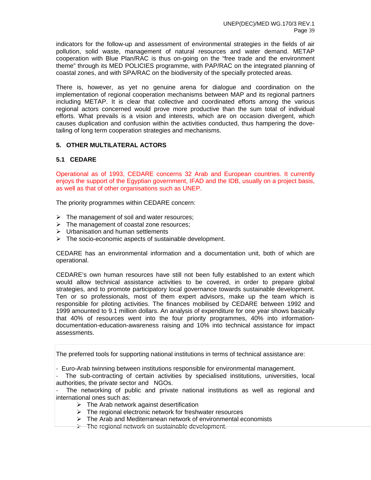indicators for the follow-up and assessment of environmental strategies in the fields of air pollution, solid waste, management of natural resources and water demand. METAP cooperation with Blue Plan/RAC is thus on-going on the "free trade and the environment theme" through its MED POLICIES programme, with PAP/RAC on the integrated planning of coastal zones, and with SPA/RAC on the biodiversity of the specially protected areas.

There is, however, as yet no genuine arena for dialogue and coordination on the implementation of regional cooperation mechanisms between MAP and its regional partners including METAP. It is clear that collective and coordinated efforts among the various regional actors concerned would prove more productive than the sum total of individual efforts. What prevails is a vision and interests, which are on occasion divergent, which causes duplication and confusion within the activities conducted, thus hampering the dovetailing of long term cooperation strategies and mechanisms.

# **5. OTHER MULTILATERAL ACTORS**

# **5.1 CEDARE**

Operational as of 1993, CEDARE concerns 32 Arab and European countries. It currently enjoys the support of the Egyptian government, IFAD and the IDB, usually on a project basis, as well as that of other organisations such as UNEP.

The priority programmes within CEDARE concern:

- $\triangleright$  The management of soil and water resources;
- $\triangleright$  The management of coastal zone resources;
- $\triangleright$  Urbanisation and human settlements
- $\triangleright$  The socio-economic aspects of sustainable development.

CEDARE has an environmental information and a documentation unit, both of which are operational.

CEDARE's own human resources have still not been fully established to an extent which would allow technical assistance activities to be covered, in order to prepare global strategies, and to promote participatory local governance towards sustainable development. Ten or so professionals, most of them expert advisors, make up the team which is responsible for piloting activities. The finances mobilised by CEDARE between 1992 and 1999 amounted to 9.1 million dollars. An analysis of expenditure for one year shows basically that 40% of resources went into the four priority programmes, 40% into informationdocumentation-education-awareness raising and 10% into technical assistance for impact assessments.

The preferred tools for supporting national institutions in terms of technical assistance are:

**-** Euro-Arab twinning between institutions responsible for environmental management.

**-** The sub-contracting of certain activities by specialised institutions, universities, local authorities, the private sector and NGOs.

**-** The networking of public and private national institutions as well as regional and international ones such as:

- $\triangleright$  The Arab network against desertification
- $\triangleright$  The regional electronic network for freshwater resources
- $\triangleright$  The Arab and Mediterranean network of environmental economists
- ¾ The regional network on sustainable development.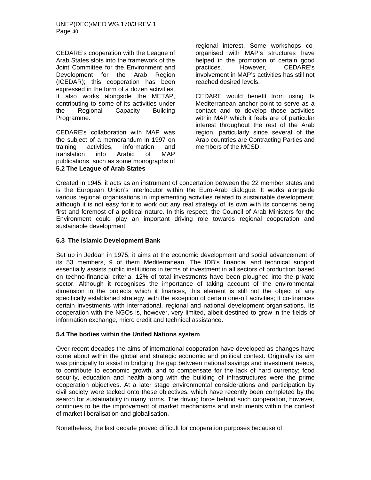CEDARE's cooperation with the League of Arab States slots into the framework of the Joint Committee for the Environment and Development for the Arab Region (ICEDAR); this cooperation has been expressed in the form of a dozen activities. It also works alongside the METAP, contributing to some of its activities under the Regional Capacity Building Programme.

CEDARE's collaboration with MAP was the subject of a memorandum in 1997 on training activities, information and translation into Arabic of MAP publications, such as some monographs of **5.2 The League of Arab States** 

regional interest. Some workshops coorganised with MAP's structures have helped in the promotion of certain good practices. However, CEDARE's involvement in MAP's activities has still not reached desired levels.

CEDARE would benefit from using its Mediterranean anchor point to serve as a contact and to develop those activities within MAP which it feels are of particular interest throughout the rest of the Arab region, particularly since several of the Arab countries are Contracting Parties and members of the MCSD.

Created in 1945, it acts as an instrument of concertation between the 22 member states and is the European Union's interlocutor within the Euro-Arab dialogue. It works alongside various regional organisations in implementing activities related to sustainable development, although it is not easy for it to work out any real strategy of its own with its concerns being first and foremost of a political nature. In this respect, the Council of Arab Ministers for the Environment could play an important driving role towards regional cooperation and sustainable development.

# **5.3 The Islamic Development Bank**

Set up in Jeddah in 1975, it aims at the economic development and social advancement of its 53 members, 9 of them Mediterranean. The IDB's financial and technical support essentially assists public institutions in terms of investment in all sectors of production based on techno-financial criteria. 12% of total investments have been ploughed into the private sector. Although it recognises the importance of taking account of the environmental dimension in the projects which it finances, this element is still not the object of any specifically established strategy, with the exception of certain one-off activities; It co-finances certain investments with international, regional and national development organisations. Its cooperation with the NGOs is, however, very limited, albeit destined to grow in the fields of information exchange, micro credit and technical assistance.

### **5.4 The bodies within the United Nations system**

Over recent decades the aims of international cooperation have developed as changes have come about within the global and strategic economic and political context. Originally its aim was principally to assist in bridging the gap between national savings and investment needs, to contribute to economic growth, and to compensate for the lack of hard currency; food security, education and health along with the building of infrastructures were the prime cooperation objectives. At a later stage environmental considerations and participation by civil society were tacked onto these objectives, which have recently been completed by the search for sustainability in many forms. The driving force behind such cooperation, however, continues to be the improvement of market mechanisms and instruments within the context of market liberalisation and globalisation.

Nonetheless, the last decade proved difficult for cooperation purposes because of: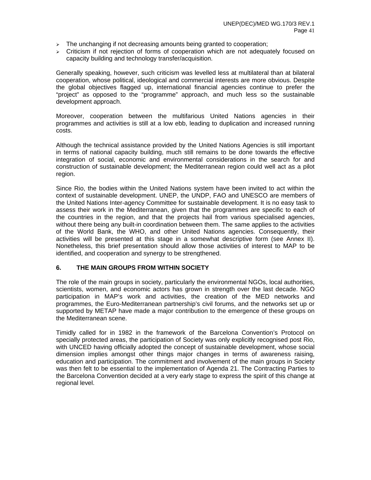- $\geq$  The unchanging if not decreasing amounts being granted to cooperation;
- $\triangleright$  Criticism if not rejection of forms of cooperation which are not adequately focused on capacity building and technology transfer/acquisition.

Generally speaking, however, such criticism was levelled less at multilateral than at bilateral cooperation, whose political, ideological and commercial interests are more obvious. Despite the global objectives flagged up, international financial agencies continue to prefer the "project" as opposed to the "programme" approach, and much less so the sustainable development approach.

Moreover, cooperation between the multifarious United Nations agencies in their programmes and activities is still at a low ebb, leading to duplication and increased running costs.

Although the technical assistance provided by the United Nations Agencies is still important in terms of national capacity building, much still remains to be done towards the effective integration of social, economic and environmental considerations in the search for and construction of sustainable development; the Mediterranean region could well act as a pilot region.

Since Rio, the bodies within the United Nations system have been invited to act within the context of sustainable development. UNEP, the UNDP, FAO and UNESCO are members of the United Nations Inter-agency Committee for sustainable development. It is no easy task to assess their work in the Mediterranean, given that the programmes are specific to each of the countries in the region, and that the projects hail from various specialised agencies, without there being any built-in coordination between them. The same applies to the activities of the World Bank, the WHO, and other United Nations agencies. Consequently, their activities will be presented at this stage in a somewhat descriptive form (see Annex II). Nonetheless, this brief presentation should allow those activities of interest to MAP to be identified, and cooperation and synergy to be strengthened.

# **6. THE MAIN GROUPS FROM WITHIN SOCIETY**

The role of the main groups in society, particularly the environmental NGOs, local authorities, scientists, women, and economic actors has grown in strength over the last decade. NGO participation in MAP's work and activities, the creation of the MED networks and programmes, the Euro-Mediterranean partnership's civil forums, and the networks set up or supported by METAP have made a major contribution to the emergence of these groups on the Mediterranean scene.

Timidly called for in 1982 in the framework of the Barcelona Convention's Protocol on specially protected areas, the participation of Society was only explicitly recognised post Rio, with UNCED having officially adopted the concept of sustainable development, whose social dimension implies amongst other things major changes in terms of awareness raising, education and participation. The commitment and involvement of the main groups in Society was then felt to be essential to the implementation of Agenda 21. The Contracting Parties to the Barcelona Convention decided at a very early stage to express the spirit of this change at regional level.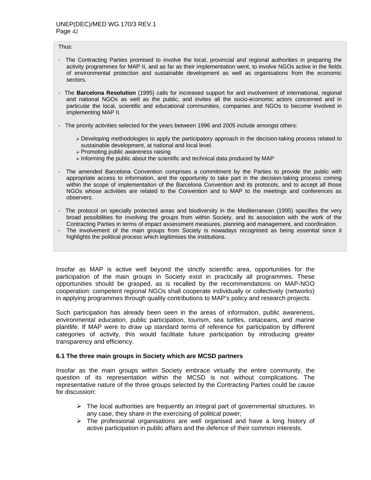Thus:

- The Contracting Parties promised to involve the local, provincial and regional authorities in preparing the activity programmes for MAP II, and as far as their implementation went, to involve NGOs active in the fields of environmental protection and sustainable development as well as organisations from the economic sectors.
- The **Barcelona Resolution** (1995) calls for increased support for and involvement of international, regional and national NGOs as well as the public, and invites all the socio-economic actors concerned and in particular the local, scientific and educational communities, companies and NGOs to become involved in implementing MAP II.
- The priority activities selected for the years between 1996 and 2005 include amongst others:
	- ¾ Developing methodologies to apply the participatory approach in the decision-taking process related to sustainable development, at national and local level.
	- $\triangleright$  Promoting public awareness raising
	- $\triangleright$  Informing the public about the scientific and technical data produced by MAP
- The amended Barcelona Convention comprises a commitment by the Parties to provide the public with appropriate access to information, and the opportunity to take part in the decision-taking process coming within the scope of implementation of the Barcelona Convention and its protocols, and to accept all those NGOs whose activities are related to the Convention and to MAP to the meetings and conferences as observers.
- The protocol on specially protected areas and biodiversity in the Mediterranean (1995) specifies the very broad possibilities for involving the groups from within Society, and its association with the work of the Contracting Parties in terms of impact assessment measures, planning and management, and coordination.
- The involvement of the main groups from Society is nowadays recognised as being essential since it highlights the political process which legitimises the institutions.

Insofar as MAP is active well beyond the strictly scientific area, opportunities for the participation of the main groups in Society exist in practically all programmes. These opportunities should be grasped, as is recalled by the recommendations on MAP-NGO cooperation: competent regional NGOs shall cooperate individually or collectively (networks) in applying programmes through quality contributions to MAP's policy and research projects.

Such participation has already been seen in the areas of information, public awareness, environmental education, public participation, tourism, sea turtles, cetaceans, and marine plantlife. If MAP were to draw up standard terms of reference for participation by different categories of activity, this would facilitate future participation by introducing greater transparency and efficiency.

### **6.1 The three main groups in Society which are MCSD partners**

Insofar as the main groups within Society embrace virtually the entire community, the question of its representation within the MCSD is not without complications. The representative nature of the three groups selected by the Contracting Parties could be cause for discussion:

- $\triangleright$  The local authorities are frequently an integral part of governmental structures. In any case, they share in the exercising of political power;
- $\triangleright$  The professional organisations are well organised and have a long history of active participation in public affairs and the defence of their common interests.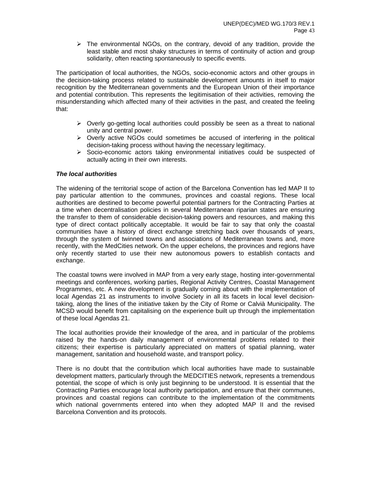$\triangleright$  The environmental NGOs, on the contrary, devoid of any tradition, provide the least stable and most shaky structures in terms of continuity of action and group solidarity, often reacting spontaneously to specific events.

The participation of local authorities, the NGOs, socio-economic actors and other groups in the decision-taking process related to sustainable development amounts in itself to major recognition by the Mediterranean governments and the European Union of their importance and potential contribution. This represents the legitimisation of their activities, removing the misunderstanding which affected many of their activities in the past, and created the feeling that:

- $\triangleright$  Overly go-getting local authorities could possibly be seen as a threat to national unity and central power.
- $\triangleright$  Overly active NGOs could sometimes be accused of interfering in the political decision-taking process without having the necessary legitimacy.
- $\triangleright$  Socio-economic actors taking environmental initiatives could be suspected of actually acting in their own interests.

## *The local authorities*

The widening of the territorial scope of action of the Barcelona Convention has led MAP II to pay particular attention to the communes, provinces and coastal regions. These local authorities are destined to become powerful potential partners for the Contracting Parties at a time when decentralisation policies in several Mediterranean riparian states are ensuring the transfer to them of considerable decision-taking powers and resources, and making this type of direct contact politically acceptable. It would be fair to say that only the coastal communities have a history of direct exchange stretching back over thousands of years, through the system of twinned towns and associations of Mediterranean towns and, more recently, with the MedCities network. On the upper echelons, the provinces and regions have only recently started to use their new autonomous powers to establish contacts and exchange.

The coastal towns were involved in MAP from a very early stage, hosting inter-governmental meetings and conferences, working parties, Regional Activity Centres, Coastal Management Programmes, etc. A new development is gradually coming about with the implementation of local Agendas 21 as instruments to involve Society in all its facets in local level decisiontaking, along the lines of the initiative taken by the City of Rome or Calvià Municipality. The MCSD would benefit from capitalising on the experience built up through the implementation of these local Agendas 21.

The local authorities provide their knowledge of the area, and in particular of the problems raised by the hands-on daily management of environmental problems related to their citizens; their expertise is particularly appreciated on matters of spatial planning, water management, sanitation and household waste, and transport policy.

There is no doubt that the contribution which local authorities have made to sustainable development matters, particularly through the MEDCITIES network, represents a tremendous potential, the scope of which is only just beginning to be understood. It is essential that the Contracting Parties encourage local authority participation, and ensure that their communes, provinces and coastal regions can contribute to the implementation of the commitments which national governments entered into when they adopted MAP II and the revised Barcelona Convention and its protocols.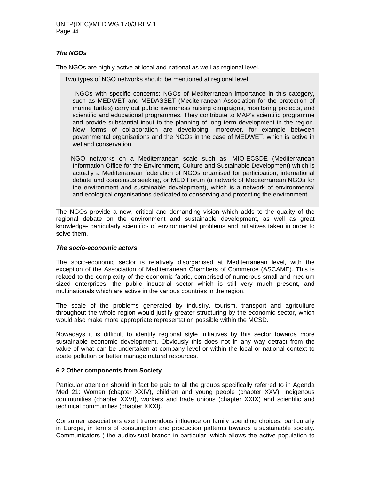# *The NGOs*

The NGOs are highly active at local and national as well as regional level.

Two types of NGO networks should be mentioned at regional level:

- NGOs with specific concerns: NGOs of Mediterranean importance in this category, such as MEDWET and MEDASSET (Mediterranean Association for the protection of marine turtles) carry out public awareness raising campaigns, monitoring projects, and scientific and educational programmes. They contribute to MAP's scientific programme and provide substantial input to the planning of long term development in the region. New forms of collaboration are developing, moreover, for example between governmental organisations and the NGOs in the case of MEDWET, which is active in wetland conservation.
- NGO networks on a Mediterranean scale such as: MIO-ECSDE (Mediterranean Information Office for the Environment, Culture and Sustainable Development) which is actually a Mediterranean federation of NGOs organised for participation, international debate and consensus seeking, or MED Forum (a network of Mediterranean NGOs for the environment and sustainable development), which is a network of environmental and ecological organisations dedicated to conserving and protecting the environment.

The NGOs provide a new, critical and demanding vision which adds to the quality of the regional debate on the environment and sustainable development, as well as great knowledge- particularly scientific- of environmental problems and initiatives taken in order to solve them.

### *The socio-economic actors*

The socio-economic sector is relatively disorganised at Mediterranean level, with the exception of the Association of Mediterranean Chambers of Commerce (ASCAME). This is related to the complexity of the economic fabric, comprised of numerous small and medium sized enterprises, the public industrial sector which is still very much present, and multinationals which are active in the various countries in the region.

The scale of the problems generated by industry, tourism, transport and agriculture throughout the whole region would justify greater structuring by the economic sector, which would also make more appropriate representation possible within the MCSD.

Nowadays it is difficult to identify regional style initiatives by this sector towards more sustainable economic development. Obviously this does not in any way detract from the value of what can be undertaken at company level or within the local or national context to abate pollution or better manage natural resources.

# **6.2 Other components from Society**

Particular attention should in fact be paid to all the groups specifically referred to in Agenda Med 21: Women (chapter XXIV), children and young people (chapter XXV), indigenous communities (chapter XXVI), workers and trade unions (chapter XXIX) and scientific and technical communities (chapter XXXI).

Consumer associations exert tremendous influence on family spending choices, particularly in Europe, in terms of consumption and production patterns towards a sustainable society. Communicators ( the audiovisual branch in particular, which allows the active population to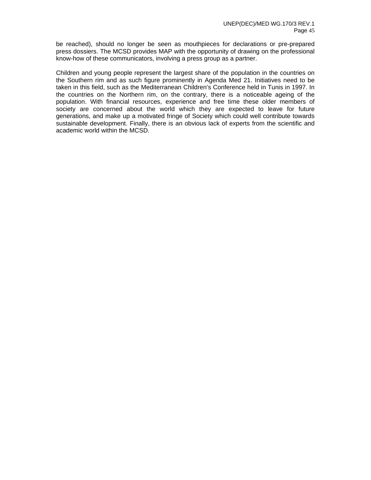be reached), should no longer be seen as mouthpieces for declarations or pre-prepared press dossiers. The MCSD provides MAP with the opportunity of drawing on the professional know-how of these communicators, involving a press group as a partner.

Children and young people represent the largest share of the population in the countries on the Southern rim and as such figure prominently in Agenda Med 21. Initiatives need to be taken in this field, such as the Mediterranean Children's Conference held in Tunis in 1997. In the countries on the Northern rim, on the contrary, there is a noticeable ageing of the population. With financial resources, experience and free time these older members of society are concerned about the world which they are expected to leave for future generations, and make up a motivated fringe of Society which could well contribute towards sustainable development. Finally, there is an obvious lack of experts from the scientific and academic world within the MCSD.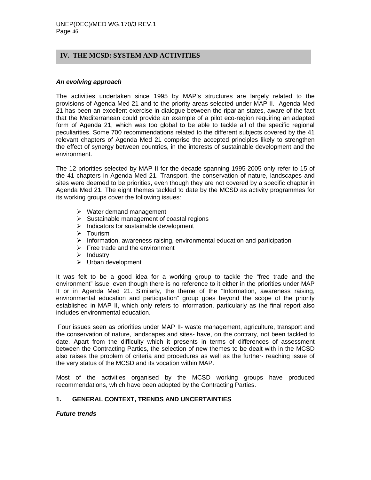# **IV. THE MCSD: SYSTEM AND ACTIVITIES**

## *An evolving approach*

The activities undertaken since 1995 by MAP's structures are largely related to the provisions of Agenda Med 21 and to the priority areas selected under MAP II. Agenda Med 21 has been an excellent exercise in dialogue between the riparian states, aware of the fact that the Mediterranean could provide an example of a pilot eco-region requiring an adapted form of Agenda 21, which was too global to be able to tackle all of the specific regional peculiarities. Some 700 recommendations related to the different subjects covered by the 41 relevant chapters of Agenda Med 21 comprise the accepted principles likely to strengthen the effect of synergy between countries, in the interests of sustainable development and the environment.

The 12 priorities selected by MAP II for the decade spanning 1995-2005 only refer to 15 of the 41 chapters in Agenda Med 21. Transport, the conservation of nature, landscapes and sites were deemed to be priorities, even though they are not covered by a specific chapter in Agenda Med 21. The eight themes tackled to date by the MCSD as activity programmes for its working groups cover the following issues:

- $\triangleright$  Water demand management
- $\triangleright$  Sustainable management of coastal regions
- $\triangleright$  Indicators for sustainable development
- $\triangleright$  Tourism
- ¾ Information, awareness raising, environmental education and participation
- $\triangleright$  Free trade and the environment
- $\triangleright$  Industry
- $\triangleright$  Urban development

It was felt to be a good idea for a working group to tackle the "free trade and the environment" issue, even though there is no reference to it either in the priorities under MAP II or in Agenda Med 21. Similarly, the theme of the "Information, awareness raising, environmental education and participation" group goes beyond the scope of the priority established in MAP II, which only refers to information, particularly as the final report also includes environmental education.

 Four issues seen as priorities under MAP II- waste management, agriculture, transport and the conservation of nature, landscapes and sites- have, on the contrary, not been tackled to date. Apart from the difficulty which it presents in terms of differences of assessment between the Contracting Parties, the selection of new themes to be dealt with in the MCSD also raises the problem of criteria and procedures as well as the further- reaching issue of the very status of the MCSD and its vocation within MAP.

Most of the activities organised by the MCSD working groups have produced recommendations, which have been adopted by the Contracting Parties.

# **1. GENERAL CONTEXT, TRENDS AND UNCERTAINTIES**

### *Future trends*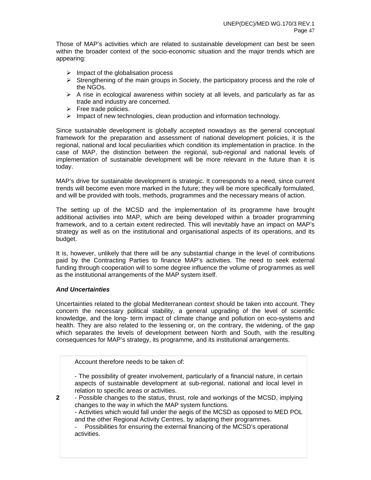Those of MAP's activities which are related to sustainable development can best be seen within the broader context of the socio-economic situation and the major trends which are appearing:

- $\triangleright$  Impact of the globalisation process
- $\triangleright$  Strengthening of the main groups in Society, the participatory process and the role of the NGOs.
- $\triangleright$  A rise in ecological awareness within society at all levels, and particularly as far as trade and industry are concerned.
- $\triangleright$  Free trade policies.
- $\triangleright$  Impact of new technologies, clean production and information technology.

Since sustainable development is globally accepted nowadays as the general conceptual framework for the preparation and assessment of national development policies, it is the regional, national and local peculiarities which condition its implementation in practice. In the case of MAP, the distinction between the regional, sub-regional and national levels of implementation of sustainable development will be more relevant in the future than it is today.

MAP's drive for sustainable development is strategic. It corresponds to a need, since current trends will become even more marked in the future; they will be more specifically formulated, and will be provided with tools, methods, programmes and the necessary means of action.

The setting up of the MCSD and the implementation of its programme have brought additional activities into MAP, which are being developed within a broader programming framework, and to a certain extent redirected. This will inevitably have an impact on MAP's strategy as well as on the institutional and organisational aspects of its operations, and its budget.

It is, however, unlikely that there will be any substantial change in the level of contributions paid by the Contracting Parties to finance MAP's activities. The need to seek external funding through cooperation will to some degree influence the volume of programmes as well as the institutional arrangements of the MAP system itself.

# *And Uncertainties*

Uncertainties related to the global Mediterranean context should be taken into account. They concern the necessary political stability, a general upgrading of the level of scientific knowledge, and the long- term impact of climate change and pollution on eco-systems and health. They are also related to the lessening or, on the contrary, the widening, of the gap which separates the levels of development between North and South, with the resulting consequences for MAP's strategy, its programme, and its institutional arrangements.

Account therefore needs to be taken of:

- The possibility of greater involvement, particularly of a financial nature, in certain aspects of sustainable development at sub-regional, national and local level in relation to specific areas or activities.

**2** - Possible changes to the status, thrust, role and workings of the MCSD, implying changes to the way in which the MAP system functions.

- Activities which would fall under the aegis of the MCSD as opposed to MED POL and the other Regional Activity Centres, by adapting their programmes.

Possibilities for ensuring the external financing of the MCSD's operational activities.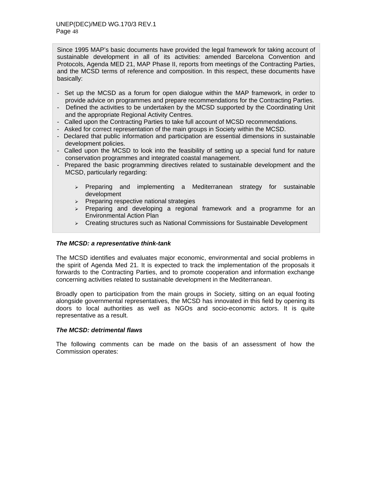Since 1995 MAP's basic documents have provided the legal framework for taking account of sustainable development in all of its activities: amended Barcelona Convention and Protocols, Agenda MED 21, MAP Phase II, reports from meetings of the Contracting Parties, and the MCSD terms of reference and composition. In this respect, these documents have basically:

- Set up the MCSD as a forum for open dialogue within the MAP framework, in order to provide advice on programmes and prepare recommendations for the Contracting Parties.
- Defined the activities to be undertaken by the MCSD supported by the Coordinating Unit and the appropriate Regional Activity Centres.
- Called upon the Contracting Parties to take full account of MCSD recommendations.
- Asked for correct representation of the main groups in Society within the MCSD.
- Declared that public information and participation are essential dimensions in sustainable development policies.
- Called upon the MCSD to look into the feasibility of setting up a special fund for nature conservation programmes and integrated coastal management.
- Prepared the basic programming directives related to sustainable development and the MCSD, particularly regarding:
	- $\ge$  Preparing and implementing a Mediterranean strategy for sustainable development
	- $\triangleright$  Preparing respective national strategies
	- $\triangleright$  Preparing and developing a regional framework and a programme for an Environmental Action Plan
	- ¾ Creating structures such as National Commissions for Sustainable Development

## *The MCSD: a representative think-tank*

The MCSD identifies and evaluates major economic, environmental and social problems in the spirit of Agenda Med 21. It is expected to track the implementation of the proposals it forwards to the Contracting Parties, and to promote cooperation and information exchange concerning activities related to sustainable development in the Mediterranean.

Broadly open to participation from the main groups in Society, sitting on an equal footing alongside governmental representatives, the MCSD has innovated in this field by opening its doors to local authorities as well as NGOs and socio-economic actors. It is quite representative as a result.

## *The MCSD: detrimental flaws*

The following comments can be made on the basis of an assessment of how the Commission operates: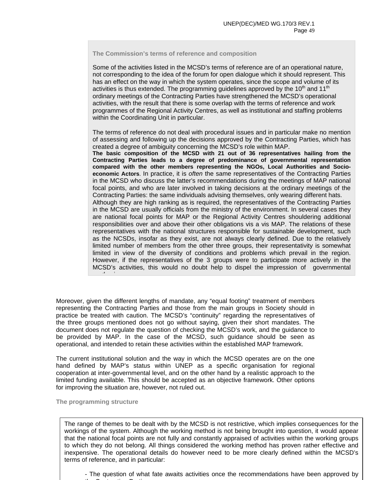**The Commission's terms of reference and composition** 

Some of the activities listed in the MCSD's terms of reference are of an operational nature, not corresponding to the idea of the forum for open dialogue which it should represent. This has an effect on the way in which the system operates, since the scope and volume of its activities is thus extended. The programming guidelines approved by the 10<sup>th</sup> and 11<sup>th</sup> ordinary meetings of the Contracting Parties have strengthened the MCSD's operational activities, with the result that there is some overlap with the terms of reference and work programmes of the Regional Activity Centres, as well as institutional and staffing problems within the Coordinating Unit in particular.

The terms of reference do not deal with procedural issues and in particular make no mention of assessing and following up the decisions approved by the Contracting Parties, which has created a degree of ambiguity concerning the MCSD's role within MAP.

**The basic composition of the MCSD with 21 out of 36 representatives hailing from the Contracting Parties leads to a degree of predominance of governmental representation compared with the other members representing the NGOs, Local Authorities and Socioeconomic Actors**. In practice, it is *often* the same representatives of the Contracting Parties in the MCSD who discuss the latter's recommendations during the meetings of MAP national focal points, and who are later involved in taking decisions at the ordinary meetings of the Contracting Parties: the same individuals advising themselves, only wearing different hats.

Although they are high ranking as is required, the representatives of the Contracting Parties in the MCSD are usually officials from the ministry of the environment. In several cases they are national focal points for MAP or the Regional Activity Centres shouldering additional responsibilities over and above their other obligations vis a vis MAP. The relations of these representatives with the national structures responsible for sustainable development, such as the NCSDs, insofar as they exist, are not always clearly defined. Due to the relatively limited number of members from the other three groups, their representativity is somewhat limited in view of the diversity of conditions and problems which prevail in the region. However, if the representatives of the 3 groups were to participate more actively in the MCSD's activities, this would no doubt help to dispel the impression of governmental d i

Moreover, given the different lengths of mandate, any "equal footing" treatment of members representing the Contracting Parties and those from the main groups in Society should in practice be treated with caution. The MCSD's "continuity" regarding the representatives of the three groups mentioned does not go without saying, given their short mandates. The document does not regulate the question of checking the MCSD's work, and the guidance to be provided by MAP. In the case of the MCSD, such guidance should be seen as operational, and intended to retain these activities within the established MAP framework.

The current institutional solution and the way in which the MCSD operates are on the one hand defined by MAP's status within UNEP as a specific organisation for regional cooperation at inter-governmental level, and on the other hand by a realistic approach to the limited funding available. This should be accepted as an objective framework. Other options for improving the situation are, however, not ruled out.

### **The programming structure**

The range of themes to be dealt with by the MCSD is not restrictive, which implies consequences for the workings of the system. Although the working method is not being brought into question, it would appear that the national focal points are not fully and constantly appraised of activities within the working groups to which they do not belong. All things considered the working method has proven rather effective and inexpensive. The operational details do however need to be more clearly defined within the MCSD's terms of reference, and in particular:

- The question of what fate awaits activities once the recommendations have been approved by  $\alpha$  time  $\alpha$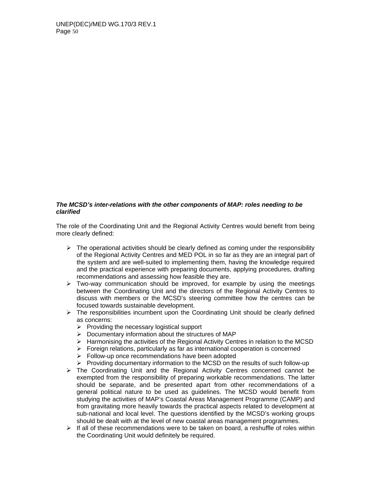# *The MCSD's inter-relations with the other components of MAP: roles needing to be clarified*

The role of the Coordinating Unit and the Regional Activity Centres would benefit from being more clearly defined:

- $\triangleright$  The operational activities should be clearly defined as coming under the responsibility of the Regional Activity Centres and MED POL in so far as they are an integral part of the system and are well-suited to implementing them, having the knowledge required and the practical experience with preparing documents, applying procedures, drafting recommendations and assessing how feasible they are.
- $\triangleright$  Two-way communication should be improved, for example by using the meetings between the Coordinating Unit and the directors of the Regional Activity Centres to discuss with members or the MCSD's steering committee how the centres can be focused towards sustainable development.
- $\triangleright$  The responsibilities incumbent upon the Coordinating Unit should be clearly defined as concerns:
	- $\triangleright$  Providing the necessary logistical support
	- $\triangleright$  Documentary information about the structures of MAP
	- $\triangleright$  Harmonising the activities of the Regional Activity Centres in relation to the MCSD
	- $\triangleright$  Foreign relations, particularly as far as international cooperation is concerned
	- $\triangleright$  Follow-up once recommendations have been adopted
	- $\triangleright$  Providing documentary information to the MCSD on the results of such follow-up
- $\triangleright$  The Coordinating Unit and the Regional Activity Centres concerned cannot be exempted from the responsibility of preparing workable recommendations. The latter should be separate, and be presented apart from other recommendations of a general political nature to be used as guidelines. The MCSD would benefit from studying the activities of MAP's Coastal Areas Management Programme (CAMP) and from gravitating more heavily towards the practical aspects related to development at sub-national and local level. The questions identified by the MCSD's working groups should be dealt with at the level of new coastal areas management programmes.
- $\triangleright$  If all of these recommendations were to be taken on board, a reshuffle of roles within the Coordinating Unit would definitely be required.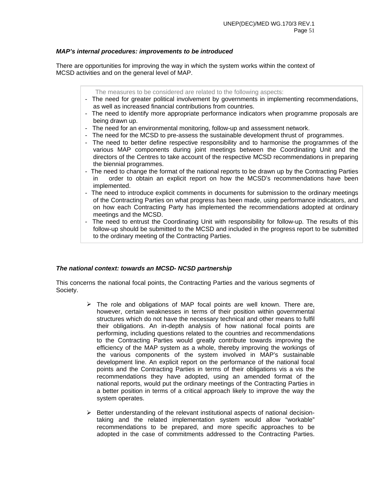## *MAP's internal procedures: improvements to be introduced*

There are opportunities for improving the way in which the system works within the context of MCSD activities and on the general level of MAP.

The measures to be considered are related to the following aspects:

- The need for greater political involvement by governments in implementing recommendations, as well as increased financial contributions from countries.
- The need to identify more appropriate performance indicators when programme proposals are being drawn up.
- The need for an environmental monitoring, follow-up and assessment network.
- The need for the MCSD to pre-assess the sustainable development thrust of programmes.
- The need to better define respective responsibility and to harmonise the programmes of the various MAP components during joint meetings between the Coordinating Unit and the directors of the Centres to take account of the respective MCSD recommendations in preparing the biennial programmes.
- The need to change the format of the national reports to be drawn up by the Contracting Parties in order to obtain an explicit report on how the MCSD's recommendations have been implemented.
- The need to introduce explicit comments in documents for submission to the ordinary meetings of the Contracting Parties on what progress has been made, using performance indicators, and on how each Contracting Party has implemented the recommendations adopted at ordinary meetings and the MCSD.
- The need to entrust the Coordinating Unit with responsibility for follow-up. The results of this follow-up should be submitted to the MCSD and included in the progress report to be submitted to the ordinary meeting of the Contracting Parties.

# *The national context: towards an MCSD- NCSD partnership*

This concerns the national focal points, the Contracting Parties and the various segments of Society.

- $\triangleright$  The role and obligations of MAP focal points are well known. There are, however, certain weaknesses in terms of their position within governmental structures which do not have the necessary technical and other means to fulfil their obligations. An in-depth analysis of how national focal points are performing, including questions related to the countries and recommendations to the Contracting Parties would greatly contribute towards improving the efficiency of the MAP system as a whole, thereby improving the workings of the various components of the system involved in MAP's sustainable development line. An explicit report on the performance of the national focal points and the Contracting Parties in terms of their obligations vis a vis the recommendations they have adopted, using an amended format of the national reports, would put the ordinary meetings of the Contracting Parties in a better position in terms of a critical approach likely to improve the way the system operates.
- $\triangleright$  Better understanding of the relevant institutional aspects of national decisiontaking and the related implementation system would allow "workable" recommendations to be prepared, and more specific approaches to be adopted in the case of commitments addressed to the Contracting Parties.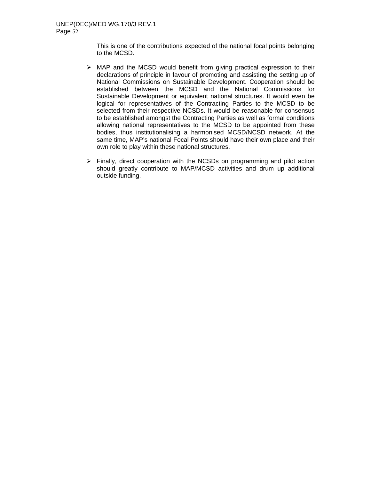This is one of the contributions expected of the national focal points belonging to the MCSD.

- $\triangleright$  MAP and the MCSD would benefit from giving practical expression to their declarations of principle in favour of promoting and assisting the setting up of National Commissions on Sustainable Development. Cooperation should be established between the MCSD and the National Commissions for Sustainable Development or equivalent national structures. It would even be logical for representatives of the Contracting Parties to the MCSD to be selected from their respective NCSDs. It would be reasonable for consensus to be established amongst the Contracting Parties as well as formal conditions allowing national representatives to the MCSD to be appointed from these bodies, thus institutionalising a harmonised MCSD/NCSD network. At the same time, MAP's national Focal Points should have their own place and their own role to play within these national structures.
- $\triangleright$  Finally, direct cooperation with the NCSDs on programming and pilot action should greatly contribute to MAP/MCSD activities and drum up additional outside funding.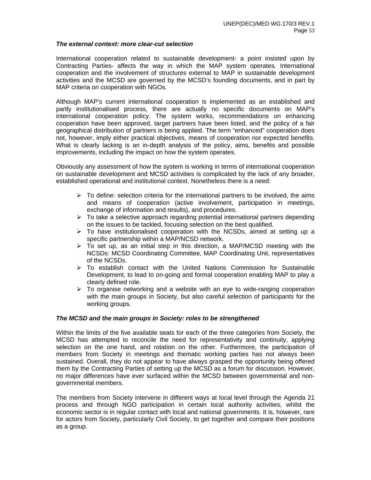#### *The external context: more clear-cut selection*

International cooperation related to sustainable development- a point insisted upon by Contracting Parties- affects the way in which the MAP system operates. International cooperation and the involvement of structures external to MAP in sustainable development activities and the MCSD are governed by the MCSD's founding documents, and in part by MAP criteria on cooperation with NGOs.

Although MAP's current international cooperation is implemented as an established and partly institutionalised process, there are actually no specific documents on MAP's international cooperation policy. The system works, recommendations on enhancing cooperation have been approved, target partners have been listed, and the policy of a fair geographical distribution of partners is being applied. The term "enhanced" cooperation does not, however, imply either practical objectives, means of cooperation nor expected benefits. What is clearly lacking is an in-depth analysis of the policy, aims, benefits and possible improvements, including the impact on how the system operates.

Obviously any assessment of how the system is working in terms of international cooperation on sustainable development and MCSD activities is complicated by the lack of any broader, established operational and institutional context. Nonetheless there is a need:

- $\triangleright$  To define: selection criteria for the international partners to be involved, the aims and means of cooperation (active involvement, participation in meetings, exchange of information and results), and procedures.
- $\triangleright$  To take a selective approach regarding potential international partners depending on the issues to be tackled, focusing selection on the best qualified.
- $\triangleright$  To have institutionalised cooperation with the NCSDs, aimed at setting up a specific partnership within a MAP/NCSD network.
- $\triangleright$  To set up, as an initial step in this direction, a MAP/MCSD meeting with the NCSDs: MCSD Coordinating Committee, MAP Coordinating Unit, representatives of the NCSDs.
- $\triangleright$  To establish contact with the United Nations Commission for Sustainable Development, to lead to on-going and formal cooperation enabling MAP to play a clearly defined role.
- $\triangleright$  To organise networking and a website with an eye to wide-ranging cooperation with the main groups in Society, but also careful selection of participants for the working groups.

### *The MCSD and the main groups in Society: roles to be strengthened*

Within the limits of the five available seats for each of the three categories from Society, the MCSD has attempted to reconcile the need for representativity and continuity, applying selection on the one hand, and rotation on the other. Furthermore, the participation of members from Society in meetings and thematic working parties has not always been sustained. Overall, they do not appear to have always grasped the opportunity being offered them by the Contracting Parties of setting up the MCSD as a forum for discussion. However, no major differences have ever surfaced within the MCSD between governmental and nongovernmental members.

The members from Society intervene in different ways at local level through the Agenda 21 process and through NGO participation in certain local authority activities, whilst the economic sector is in regular contact with local and national governments. It is, however, rare for actors from Society, particularly Civil Society, to get together and compare their positions as a group.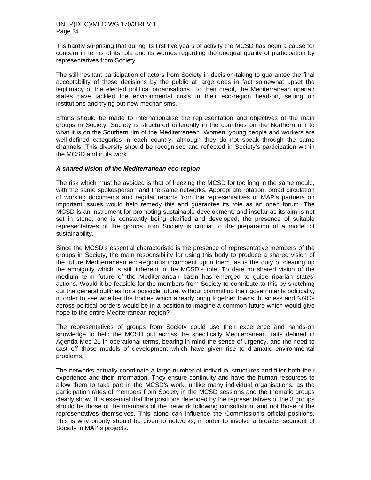It is hardly surprising that during its first five years of activity the MCSD has been a cause for concern in terms of its role and its worries regarding the unequal quality of participation by representatives from Society.

The still hesitant participation of actors from Society in decision-taking to guarantee the final acceptability of these decisions by the public at large does in fact somewhat upset the legitimacy of the elected political organisations. To their credit, the Mediterranean riparian states have tackled the environmental crisis in their eco-region head-on, setting up institutions and trying out new mechanisms.

Efforts should be made to internationalise the representation and objectives of the main groups in Society. Society is structured differently in the countries on the Northern rim to what it is on the Southern rim of the Mediterranean. Women, young people and workers are well-defined categories in each country, although they do not speak through the same channels. This diversity should be recognised and reflected in Society's participation within the MCSD and in its work.

## *A shared vision of the Mediterranean eco-region*

The risk which must be avoided is that of freezing the MCSD for too long in the same mould, with the same spokesperson and the same networks. Appropriate rotation, broad circulation of working documents and regular reports from the representatives of MAP's partners on important issues would help remedy this and guarantee its role as an open forum. The MCSD is an instrument for promoting sustainable development, and insofar as its aim is not set in stone, and is constantly being clarified and developed, the presence of suitable representatives of the groups from Society is crucial to the preparation of a model of sustainability.

Since the MCSD's essential characteristic is the presence of representative members of the groups in Society, the main responsibility for using this body to produce a shared vision of the future Mediterranean eco-region is incumbent upon them, as is the duty of clearing up the ambiguity which is still inherent in the MCSD's role. To date no shared vision of the medium term future of the Mediterranean basin has emerged to guide riparian states' actions. Would it be feasible for the members from Society to contribute to this by sketching out the general outlines for a possible future, without committing their governments politically, in order to see whether the bodies which already bring together towns, business and NGOs across political borders would be in a position to imagine a common future which would give hope to the entire Mediterranean region?

The representatives of groups from Society could use their experience and hands-on knowledge to help the MCSD put across the specifically Mediterranean traits defined in Agenda Med 21 in operational terms, bearing in mind the sense of urgency, and the need to cast off those models of development which have given rise to dramatic environmental problems.

The networks actually coordinate a large number of individual structures and filter both their experience and their information. They ensure continuity and have the human resources to allow them to take part in the MCSD's work, unlike many individual organisations, as the participation rates of members from Society in the MCSD sessions and the thematic groups clearly show. It is essential that the positions defended by the representatives of the 3 groups should be those of the members of the network following consultation, and not those of the representatives themselves. This alone can influence the Commission's official positions. This is why priority should be given to networks, in order to involve a broader segment of Society in MAP's projects.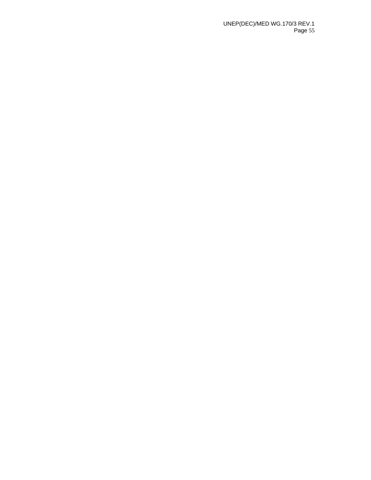UNEP(DEC)/MED WG.170/3 REV.1 Page 55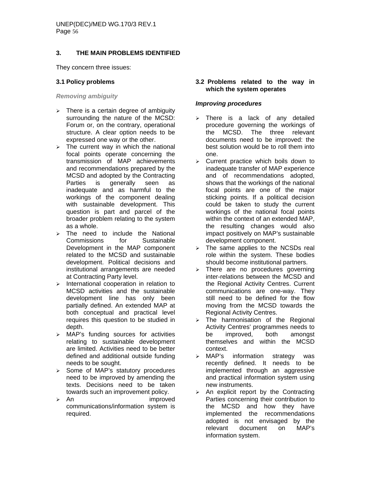# **3. THE MAIN PROBLEMS IDENTIFIED**

They concern three issues:

# **3.1 Policy problems**

*Removing ambiguity* 

- $\triangleright$  There is a certain degree of ambiguity surrounding the nature of the MCSD: Forum or, on the contrary, operational structure. A clear option needs to be expressed one way or the other.
- $\geq$  The current way in which the national focal points operate concerning the transmission of MAP achievements and recommendations prepared by the MCSD and adopted by the Contracting Parties is generally seen as inadequate and as harmful to the workings of the component dealing with sustainable development. This question is part and parcel of the broader problem relating to the system as a whole.
- $\geq$  The need to include the National Commissions for Sustainable Development in the MAP component related to the MCSD and sustainable development. Political decisions and institutional arrangements are needed at Contracting Party level.
- $\triangleright$  International cooperation in relation to MCSD activities and the sustainable development line has only been partially defined. An extended MAP at both conceptual and practical level requires this question to be studied in depth.
- $\triangleright$  MAP's funding sources for activities relating to sustainable development are limited. Activities need to be better defined and additional outside funding needs to be sought.
- ¾ Some of MAP's statutory procedures need to be improved by amending the texts. Decisions need to be taken towards such an improvement policy.
- ¾ An improved communications/information system is required.

# **3.2 Problems related to the way in which the system operates**

# *Improving procedures*

- $\geq$  There is a lack of any detailed procedure governing the workings of the MCSD. The three relevant documents need to be improved: the best solution would be to roll them into one.
- $\triangleright$  Current practice which boils down to inadequate transfer of MAP experience and of recommendations adopted, shows that the workings of the national focal points are one of the major sticking points. If a political decision could be taken to study the current workings of the national focal points within the context of an extended MAP, the resulting changes would also impact positively on MAP's sustainable development component.
- $\geq$  The same applies to the NCSDs real role within the system. These bodies should become institutional partners.
- ¾ There are no procedures governing inter-relations between the MCSD and the Regional Activity Centres. Current communications are one-way. They still need to be defined for the flow moving from the MCSD towards the Regional Activity Centres.
- $\geq$  The harmonisation of the Regional Activity Centres' programmes needs to be improved, both amongst themselves and within the MCSD context.
- ¾ MAP's information strategy was recently defined. It needs to be implemented through an aggressive and practical information system using new instruments.
- $\geq$  An explicit report by the Contracting Parties concerning their contribution to the MCSD and how they have implemented the recommendations adopted is not envisaged by the relevant document on MAP's information system.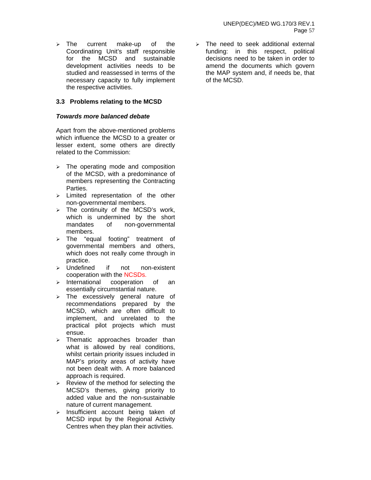$\geq$  The current make-up of the Coordinating Unit's staff responsible for the MCSD and sustainable development activities needs to be studied and reassessed in terms of the necessary capacity to fully implement the respective activities.

# **3.3 Problems relating to the MCSD**

### *Towards more balanced debate*

Apart from the above-mentioned problems which influence the MCSD to a greater or lesser extent, some others are directly related to the Commission:

- $\triangleright$  The operating mode and composition of the MCSD, with a predominance of members representing the Contracting Parties.
- $\triangleright$  Limited representation of the other non-governmental members.
- $\triangleright$  The continuity of the MCSD's work, which is undermined by the short mandates of non-governmental members.
- $\geq$  The "equal footing" treatment of governmental members and others, which does not really come through in practice.
- ¾ Undefined if not non-existent cooperation with the NCSDs.
- ¾ International cooperation of an essentially circumstantial nature.
- $\geq$  The excessively general nature of recommendations prepared by the MCSD, which are often difficult to implement, and unrelated to the practical pilot projects which must ensue.
- $\geq$  Thematic approaches broader than what is allowed by real conditions, whilst certain priority issues included in MAP's priority areas of activity have not been dealt with. A more balanced approach is required.
- $\triangleright$  Review of the method for selecting the MCSD's themes, giving priority to added value and the non-sustainable nature of current management.
- $\geq$  Insufficient account being taken of MCSD input by the Regional Activity Centres when they plan their activities.

 $\geq$  The need to seek additional external funding: in this respect, political decisions need to be taken in order to amend the documents which govern the MAP system and, if needs be, that of the MCSD.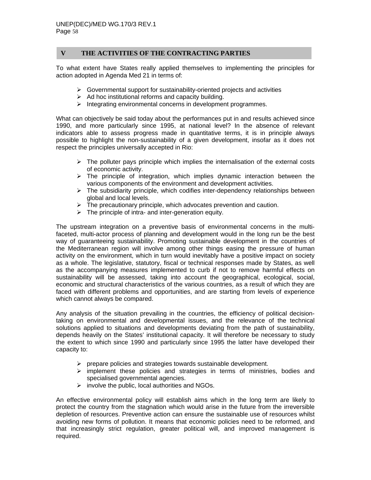# **V THE ACTIVITIES OF THE CONTRACTING PARTIES**

To what extent have States really applied themselves to implementing the principles for action adopted in Agenda Med 21 in terms of:

- $\triangleright$  Governmental support for sustainability-oriented projects and activities
- $\triangleright$  Ad hoc institutional reforms and capacity building.
- $\triangleright$  Integrating environmental concerns in development programmes.

What can objectively be said today about the performances put in and results achieved since 1990, and more particularly since 1995, at national level? In the absence of relevant indicators able to assess progress made in quantitative terms, it is in principle always possible to highlight the non-sustainability of a given development, insofar as it does not respect the principles universally accepted in Rio:

- $\triangleright$  The polluter pays principle which implies the internalisation of the external costs of economic activity.
- $\triangleright$  The principle of integration, which implies dynamic interaction between the various components of the environment and development activities.
- $\triangleright$  The subsidiarity principle, which codifies inter-dependency relationships between global and local levels.
- $\triangleright$  The precautionary principle, which advocates prevention and caution.
- $\triangleright$  The principle of intra- and inter-generation equity.

The upstream integration on a preventive basis of environmental concerns in the multifaceted, multi-actor process of planning and development would in the long run be the best way of guaranteeing sustainability. Promoting sustainable development in the countries of the Mediterranean region will involve among other things easing the pressure of human activity on the environment, which in turn would inevitably have a positive impact on society as a whole. The legislative, statutory, fiscal or technical responses made by States, as well as the accompanying measures implemented to curb if not to remove harmful effects on sustainability will be assessed, taking into account the geographical, ecological, social, economic and structural characteristics of the various countries, as a result of which they are faced with different problems and opportunities, and are starting from levels of experience which cannot always be compared.

Any analysis of the situation prevailing in the countries, the efficiency of political decisiontaking on environmental and developmental issues, and the relevance of the technical solutions applied to situations and developments deviating from the path of sustainability, depends heavily on the States' institutional capacity. It will therefore be necessary to study the extent to which since 1990 and particularly since 1995 the latter have developed their capacity to:

- $\triangleright$  prepare policies and strategies towards sustainable development.
- $\triangleright$  implement these policies and strategies in terms of ministries, bodies and specialised governmental agencies.
- $\triangleright$  involve the public, local authorities and NGOs.

An effective environmental policy will establish aims which in the long term are likely to protect the country from the stagnation which would arise in the future from the irreversible depletion of resources. Preventive action can ensure the sustainable use of resources whilst avoiding new forms of pollution. It means that economic policies need to be reformed, and that increasingly strict regulation, greater political will, and improved management is required.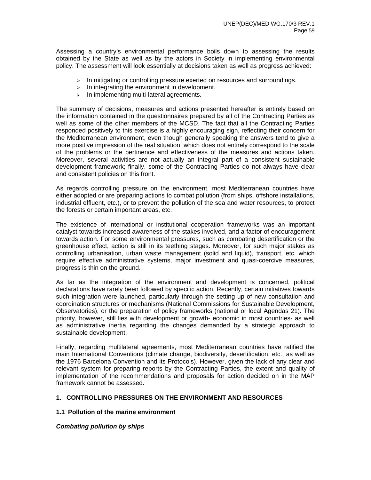Assessing a country's environmental performance boils down to assessing the results obtained by the State as well as by the actors in Society in implementing environmental policy. The assessment will look essentially at decisions taken as well as progress achieved:

- ¾ In mitigating or controlling pressure exerted on resources and surroundings.
- $\geq$  In integrating the environment in development.
- $\geq$  In implementing multi-lateral agreements.

The summary of decisions, measures and actions presented hereafter is entirely based on the information contained in the questionnaires prepared by all of the Contracting Parties as well as some of the other members of the MCSD. The fact that all the Contracting Parties responded positively to this exercise is a highly encouraging sign, reflecting their concern for the Mediterranean environment, even though generally speaking the answers tend to give a more positive impression of the real situation, which does not entirely correspond to the scale of the problems or the pertinence and effectiveness of the measures and actions taken. Moreover, several activities are not actually an integral part of a consistent sustainable development framework; finally, some of the Contracting Parties do not always have clear and consistent policies on this front.

As regards controlling pressure on the environment, most Mediterranean countries have either adopted or are preparing actions to combat pollution (from ships, offshore installations, industrial effluent, etc.), or to prevent the pollution of the sea and water resources, to protect the forests or certain important areas, etc.

The existence of international or institutional cooperation frameworks was an important catalyst towards increased awareness of the stakes involved, and a factor of encouragement towards action. For some environmental pressures, such as combating desertification or the greenhouse effect, action is still in its teething stages. Moreover, for such major stakes as controlling urbanisation, urban waste management (solid and liquid), transport, etc. which require effective administrative systems, major investment and quasi-coercive measures, progress is thin on the ground.

As far as the integration of the environment and development is concerned, political declarations have rarely been followed by specific action. Recently, certain initiatives towards such integration were launched, particularly through the setting up of new consultation and coordination structures or mechanisms (National Commissions for Sustainable Development, Observatories), or the preparation of policy frameworks (national or local Agendas 21). The priority, however, still lies with development or growth- economic in most countries- as well as administrative inertia regarding the changes demanded by a strategic approach to sustainable development.

Finally, regarding multilateral agreements, most Mediterranean countries have ratified the main International Conventions (climate change, biodiversity, desertification, etc., as well as the 1976 Barcelona Convention and its Protocols). However, given the lack of any clear and relevant system for preparing reports by the Contracting Parties, the extent and quality of implementation of the recommendations and proposals for action decided on in the MAP framework cannot be assessed.

## **1. CONTROLLING PRESSURES ON THE ENVIRONMENT AND RESOURCES**

# **1.1 Pollution of the marine environment**

*Combating pollution by ships*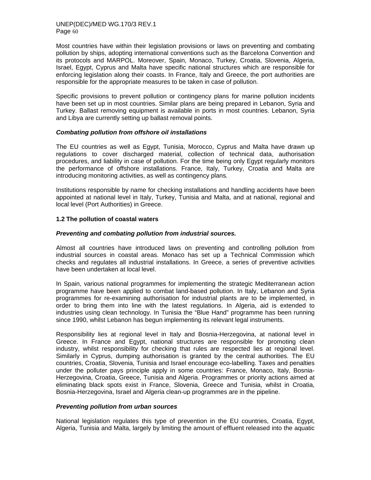## UNEP(DEC)/MED WG.170/3 REV.1 Page 60

Most countries have within their legislation provisions or laws on preventing and combating pollution by ships, adopting international conventions such as the Barcelona Convention and its protocols and MARPOL. Moreover, Spain, Monaco, Turkey, Croatia, Slovenia, Algeria, Israel, Egypt, Cyprus and Malta have specific national structures which are responsible for enforcing legislation along their coasts. In France, Italy and Greece, the port authorities are responsible for the appropriate measures to be taken in case of pollution.

Specific provisions to prevent pollution or contingency plans for marine pollution incidents have been set up in most countries. Similar plans are being prepared in Lebanon, Syria and Turkey. Ballast removing equipment is available in ports in most countries. Lebanon, Syria and Libya are currently setting up ballast removal points.

## *Combating pollution from offshore oil installations*

The EU countries as well as Egypt, Tunisia, Morocco, Cyprus and Malta have drawn up regulations to cover discharged material, collection of technical data, authorisation procedures, and liability in case of pollution. For the time being only Egypt regularly monitors the performance of offshore installations. France, Italy, Turkey, Croatia and Malta are introducing monitoring activities, as well as contingency plans.

Institutions responsible by name for checking installations and handling accidents have been appointed at national level in Italy, Turkey, Tunisia and Malta, and at national, regional and local level (Port Authorities) in Greece.

# **1.2 The pollution of coastal waters**

## *Preventing and combating pollution from industrial sources.*

Almost all countries have introduced laws on preventing and controlling pollution from industrial sources in coastal areas. Monaco has set up a Technical Commission which checks and regulates all industrial installations. In Greece, a series of preventive activities have been undertaken at local level.

In Spain, various national programmes for implementing the strategic Mediterranean action programme have been applied to combat land-based pollution. In Italy, Lebanon and Syria programmes for re-examining authorisation for industrial plants are to be implemented, in order to bring them into line with the latest regulations. In Algeria, aid is extended to industries using clean technology. In Tunisia the "Blue Hand" programme has been running since 1990, whilst Lebanon has begun implementing its relevant legal instruments.

Responsibility lies at regional level in Italy and Bosnia-Herzegovina, at national level in Greece. In France and Egypt, national structures are responsible for promoting clean industry, whilst responsibility for checking that rules are respected lies at regional level. Similarly in Cyprus, dumping authorisation is granted by the central authorities. The EU countries, Croatia, Slovenia, Tunisia and Israel encourage eco-labelling. Taxes and penalties under the polluter pays principle apply in some countries: France, Monaco, Italy, Bosnia-Herzegovina, Croatia, Greece, Tunisia and Algeria. Programmes or priority actions aimed at eliminating black spots exist in France, Slovenia, Greece and Tunisia, whilst in Croatia, Bosnia-Herzegovina, Israel and Algeria clean-up programmes are in the pipeline.

### *Preventing pollution from urban sources*

National legislation regulates this type of prevention in the EU countries, Croatia, Egypt, Algeria, Tunisia and Malta, largely by limiting the amount of effluent released into the aquatic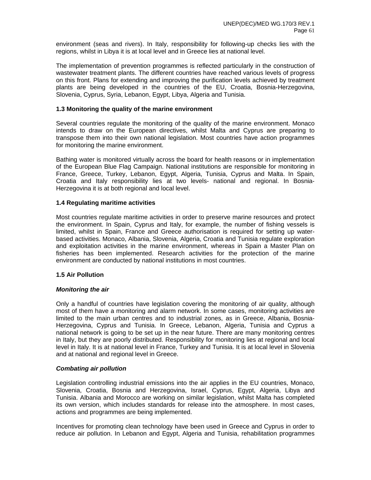environment (seas and rivers). In Italy, responsibility for following-up checks lies with the regions, whilst in Libya it is at local level and in Greece lies at national level.

The implementation of prevention programmes is reflected particularly in the construction of wastewater treatment plants. The different countries have reached various levels of progress on this front. Plans for extending and improving the purification levels achieved by treatment plants are being developed in the countries of the EU, Croatia, Bosnia-Herzegovina, Slovenia, Cyprus, Syria, Lebanon, Egypt, Libya, Algeria and Tunisia.

## **1.3 Monitoring the quality of the marine environment**

Several countries regulate the monitoring of the quality of the marine environment. Monaco intends to draw on the European directives, whilst Malta and Cyprus are preparing to transpose them into their own national legislation. Most countries have action programmes for monitoring the marine environment.

Bathing water is monitored virtually across the board for health reasons or in implementation of the European Blue Flag Campaign. National institutions are responsible for monitoring in France, Greece, Turkey, Lebanon, Egypt, Algeria, Tunisia, Cyprus and Malta. In Spain, Croatia and Italy responsibility lies at two levels- national and regional. In Bosnia-Herzegovina it is at both regional and local level.

## **1.4 Regulating maritime activities**

Most countries regulate maritime activities in order to preserve marine resources and protect the environment. In Spain, Cyprus and Italy, for example, the number of fishing vessels is limited, whilst in Spain, France and Greece authorisation is required for setting up waterbased activities. Monaco, Albania, Slovenia, Algeria, Croatia and Tunisia regulate exploration and exploitation activities in the marine environment, whereas in Spain a Master Plan on fisheries has been implemented. Research activities for the protection of the marine environment are conducted by national institutions in most countries.

### **1.5 Air Pollution**

### *Monitoring the air*

Only a handful of countries have legislation covering the monitoring of air quality, although most of them have a monitoring and alarm network. In some cases, monitoring activities are limited to the main urban centres and to industrial zones, as in Greece, Albania, Bosnia-Herzegovina, Cyprus and Tunisia. In Greece, Lebanon, Algeria, Tunisia and Cyprus a national network is going to be set up in the near future. There are many monitoring centres in Italy, but they are poorly distributed. Responsibility for monitoring lies at regional and local level in Italy. It is at national level in France, Turkey and Tunisia. It is at local level in Slovenia and at national and regional level in Greece.

# *Combating air pollution*

Legislation controlling industrial emissions into the air applies in the EU countries, Monaco, Slovenia, Croatia, Bosnia and Herzegovina, Israel, Cyprus, Egypt, Algeria, Libya and Tunisia. Albania and Morocco are working on similar legislation, whilst Malta has completed its own version, which includes standards for release into the atmosphere. In most cases, actions and programmes are being implemented.

Incentives for promoting clean technology have been used in Greece and Cyprus in order to reduce air pollution. In Lebanon and Egypt, Algeria and Tunisia, rehabilitation programmes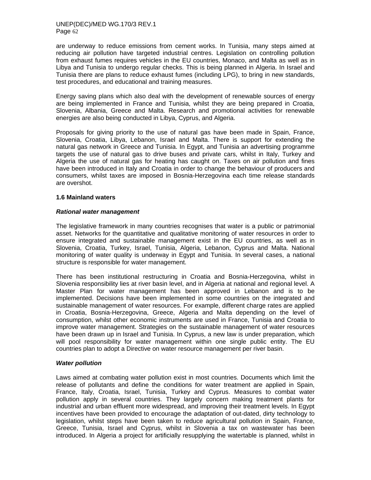## UNEP(DEC)/MED WG.170/3 REV.1 Page 62

are underway to reduce emissions from cement works. In Tunisia, many steps aimed at reducing air pollution have targeted industrial centres. Legislation on controlling pollution from exhaust fumes requires vehicles in the EU countries, Monaco, and Malta as well as in Libya and Tunisia to undergo regular checks. This is being planned in Algeria. In Israel and Tunisia there are plans to reduce exhaust fumes (including LPG), to bring in new standards, test procedures, and educational and training measures.

Energy saving plans which also deal with the development of renewable sources of energy are being implemented in France and Tunisia, whilst they are being prepared in Croatia, Slovenia, Albania, Greece and Malta. Research and promotional activities for renewable energies are also being conducted in Libya, Cyprus, and Algeria.

Proposals for giving priority to the use of natural gas have been made in Spain, France, Slovenia, Croatia, Libya, Lebanon, Israel and Malta. There is support for extending the natural gas network in Greece and Tunisia. In Egypt, and Tunisia an advertising programme targets the use of natural gas to drive buses and private cars, whilst in Italy, Turkey and Algeria the use of natural gas for heating has caught on. Taxes on air pollution and fines have been introduced in Italy and Croatia in order to change the behaviour of producers and consumers, whilst taxes are imposed in Bosnia-Herzegovina each time release standards are overshot.

## **1.6 Mainland waters**

# *Rational water management*

The legislative framework in many countries recognises that water is a public or patrimonial asset. Networks for the quantitative and qualitative monitoring of water resources in order to ensure integrated and sustainable management exist in the EU countries, as well as in Slovenia, Croatia, Turkey, Israel, Tunisia, Algeria, Lebanon, Cyprus and Malta. National monitoring of water quality is underway in Egypt and Tunisia. In several cases, a national structure is responsible for water management.

There has been institutional restructuring in Croatia and Bosnia-Herzegovina, whilst in Slovenia responsibility lies at river basin level, and in Algeria at national and regional level. A Master Plan for water management has been approved in Lebanon and is to be implemented. Decisions have been implemented in some countries on the integrated and sustainable management of water resources. For example, different charge rates are applied in Croatia, Bosnia-Herzegovina, Greece, Algeria and Malta depending on the level of consumption, whilst other economic instruments are used in France, Tunisia and Croatia to improve water management. Strategies on the sustainable management of water resources have been drawn up in Israel and Tunisia. In Cyprus, a new law is under preparation, which will pool responsibility for water management within one single public entity. The EU countries plan to adopt a Directive on water resource management per river basin.

# *Water pollution*

Laws aimed at combating water pollution exist in most countries. Documents which limit the release of pollutants and define the conditions for water treatment are applied in Spain, France, Italy, Croatia, Israel, Tunisia, Turkey and Cyprus. Measures to combat water pollution apply in several countries. They largely concern making treatment plants for industrial and urban effluent more widespread, and improving their treatment levels. In Egypt incentives have been provided to encourage the adaptation of out-dated, dirty technology to legislation, whilst steps have been taken to reduce agricultural pollution in Spain, France, Greece, Tunisia, Israel and Cyprus, whilst in Slovenia a tax on wastewater has been introduced. In Algeria a project for artificially resupplying the watertable is planned, whilst in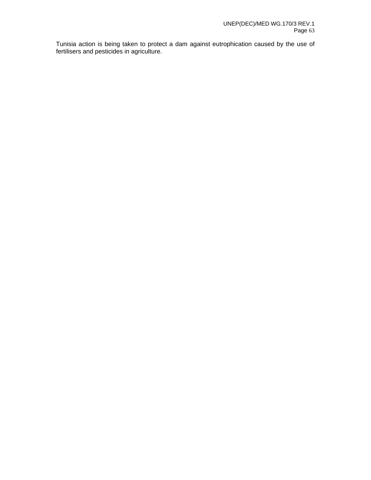Tunisia action is being taken to protect a dam against eutrophication caused by the use of fertilisers and pesticides in agriculture.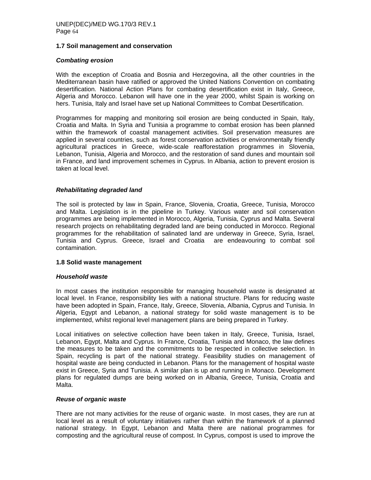### **1.7 Soil management and conservation**

#### *Combating erosion*

With the exception of Croatia and Bosnia and Herzegovina, all the other countries in the Mediterranean basin have ratified or approved the United Nations Convention on combating desertification. National Action Plans for combating desertification exist in Italy, Greece, Algeria and Morocco. Lebanon will have one in the year 2000, whilst Spain is working on hers. Tunisia, Italy and Israel have set up National Committees to Combat Desertification.

Programmes for mapping and monitoring soil erosion are being conducted in Spain, Italy, Croatia and Malta. In Syria and Tunisia a programme to combat erosion has been planned within the framework of coastal management activities. Soil preservation measures are applied in several countries, such as forest conservation activities or environmentally friendly agricultural practices in Greece, wide-scale reafforestation programmes in Slovenia, Lebanon, Tunisia, Algeria and Morocco, and the restoration of sand dunes and mountain soil in France, and land improvement schemes in Cyprus. In Albania, action to prevent erosion is taken at local level.

### *Rehabilitating degraded land*

The soil is protected by law in Spain, France, Slovenia, Croatia, Greece, Tunisia, Morocco and Malta. Legislation is in the pipeline in Turkey. Various water and soil conservation programmes are being implemented in Morocco, Algeria, Tunisia, Cyprus and Malta. Several research projects on rehabilitating degraded land are being conducted in Morocco. Regional programmes for the rehabilitation of salinated land are underway in Greece, Syria, Israel, Tunisia and Cyprus. Greece, Israel and Croatia are endeavouring to combat soil contamination.

### **1.8 Solid waste management**

### *Household waste*

In most cases the institution responsible for managing household waste is designated at local level. In France, responsibility lies with a national structure. Plans for reducing waste have been adopted in Spain, France, Italy, Greece, Slovenia, Albania, Cyprus and Tunisia. In Algeria, Egypt and Lebanon, a national strategy for solid waste management is to be implemented, whilst regional level management plans are being prepared in Turkey.

Local initiatives on selective collection have been taken in Italy, Greece, Tunisia, Israel, Lebanon, Egypt, Malta and Cyprus. In France, Croatia, Tunisia and Monaco, the law defines the measures to be taken and the commitments to be respected in collective selection. In Spain, recycling is part of the national strategy. Feasibility studies on management of hospital waste are being conducted in Lebanon. Plans for the management of hospital waste exist in Greece, Syria and Tunisia. A similar plan is up and running in Monaco. Development plans for regulated dumps are being worked on in Albania, Greece, Tunisia, Croatia and Malta.

### *Reuse of organic waste*

There are not many activities for the reuse of organic waste. In most cases, they are run at local level as a result of voluntary initiatives rather than within the framework of a planned national strategy. In Egypt, Lebanon and Malta there are national programmes for composting and the agricultural reuse of compost. In Cyprus, compost is used to improve the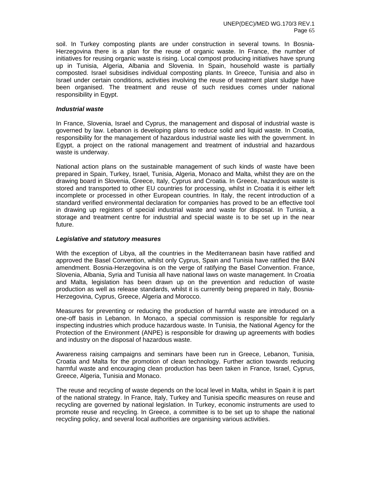soil. In Turkey composting plants are under construction in several towns. In Bosnia-Herzegovina there is a plan for the reuse of organic waste. In France, the number of initiatives for reusing organic waste is rising. Local compost producing initiatives have sprung up in Tunisia, Algeria, Albania and Slovenia. In Spain, household waste is partially composted. Israel subsidises individual composting plants. In Greece, Tunisia and also in Israel under certain conditions, activities involving the reuse of treatment plant sludge have been organised. The treatment and reuse of such residues comes under national responsibility in Egypt.

### *Industrial waste*

In France, Slovenia, Israel and Cyprus, the management and disposal of industrial waste is governed by law. Lebanon is developing plans to reduce solid and liquid waste. In Croatia, responsibility for the management of hazardous industrial waste lies with the government. In Egypt, a project on the rational management and treatment of industrial and hazardous waste is underway.

National action plans on the sustainable management of such kinds of waste have been prepared in Spain, Turkey, Israel, Tunisia, Algeria, Monaco and Malta, whilst they are on the drawing board in Slovenia, Greece, Italy, Cyprus and Croatia. In Greece, hazardous waste is stored and transported to other EU countries for processing, whilst in Croatia it is either left incomplete or processed in other European countries. In Italy, the recent introduction of a standard verified environmental declaration for companies has proved to be an effective tool in drawing up registers of special industrial waste and waste for disposal. In Tunisia, a storage and treatment centre for industrial and special waste is to be set up in the near future.

## *Legislative and statutory measures*

With the exception of Libya, all the countries in the Mediterranean basin have ratified and approved the Basel Convention, whilst only Cyprus, Spain and Tunisia have ratified the BAN amendment. Bosnia-Herzegovina is on the verge of ratifying the Basel Convention. France, Slovenia, Albania, Syria and Tunisia all have national laws on waste management. In Croatia and Malta, legislation has been drawn up on the prevention and reduction of waste production as well as release standards, whilst it is currently being prepared in Italy, Bosnia-Herzegovina, Cyprus, Greece, Algeria and Morocco.

Measures for preventing or reducing the production of harmful waste are introduced on a one-off basis in Lebanon. In Monaco, a special commission is responsible for regularly inspecting industries which produce hazardous waste. In Tunisia, the National Agency for the Protection of the Environment (ANPE) is responsible for drawing up agreements with bodies and industry on the disposal of hazardous waste.

Awareness raising campaigns and seminars have been run in Greece, Lebanon, Tunisia, Croatia and Malta for the promotion of clean technology. Further action towards reducing harmful waste and encouraging clean production has been taken in France, Israel, Cyprus, Greece, Algeria, Tunisia and Monaco.

The reuse and recycling of waste depends on the local level in Malta, whilst in Spain it is part of the national strategy. In France, Italy, Turkey and Tunisia specific measures on reuse and recycling are governed by national legislation. In Turkey, economic instruments are used to promote reuse and recycling. In Greece, a committee is to be set up to shape the national recycling policy, and several local authorities are organising various activities.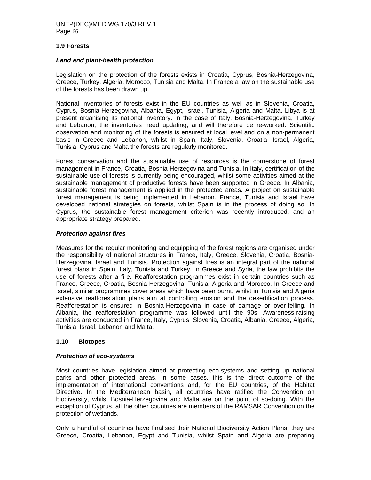## **1.9 Forests**

### *Land and plant-health protection*

Legislation on the protection of the forests exists in Croatia, Cyprus, Bosnia-Herzegovina, Greece, Turkey, Algeria, Morocco, Tunisia and Malta. In France a law on the sustainable use of the forests has been drawn up.

National inventories of forests exist in the EU countries as well as in Slovenia, Croatia, Cyprus, Bosnia-Herzegovina, Albania, Egypt, Israel, Tunisia, Algeria and Malta. Libya is at present organising its national inventory. In the case of Italy, Bosnia-Herzegovina, Turkey and Lebanon, the inventories need updating, and will therefore be re-worked. Scientific observation and monitoring of the forests is ensured at local level and on a non-permanent basis in Greece and Lebanon, whilst in Spain, Italy, Slovenia, Croatia, Israel, Algeria, Tunisia, Cyprus and Malta the forests are regularly monitored.

Forest conservation and the sustainable use of resources is the cornerstone of forest management in France, Croatia, Bosnia-Herzegovina and Tunisia. In Italy, certification of the sustainable use of forests is currently being encouraged, whilst some activities aimed at the sustainable management of productive forests have been supported in Greece. In Albania, sustainable forest management is applied in the protected areas. A project on sustainable forest management is being implemented in Lebanon. France, Tunisia and Israel have developed national strategies on forests, whilst Spain is in the process of doing so. In Cyprus, the sustainable forest management criterion was recently introduced, and an appropriate strategy prepared.

### *Protection against fires*

Measures for the regular monitoring and equipping of the forest regions are organised under the responsibility of national structures in France, Italy, Greece, Slovenia, Croatia, Bosnia-Herzegovina, Israel and Tunisia. Protection against fires is an integral part of the national forest plans in Spain, Italy, Tunisia and Turkey. In Greece and Syria, the law prohibits the use of forests after a fire. Reafforestation programmes exist in certain countries such as France, Greece, Croatia, Bosnia-Herzegovina, Tunisia, Algeria and Morocco. In Greece and Israel, similar programmes cover areas which have been burnt, whilst in Tunisia and Algeria extensive reafforestation plans aim at controlling erosion and the desertification process. Reafforestation is ensured in Bosnia-Herzegovina in case of damage or over-felling. In Albania, the reafforestation programme was followed until the 90s. Awareness-raising activities are conducted in France, Italy, Cyprus, Slovenia, Croatia, Albania, Greece, Algeria, Tunisia, Israel, Lebanon and Malta.

### **1.10 Biotopes**

#### *Protection of eco-systems*

Most countries have legislation aimed at protecting eco-systems and setting up national parks and other protected areas. In some cases, this is the direct outcome of the implementation of international conventions and, for the EU countries, of the Habitat Directive. In the Mediterranean basin, all countries have ratified the Convention on biodiversity, whilst Bosnia-Herzegovina and Malta are on the point of so-doing. With the exception of Cyprus, all the other countries are members of the RAMSAR Convention on the protection of wetlands.

Only a handful of countries have finalised their National Biodiversity Action Plans: they are Greece, Croatia, Lebanon, Egypt and Tunisia, whilst Spain and Algeria are preparing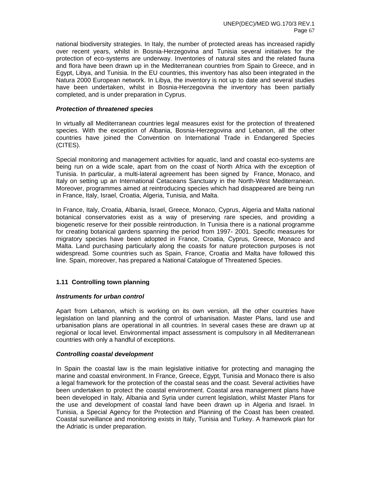national biodiversity strategies. In Italy, the number of protected areas has increased rapidly over recent years, whilst in Bosnia-Herzegovina and Tunisia several initiatives for the protection of eco-systems are underway. Inventories of natural sites and the related fauna and flora have been drawn up in the Mediterranean countries from Spain to Greece, and in Egypt, Libya, and Tunisia. In the EU countries, this inventory has also been integrated in the Natura 2000 European network. In Libya, the inventory is not up to date and several studies have been undertaken, whilst in Bosnia-Herzegovina the inventory has been partially completed, and is under preparation in Cyprus.

### *Protection of threatened species*

In virtually all Mediterranean countries legal measures exist for the protection of threatened species. With the exception of Albania, Bosnia-Herzegovina and Lebanon, all the other countries have joined the Convention on International Trade in Endangered Species (CITES).

Special monitoring and management activities for aquatic, land and coastal eco-systems are being run on a wide scale, apart from on the coast of North Africa with the exception of Tunisia. In particular, a multi-lateral agreement has been signed by France, Monaco, and Italy on setting up an International Cetaceans Sanctuary in the North-West Mediterranean. Moreover, programmes aimed at reintroducing species which had disappeared are being run in France, Italy, Israel, Croatia, Algeria, Tunisia, and Malta.

In France, Italy, Croatia, Albania, Israel, Greece, Monaco, Cyprus, Algeria and Malta national botanical conservatories exist as a way of preserving rare species, and providing a biogenetic reserve for their possible reintroduction. In Tunisia there is a national programme for creating botanical gardens spanning the period from 1997- 2001. Specific measures for migratory species have been adopted in France, Croatia, Cyprus, Greece, Monaco and Malta. Land purchasing particularly along the coasts for nature protection purposes is not widespread. Some countries such as Spain, France, Croatia and Malta have followed this line. Spain, moreover, has prepared a National Catalogue of Threatened Species.

### **1.11 Controlling town planning**

#### *Instruments for urban control*

Apart from Lebanon, which is working on its own version, all the other countries have legislation on land planning and the control of urbanisation. Master Plans, land use and urbanisation plans are operational in all countries. In several cases these are drawn up at regional or local level. Environmental impact assessment is compulsory in all Mediterranean countries with only a handful of exceptions.

#### *Controlling coastal development*

In Spain the coastal law is the main legislative initiative for protecting and managing the marine and coastal environment. In France, Greece, Egypt, Tunisia and Monaco there is also a legal framework for the protection of the coastal seas and the coast. Several activities have been undertaken to protect the coastal environment. Coastal area management plans have been developed in Italy, Albania and Syria under current legislation, whilst Master Plans for the use and development of coastal land have been drawn up in Algeria and Israel. In Tunisia, a Special Agency for the Protection and Planning of the Coast has been created. Coastal surveillance and monitoring exists in Italy, Tunisia and Turkey. A framework plan for the Adriatic is under preparation.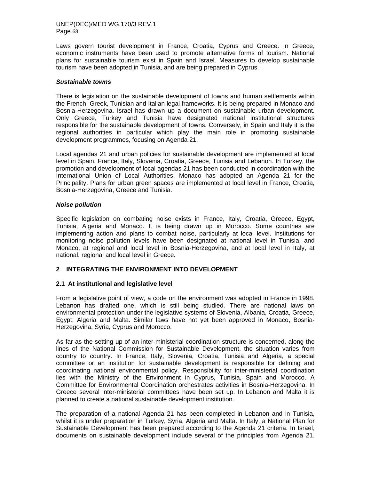UNEP(DEC)/MED WG.170/3 REV.1 Page 68

Laws govern tourist development in France, Croatia, Cyprus and Greece. In Greece, economic instruments have been used to promote alternative forms of tourism. National plans for sustainable tourism exist in Spain and Israel. Measures to develop sustainable tourism have been adopted in Tunisia, and are being prepared in Cyprus.

#### *Sustainable towns*

There is legislation on the sustainable development of towns and human settlements within the French, Greek, Tunisian and Italian legal frameworks. It is being prepared in Monaco and Bosnia-Herzegovina. Israel has drawn up a document on sustainable urban development. Only Greece, Turkey and Tunisia have designated national institutional structures responsible for the sustainable development of towns. Conversely, in Spain and Italy it is the regional authorities in particular which play the main role in promoting sustainable development programmes, focusing on Agenda 21.

Local agendas 21 and urban policies for sustainable development are implemented at local level in Spain, France, Italy, Slovenia, Croatia, Greece, Tunisia and Lebanon. In Turkey, the promotion and development of local agendas 21 has been conducted in coordination with the International Union of Local Authorities. Monaco has adopted an Agenda 21 for the Principality. Plans for urban green spaces are implemented at local level in France, Croatia, Bosnia-Herzegovina, Greece and Tunisia.

### *Noise pollution*

Specific legislation on combating noise exists in France, Italy, Croatia, Greece, Egypt, Tunisia, Algeria and Monaco. It is being drawn up in Morocco. Some countries are implementing action and plans to combat noise, particularly at local level. Institutions for monitoring noise pollution levels have been designated at national level in Tunisia, and Monaco, at regional and local level in Bosnia-Herzegovina, and at local level in Italy, at national, regional and local level in Greece.

## **2 INTEGRATING THE ENVIRONMENT INTO DEVELOPMENT**

### **2.1 At institutional and legislative level**

From a legislative point of view, a code on the environment was adopted in France in 1998. Lebanon has drafted one, which is still being studied. There are national laws on environmental protection under the legislative systems of Slovenia, Albania, Croatia, Greece, Egypt, Algeria and Malta. Similar laws have not yet been approved in Monaco, Bosnia-Herzegovina, Syria, Cyprus and Morocco.

As far as the setting up of an inter-ministerial coordination structure is concerned, along the lines of the National Commission for Sustainable Development, the situation varies from country to country. In France, Italy, Slovenia, Croatia, Tunisia and Algeria, a special committee or an institution for sustainable development is responsible for defining and coordinating national environmental policy. Responsibility for inter-ministerial coordination lies with the Ministry of the Environment in Cyprus, Tunisia, Spain and Morocco. A Committee for Environmental Coordination orchestrates activities in Bosnia-Herzegovina. In Greece several inter-ministerial committees have been set up. In Lebanon and Malta it is planned to create a national sustainable development institution.

The preparation of a national Agenda 21 has been completed in Lebanon and in Tunisia, whilst it is under preparation in Turkey, Syria, Algeria and Malta. In Italy, a National Plan for Sustainable Development has been prepared according to the Agenda 21 criteria. In Israel, documents on sustainable development include several of the principles from Agenda 21.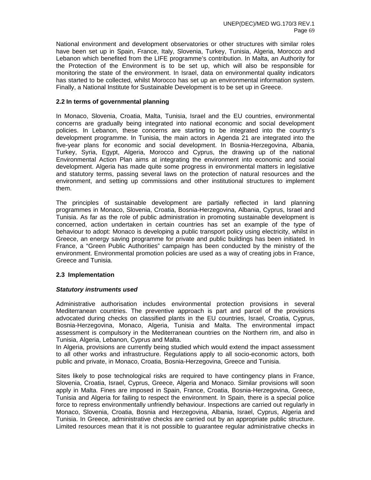National environment and development observatories or other structures with similar roles have been set up in Spain, France, Italy, Slovenia, Turkey, Tunisia, Algeria, Morocco and Lebanon which benefited from the LIFE programme's contribution. In Malta, an Authority for the Protection of the Environment is to be set up, which will also be responsible for monitoring the state of the environment. In Israel, data on environmental quality indicators has started to be collected, whilst Morocco has set up an environmental information system. Finally, a National Institute for Sustainable Development is to be set up in Greece.

## **2.2 In terms of governmental planning**

In Monaco, Slovenia, Croatia, Malta, Tunisia, Israel and the EU countries, environmental concerns are gradually being integrated into national economic and social development policies. In Lebanon, these concerns are starting to be integrated into the country's development programme. In Tunisia, the main actors in Agenda 21 are integrated into the five-year plans for economic and social development. In Bosnia-Herzegovina, Albania, Turkey, Syria, Egypt, Algeria, Morocco and Cyprus, the drawing up of the national Environmental Action Plan aims at integrating the environment into economic and social development. Algeria has made quite some progress in environmental matters in legislative and statutory terms, passing several laws on the protection of natural resources and the environment, and setting up commissions and other institutional structures to implement them.

The principles of sustainable development are partially reflected in land planning programmes in Monaco, Slovenia, Croatia, Bosnia-Herzegovina, Albania, Cyprus, Israel and Tunisia. As far as the role of public administration in promoting sustainable development is concerned, action undertaken in certain countries has set an example of the type of behaviour to adopt: Monaco is developing a public transport policy using electricity, whilst in Greece, an energy saving programme for private and public buildings has been initiated. In France, a "Green Public Authorities" campaign has been conducted by the ministry of the environment. Environmental promotion policies are used as a way of creating jobs in France, Greece and Tunisia.

### **2.3 Implementation**

### *Statutory instruments used*

Administrative authorisation includes environmental protection provisions in several Mediterranean countries. The preventive approach is part and parcel of the provisions advocated during checks on classified plants in the EU countries, Israel, Croatia, Cyprus, Bosnia-Herzegovina, Monaco, Algeria, Tunisia and Malta. The environmental impact assessment is compulsory in the Mediterranean countries on the Northern rim, and also in Tunisia, Algeria, Lebanon, Cyprus and Malta.

In Algeria, provisions are currently being studied which would extend the impact assessment to all other works and infrastructure. Regulations apply to all socio-economic actors, both public and private, in Monaco, Croatia, Bosnia-Herzegovina, Greece and Tunisia.

Sites likely to pose technological risks are required to have contingency plans in France, Slovenia, Croatia, Israel, Cyprus, Greece, Algeria and Monaco. Similar provisions will soon apply in Malta. Fines are imposed in Spain, France, Croatia, Bosnia-Herzegovina, Greece, Tunisia and Algeria for failing to respect the environment. In Spain, there is a special police force to repress environmentally unfriendly behaviour. Inspections are carried out regularly in Monaco, Slovenia, Croatia, Bosnia and Herzegovina, Albania, Israel, Cyprus, Algeria and Tunisia. In Greece, administrative checks are carried out by an appropriate public structure. Limited resources mean that it is not possible to guarantee regular administrative checks in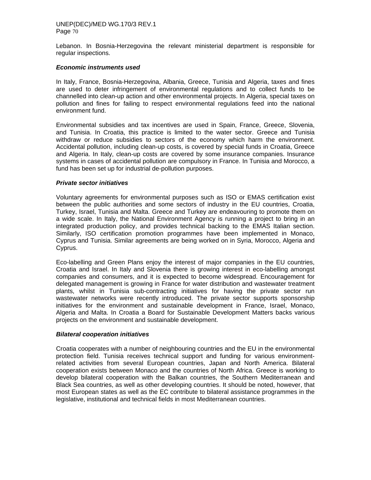UNEP(DEC)/MED WG.170/3 REV.1 Page 70

Lebanon. In Bosnia-Herzegovina the relevant ministerial department is responsible for regular inspections.

#### *Economic instruments used*

In Italy, France, Bosnia-Herzegovina, Albania, Greece, Tunisia and Algeria, taxes and fines are used to deter infringement of environmental regulations and to collect funds to be channelled into clean-up action and other environmental projects. In Algeria, special taxes on pollution and fines for failing to respect environmental regulations feed into the national environment fund.

Environmental subsidies and tax incentives are used in Spain, France, Greece, Slovenia, and Tunisia. In Croatia, this practice is limited to the water sector. Greece and Tunisia withdraw or reduce subsidies to sectors of the economy which harm the environment. Accidental pollution, including clean-up costs, is covered by special funds in Croatia, Greece and Algeria. In Italy, clean-up costs are covered by some insurance companies. Insurance systems in cases of accidental pollution are compulsory in France. In Tunisia and Morocco, a fund has been set up for industrial de-pollution purposes.

#### *Private sector initiatives*

Voluntary agreements for environmental purposes such as ISO or EMAS certification exist between the public authorities and some sectors of industry in the EU countries, Croatia, Turkey, Israel, Tunisia and Malta. Greece and Turkey are endeavouring to promote them on a wide scale. In Italy, the National Environment Agency is running a project to bring in an integrated production policy, and provides technical backing to the EMAS Italian section. Similarly, ISO certification promotion programmes have been implemented in Monaco, Cyprus and Tunisia. Similar agreements are being worked on in Syria, Morocco, Algeria and Cyprus.

Eco-labelling and Green Plans enjoy the interest of major companies in the EU countries, Croatia and Israel. In Italy and Slovenia there is growing interest in eco-labelling amongst companies and consumers, and it is expected to become widespread. Encouragement for delegated management is growing in France for water distribution and wastewater treatment plants, whilst in Tunisia sub-contracting initiatives for having the private sector run wastewater networks were recently introduced. The private sector supports sponsorship initiatives for the environment and sustainable development in France, Israel, Monaco, Algeria and Malta. In Croatia a Board for Sustainable Development Matters backs various projects on the environment and sustainable development.

#### *Bilateral cooperation initiatives*

Croatia cooperates with a number of neighbouring countries and the EU in the environmental protection field. Tunisia receives technical support and funding for various environmentrelated activities from several European countries, Japan and North America. Bilateral cooperation exists between Monaco and the countries of North Africa. Greece is working to develop bilateral cooperation with the Balkan countries, the Southern Mediterranean and Black Sea countries, as well as other developing countries. It should be noted, however, that most European states as well as the EC contribute to bilateral assistance programmes in the legislative, institutional and technical fields in most Mediterranean countries.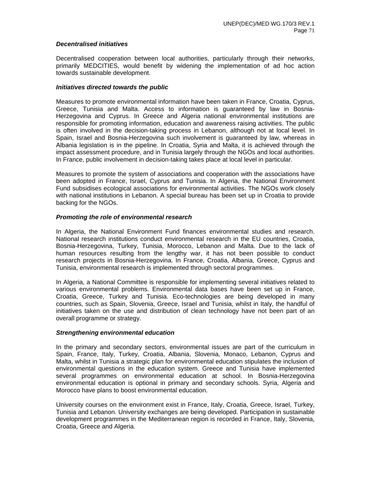#### *Decentralised initiatives*

Decentralised cooperation between local authorities, particularly through their networks, primarily MEDCITIES, would benefit by widening the implementation of ad hoc action towards sustainable development.

#### *Initiatives directed towards the public*

Measures to promote environmental information have been taken in France, Croatia, Cyprus, Greece, Tunisia and Malta. Access to information is guaranteed by law in Bosnia-Herzegovina and Cyprus. In Greece and Algeria national environmental institutions are responsible for promoting information, education and awareness raising activities. The public is often involved in the decision-taking process in Lebanon, although not at local level. In Spain, Israel and Bosnia-Herzegovina such involvement is guaranteed by law, whereas in Albania legislation is in the pipeline. In Croatia, Syria and Malta, it is achieved through the impact assessment procedure, and in Tunisia largely through the NGOs and local authorities. In France, public involvement in decision-taking takes place at local level in particular.

Measures to promote the system of associations and cooperation with the associations have been adopted in France, Israel, Cyprus and Tunisia. In Algeria, the National Environment Fund subsidises ecological associations for environmental activities. The NGOs work closely with national institutions in Lebanon. A special bureau has been set up in Croatia to provide backing for the NGOs.

#### *Promoting the role of environmental research*

In Algeria, the National Environment Fund finances environmental studies and research. National research institutions conduct environmental research in the EU countries, Croatia, Bosnia-Herzegovina, Turkey, Tunisia, Morocco, Lebanon and Malta. Due to the lack of human resources resulting from the lengthy war, it has not been possible to conduct research projects in Bosnia-Herzegovina. In France, Croatia, Albania, Greece, Cyprus and Tunisia, environmental research is implemented through sectoral programmes.

In Algeria, a National Committee is responsible for implementing several initiatives related to various environmental problems. Environmental data bases have been set up in France, Croatia, Greece, Turkey and Tunisia. Eco-technologies are being developed in many countries, such as Spain, Slovenia, Greece, Israel and Tunisia, whilst in Italy, the handful of initiatives taken on the use and distribution of clean technology have not been part of an overall programme or strategy.

#### *Strengthening environmental education*

In the primary and secondary sectors, environmental issues are part of the curriculum in Spain, France, Italy, Turkey, Croatia, Albania, Slovenia, Monaco, Lebanon, Cyprus and Malta, whilst in Tunisia a strategic plan for environmental education stipulates the inclusion of environmental questions in the education system. Greece and Tunisia have implemented several programmes on environmental education at school. In Bosnia-Herzegovina environmental education is optional in primary and secondary schools. Syria, Algeria and Morocco have plans to boost environmental education.

University courses on the environment exist in France, Italy, Croatia, Greece, Israel, Turkey, Tunisia and Lebanon. University exchanges are being developed. Participation in sustainable development programmes in the Mediterranean region is recorded in France, Italy, Slovenia, Croatia, Greece and Algeria.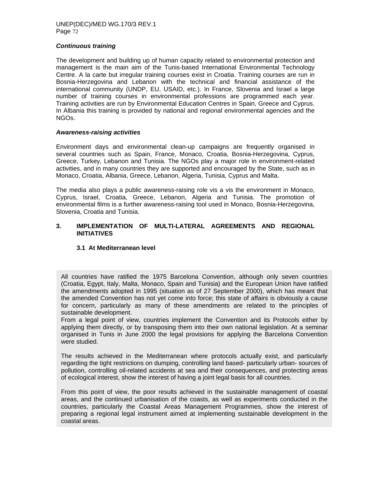## *Continuous training*

The development and building up of human capacity related to environmental protection and management is the main aim of the Tunis-based International Environmental Technology Centre. A la carte but irregular training courses exist in Croatia. Training courses are run in Bosnia-Herzegovina and Lebanon with the technical and financial assistance of the international community (UNDP, EU, USAID, etc.). In France, Slovenia and Israel a large number of training courses in environmental professions are programmed each year. Training activities are run by Environmental Education Centres in Spain, Greece and Cyprus. In Albania this training is provided by national and regional environmental agencies and the NGOs.

### *Awareness-raising activities*

Environment days and environmental clean-up campaigns are frequently organised in several countries such as Spain, France, Monaco, Croatia, Bosnia-Herzegovina, Cyprus, Greece, Turkey, Lebanon and Tunisia. The NGOs play a major role in environment-related activities, and in many countries they are supported and encouraged by the State, such as in Monaco, Croatia, Albania, Greece, Lebanon, Algeria, Tunisia, Cyprus and Malta.

The media also plays a public awareness-raising role vis a vis the environment in Monaco, Cyprus, Israel, Croatia, Greece, Lebanon, Algeria and Tunisia. The promotion of environmental films is a further awareness-raising tool used in Monaco, Bosnia-Herzegovina, Slovenia, Croatia and Tunisia.

# **3. IMPLEMENTATION OF MULTI-LATERAL AGREEMENTS AND REGIONAL INITIATIVES**

# **3.1 At Mediterranean level**

From a legal point of view, countries implement the Convention and its Protocols either by applying them directly, or by transposing them into their own national legislation. At a seminar organised in Tunis in June 2000 the legal provisions for applying the Barcelona Convention were studied.

The results achieved in the Mediterranean where protocols actually exist, and particularly regarding the tight restrictions on dumping, controlling land based- particularly urban- sources of pollution, controlling oil-related accidents at sea and their consequences, and protecting areas of ecological interest, show the interest of having a joint legal basis for all countries.

From this point of view, the poor results achieved in the sustainable management of coastal areas, and the continued urbanisation of the coasts, as well as experiments conducted in the countries, particularly the Coastal Areas Management Programmes, show the interest of preparing a regional legal instrument aimed at implementing sustainable development in the coastal areas.

All countries have ratified the 1975 Barcelona Convention, although only seven countries (Croatia, Egypt, Italy, Malta, Monaco, Spain and Tunisia) and the European Union have ratified the amendments adopted in 1995 (situation as of 27 September 2000), which has meant that the amended Convention has not yet come into force; this state of affairs is obviously a cause for concern, particularly as many of these amendments are related to the principles of sustainable development.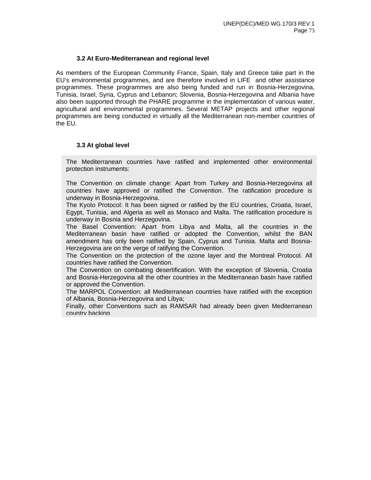# **3.2 At Euro-Mediterranean and regional level**

As members of the European Community France, Spain, Italy and Greece take part in the EU's environmental programmes, and are therefore involved in LIFE and other assistance programmes. These programmes are also being funded and run in Bosnia-Herzegovina, Tunisia, Israel, Syria, Cyprus and Lebanon; Slovenia, Bosnia-Herzegovina and Albania have also been supported through the PHARE programme in the implementation of various water, agricultural and environmental programmes. Several METAP projects and other regional programmes are being conducted in virtually all the Mediterranean non-member countries of the EU.

# **3.3 At global level**

The Mediterranean countries have ratified and implemented other environmental protection instruments:

The Convention on climate change: Apart from Turkey and Bosnia-Herzegovina all countries have approved or ratified the Convention. The ratification procedure is underway in Bosnia-Herzegovina.

The Kyoto Protocol: It has been signed or ratified by the EU countries, Croatia, Israel, Egypt, Tunisia, and Algeria as well as Monaco and Malta. The ratification procedure is underway in Bosnia and Herzegovina.

The Basel Convention: Apart from Libya and Malta, all the countries in the Mediterranean basin have ratified or adopted the Convention, whilst the BAN amendment has only been ratified by Spain, Cyprus and Tunisia. Malta and Bosnia-Herzegovina are on the verge of ratifying the Convention.

The Convention on the protection of the ozone layer and the Montreal Protocol. All countries have ratified the Convention.

The Convention on combating desertification. With the exception of Slovenia, Croatia and Bosnia-Herzegovina all the other countries in the Mediterranean basin have ratified or approved the Convention.

The MARPOL Convention: all Mediterranean countries have ratified with the exception of Albania, Bosnia-Herzegovina and Libya;

Finally, other Conventions such as RAMSAR had already been given Mediterranean country backing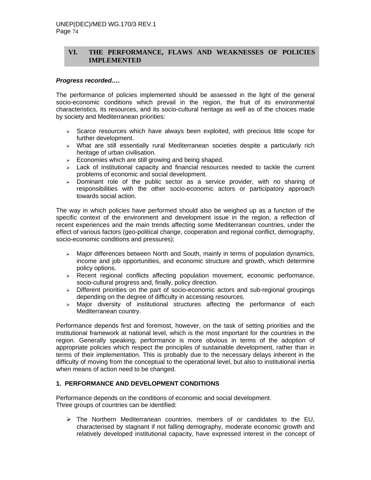# **VI. THE PERFORMANCE, FLAWS AND WEAKNESSES OF POLICIES IMPLEMENTED**

## *Progress recorded….*

The performance of policies implemented should be assessed in the light of the general socio-economic conditions which prevail in the region, the fruit of its environmental characteristics, its resources, and its socio-cultural heritage as well as of the choices made by society and Mediterranean priorities:

- $\geq$  Scarce resources which have always been exploited, with precious little scope for further development.
- ¾ What are still essentially rural Mediterranean societies despite a particularly rich heritage of urban civilisation.
- $\geq$  Economies which are still growing and being shaped.
- $\triangleright$  Lack of institutional capacity and financial resources needed to tackle the current problems of economic and social development.
- $\geq$  Dominant role of the public sector as a service provider, with no sharing of responsibilities with the other socio-economic actors or participatory approach towards social action.

The way in which policies have performed should also be weighed up as a function of the specific context of the environment and development issue in the region, a reflection of recent experiences and the main trends affecting some Mediterranean countries, under the effect of various factors (geo-political change, cooperation and regional conflict, demography, socio-economic conditions and pressures):

- $\triangleright$  Major differences between North and South, mainly in terms of population dynamics, income and job opportunities, and economic structure and growth, which determine policy options.
- $\geq$  Recent regional conflicts affecting population movement, economic performance, socio-cultural progress and, finally, policy direction.
- $\triangleright$  Different priorities on the part of socio-economic actors and sub-regional groupings depending on the degree of difficulty in accessing resources.
- $\triangleright$  Major diversity of institutional structures affecting the performance of each Mediterranean country.

Performance depends first and foremost, however, on the task of setting priorities and the institutional framework at national level, which is the most important for the countries in the region. Generally speaking, performance is more obvious in terms of the adoption of appropriate policies which respect the principles of sustainable development, rather than in terms of their implementation. This is probably due to the necessary delays inherent in the difficulty of moving from the conceptual to the operational level, but also to institutional inertia when means of action need to be changed.

# **1. PERFORMANCE AND DEVELOPMENT CONDITIONS**

Performance depends on the conditions of economic and social development. Three groups of countries can be identified:

 $\triangleright$  The Northern Mediterranean countries, members of or candidates to the EU, characterised by stagnant if not falling demography, moderate economic growth and relatively developed institutional capacity, have expressed interest in the concept of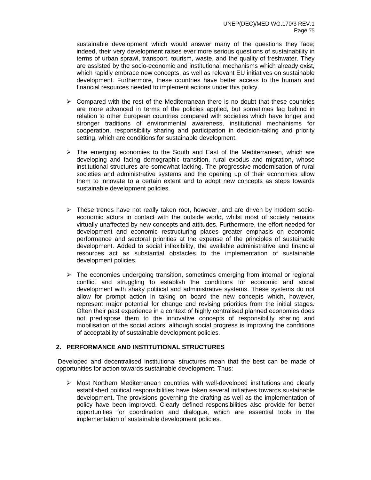sustainable development which would answer many of the questions they face; indeed, their very development raises ever more serious questions of sustainability in terms of urban sprawl, transport, tourism, waste, and the quality of freshwater. They are assisted by the socio-economic and institutional mechanisms which already exist, which rapidly embrace new concepts, as well as relevant EU initiatives on sustainable development. Furthermore, these countries have better access to the human and financial resources needed to implement actions under this policy.

- $\triangleright$  Compared with the rest of the Mediterranean there is no doubt that these countries are more advanced in terms of the policies applied, but sometimes lag behind in relation to other European countries compared with societies which have longer and stronger traditions of environmental awareness, institutional mechanisms for cooperation, responsibility sharing and participation in decision-taking and priority setting, which are conditions for sustainable development.
- $\triangleright$  The emerging economies to the South and East of the Mediterranean, which are developing and facing demographic transition, rural exodus and migration, whose institutional structures are somewhat lacking. The progressive modernisation of rural societies and administrative systems and the opening up of their economies allow them to innovate to a certain extent and to adopt new concepts as steps towards sustainable development policies.
- ¾ These trends have not really taken root, however, and are driven by modern socioeconomic actors in contact with the outside world, whilst most of society remains virtually unaffected by new concepts and attitudes. Furthermore, the effort needed for development and economic restructuring places greater emphasis on economic performance and sectoral priorities at the expense of the principles of sustainable development. Added to social inflexibility, the available administrative and financial resources act as substantial obstacles to the implementation of sustainable development policies.
- $\triangleright$  The economies undergoing transition, sometimes emerging from internal or regional conflict and struggling to establish the conditions for economic and social development with shaky political and administrative systems. These systems do not allow for prompt action in taking on board the new concepts which, however, represent major potential for change and revising priorities from the initial stages. Often their past experience in a context of highly centralised planned economies does not predispose them to the innovative concepts of responsibility sharing and mobilisation of the social actors, although social progress is improving the conditions of acceptability of sustainable development policies.

# **2. PERFORMANCE AND INSTITUTIONAL STRUCTURES**

 Developed and decentralised institutional structures mean that the best can be made of opportunities for action towards sustainable development. Thus:

 $\triangleright$  Most Northern Mediterranean countries with well-developed institutions and clearly established political responsibilities have taken several initiatives towards sustainable development. The provisions governing the drafting as well as the implementation of policy have been improved. Clearly defined responsibilities also provide for better opportunities for coordination and dialogue, which are essential tools in the implementation of sustainable development policies.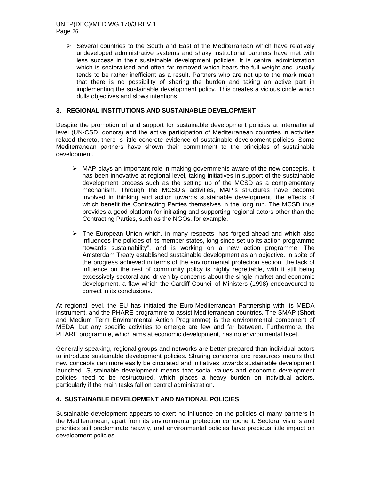# UNEP(DEC)/MED WG.170/3 REV.1 Page 76

 $\triangleright$  Several countries to the South and East of the Mediterranean which have relatively undeveloped administrative systems and shaky institutional partners have met with less success in their sustainable development policies. It is central administration which is sectoralised and often far removed which bears the full weight and usually tends to be rather inefficient as a result. Partners who are not up to the mark mean that there is no possibility of sharing the burden and taking an active part in implementing the sustainable development policy. This creates a vicious circle which dulls objectives and slows intentions.

# **3. REGIONAL INSTITUTIONS AND SUSTAINABLE DEVELOPMENT**

Despite the promotion of and support for sustainable development policies at international level (UN-CSD, donors) and the active participation of Mediterranean countries in activities related thereto, there is little concrete evidence of sustainable development policies. Some Mediterranean partners have shown their commitment to the principles of sustainable development.

- $\triangleright$  MAP plays an important role in making governments aware of the new concepts. It has been innovative at regional level, taking initiatives in support of the sustainable development process such as the setting up of the MCSD as a complementary mechanism. Through the MCSD's activities, MAP's structures have become involved in thinking and action towards sustainable development, the effects of which benefit the Contracting Parties themselves in the long run. The MCSD thus provides a good platform for initiating and supporting regional actors other than the Contracting Parties, such as the NGOs, for example.
- $\triangleright$  The European Union which, in many respects, has forged ahead and which also influences the policies of its member states, long since set up its action programme "towards sustainability", and is working on a new action programme. The Amsterdam Treaty established sustainable development as an objective. In spite of the progress achieved in terms of the environmental protection section, the lack of influence on the rest of community policy is highly regrettable, with it still being excessively sectoral and driven by concerns about the single market and economic development, a flaw which the Cardiff Council of Ministers (1998) endeavoured to correct in its conclusions.

At regional level, the EU has initiated the Euro-Mediterranean Partnership with its MEDA instrument, and the PHARE programme to assist Mediterranean countries. The SMAP (Short and Medium Term Environmental Action Programme) is the environmental component of MEDA, but any specific activities to emerge are few and far between. Furthermore, the PHARE programme, which aims at economic development, has no environmental facet.

Generally speaking, regional groups and networks are better prepared than individual actors to introduce sustainable development policies. Sharing concerns and resources means that new concepts can more easily be circulated and initiatives towards sustainable development launched. Sustainable development means that social values and economic development policies need to be restructured, which places a heavy burden on individual actors, particularly if the main tasks fall on central administration.

### **4. SUSTAINABLE DEVELOPMENT AND NATIONAL POLICIES**

Sustainable development appears to exert no influence on the policies of many partners in the Mediterranean, apart from its environmental protection component. Sectoral visions and priorities still predominate heavily, and environmental policies have precious little impact on development policies.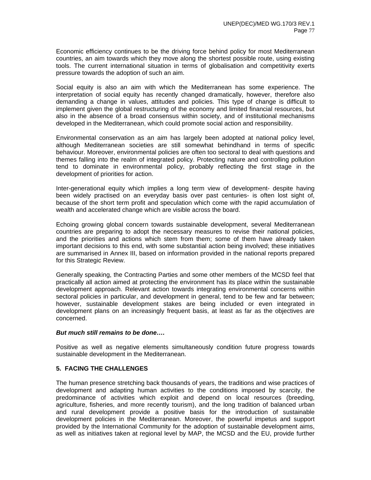Economic efficiency continues to be the driving force behind policy for most Mediterranean countries, an aim towards which they move along the shortest possible route, using existing tools. The current international situation in terms of globalisation and competitivity exerts pressure towards the adoption of such an aim.

Social equity is also an aim with which the Mediterranean has some experience. The interpretation of social equity has recently changed dramatically, however, therefore also demanding a change in values, attitudes and policies. This type of change is difficult to implement given the global restructuring of the economy and limited financial resources, but also in the absence of a broad consensus within society, and of institutional mechanisms developed in the Mediterranean, which could promote social action and responsibility.

Environmental conservation as an aim has largely been adopted at national policy level, although Mediterranean societies are still somewhat behindhand in terms of specific behaviour. Moreover, environmental policies are often too sectoral to deal with questions and themes falling into the realm of integrated policy. Protecting nature and controlling pollution tend to dominate in environmental policy, probably reflecting the first stage in the development of priorities for action.

Inter-generational equity which implies a long term view of development- despite having been widely practised on an everyday basis over past centuries- is often lost sight of, because of the short term profit and speculation which come with the rapid accumulation of wealth and accelerated change which are visible across the board.

Echoing growing global concern towards sustainable development, several Mediterranean countries are preparing to adopt the necessary measures to revise their national policies, and the priorities and actions which stem from them; some of them have already taken important decisions to this end, with some substantial action being involved; these initiatives are summarised in Annex III, based on information provided in the national reports prepared for this Strategic Review.

Generally speaking, the Contracting Parties and some other members of the MCSD feel that practically all action aimed at protecting the environment has its place within the sustainable development approach. Relevant action towards integrating environmental concerns within sectoral policies in particular, and development in general, tend to be few and far between; however, sustainable development stakes are being included or even integrated in development plans on an increasingly frequent basis, at least as far as the objectives are concerned.

### *But much still remains to be done….*

Positive as well as negative elements simultaneously condition future progress towards sustainable development in the Mediterranean.

### **5. FACING THE CHALLENGES**

The human presence stretching back thousands of years, the traditions and wise practices of development and adapting human activities to the conditions imposed by scarcity, the predominance of activities which exploit and depend on local resources (breeding, agriculture, fisheries, and more recently tourism), and the long tradition of balanced urban and rural development provide a positive basis for the introduction of sustainable development policies in the Mediterranean. Moreover, the powerful impetus and support provided by the International Community for the adoption of sustainable development aims, as well as initiatives taken at regional level by MAP, the MCSD and the EU, provide further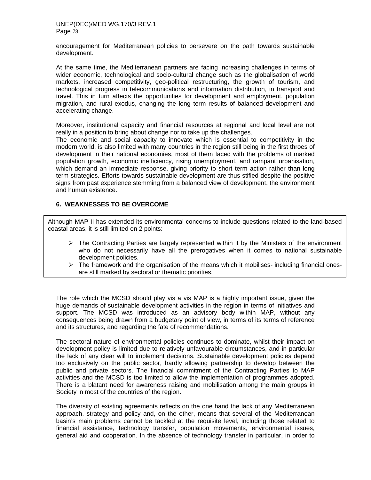encouragement for Mediterranean policies to persevere on the path towards sustainable development.

At the same time, the Mediterranean partners are facing increasing challenges in terms of wider economic, technological and socio-cultural change such as the globalisation of world markets, increased competitivity, geo-political restructuring, the growth of tourism, and technological progress in telecommunications and information distribution, in transport and travel. This in turn affects the opportunities for development and employment, population migration, and rural exodus, changing the long term results of balanced development and accelerating change.

Moreover, institutional capacity and financial resources at regional and local level are not really in a position to bring about change nor to take up the challenges.

The economic and social capacity to innovate which is essential to competitivity in the modern world, is also limited with many countries in the region still being in the first throes of development in their national economies, most of them faced with the problems of marked population growth, economic inefficiency, rising unemployment, and rampant urbanisation, which demand an immediate response, giving priority to short term action rather than long term strategies. Efforts towards sustainable development are thus stifled despite the positive signs from past experience stemming from a balanced view of development, the environment and human existence.

# **6. WEAKNESSES TO BE OVERCOME**

Although MAP II has extended its environmental concerns to include questions related to the land-based coastal areas, it is still limited on 2 points:

- $\triangleright$  The Contracting Parties are largely represented within it by the Ministers of the environment who do not necessarily have all the prerogatives when it comes to national sustainable development policies.
- $\triangleright$  The framework and the organisation of the means which it mobilises-including financial onesare still marked by sectoral or thematic priorities.

The role which the MCSD should play vis a vis MAP is a highly important issue, given the huge demands of sustainable development activities in the region in terms of initiatives and support. The MCSD was introduced as an advisory body within MAP, without any consequences being drawn from a budgetary point of view, in terms of its terms of reference and its structures, and regarding the fate of recommendations.

The sectoral nature of environmental policies continues to dominate, whilst their impact on development policy is limited due to relatively unfavourable circumstances, and in particular the lack of any clear will to implement decisions. Sustainable development policies depend too exclusively on the public sector, hardly allowing partnership to develop between the public and private sectors. The financial commitment of the Contracting Parties to MAP activities and the MCSD is too limited to allow the implementation of programmes adopted. There is a blatant need for awareness raising and mobilisation among the main groups in Society in most of the countries of the region.

The diversity of existing agreements reflects on the one hand the lack of any Mediterranean approach, strategy and policy and, on the other, means that several of the Mediterranean basin's main problems cannot be tackled at the requisite level, including those related to financial assistance, technology transfer, population movements, environmental issues, general aid and cooperation. In the absence of technology transfer in particular, in order to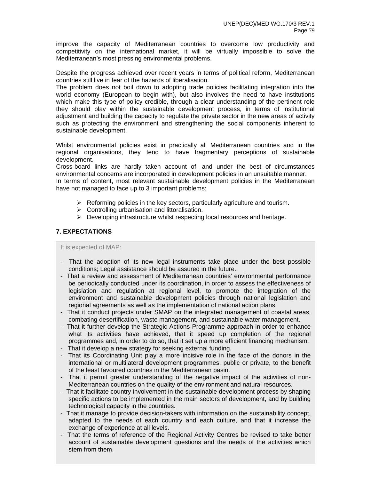improve the capacity of Mediterranean countries to overcome low productivity and competitivity on the international market, it will be virtually impossible to solve the Mediterranean's most pressing environmental problems.

Despite the progress achieved over recent years in terms of political reform, Mediterranean countries still live in fear of the hazards of liberalisation.

The problem does not boil down to adopting trade policies facilitating integration into the world economy (European to begin with), but also involves the need to have institutions which make this type of policy credible, through a clear understanding of the pertinent role they should play within the sustainable development process, in terms of institutional adjustment and building the capacity to regulate the private sector in the new areas of activity such as protecting the environment and strengthening the social components inherent to sustainable development.

Whilst environmental policies exist in practically all Mediterranean countries and in the regional organisations, they tend to have fragmentary perceptions of sustainable development.

Cross-board links are hardly taken account of, and under the best of circumstances environmental concerns are incorporated in development policies in an unsuitable manner.

In terms of content, most relevant sustainable development policies in the Mediterranean have not managed to face up to 3 important problems:

- $\triangleright$  Reforming policies in the key sectors, particularly agriculture and tourism.
- $\triangleright$  Controlling urbanisation and littoralisation.
- $\triangleright$  Developing infrastructure whilst respecting local resources and heritage.

# **7. EXPECTATIONS**

It is expected of MAP:

- That the adoption of its new legal instruments take place under the best possible conditions; Legal assistance should be assured in the future.
- That a review and assessment of Mediterranean countries' environmental performance be periodically conducted under its coordination, in order to assess the effectiveness of legislation and regulation at regional level, to promote the integration of the environment and sustainable development policies through national legislation and regional agreements as well as the implementation of national action plans.
- That it conduct projects under SMAP on the integrated management of coastal areas, combating desertification, waste management, and sustainable water management.
- That it further develop the Strategic Actions Programme approach in order to enhance what its activities have achieved, that it speed up completion of the regional programmes and, in order to do so, that it set up a more efficient financing mechanism.
- That it develop a new strategy for seeking external funding.
- That its Coordinating Unit play a more incisive role in the face of the donors in the international or multilateral development programmes, public or private, to the benefit of the least favoured countries in the Mediterranean basin.
- That it permit greater understanding of the negative impact of the activities of non-Mediterranean countries on the quality of the environment and natural resources.
- That it facilitate country involvement in the sustainable development process by shaping specific actions to be implemented in the main sectors of development, and by building technological capacity in the countries.
- That it manage to provide decision-takers with information on the sustainability concept, adapted to the needs of each country and each culture, and that it increase the exchange of experience at all levels.
- That the terms of reference of the Regional Activity Centres be revised to take better account of sustainable development questions and the needs of the activities which stem from them.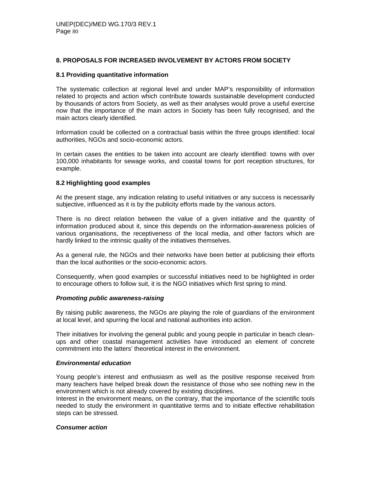# **8. PROPOSALS FOR INCREASED INVOLVEMENT BY ACTORS FROM SOCIETY**

### **8.1 Providing quantitative information**

The systematic collection at regional level and under MAP's responsibility of information related to projects and action which contribute towards sustainable development conducted by thousands of actors from Society, as well as their analyses would prove a useful exercise now that the importance of the main actors in Society has been fully recognised, and the main actors clearly identified.

Information could be collected on a contractual basis within the three groups identified: local authorities, NGOs and socio-economic actors.

In certain cases the entities to be taken into account are clearly identified: towns with over 100,000 inhabitants for sewage works, and coastal towns for port reception structures, for example.

#### **8.2 Highlighting good examples**

At the present stage, any indication relating to useful initiatives or any success is necessarily subjective, influenced as it is by the publicity efforts made by the various actors.

There is no direct relation between the value of a given initiative and the quantity of information produced about it, since this depends on the information-awareness policies of various organisations, the receptiveness of the local media, and other factors which are hardly linked to the intrinsic quality of the initiatives themselves.

As a general rule, the NGOs and their networks have been better at publicising their efforts than the local authorities or the socio-economic actors.

Consequently, when good examples or successful initiatives need to be highlighted in order to encourage others to follow suit, it is the NGO initiatives which first spring to mind.

#### *Promoting public awareness-raising*

By raising public awareness, the NGOs are playing the role of guardians of the environment at local level, and spurring the local and national authorities into action.

Their initiatives for involving the general public and young people in particular in beach cleanups and other coastal management activities have introduced an element of concrete commitment into the latters' theoretical interest in the environment.

#### *Environmental education*

Young people's interest and enthusiasm as well as the positive response received from many teachers have helped break down the resistance of those who see nothing new in the environment which is not already covered by existing disciplines.

Interest in the environment means, on the contrary, that the importance of the scientific tools needed to study the environment in quantitative terms and to initiate effective rehabilitation steps can be stressed.

#### *Consumer action*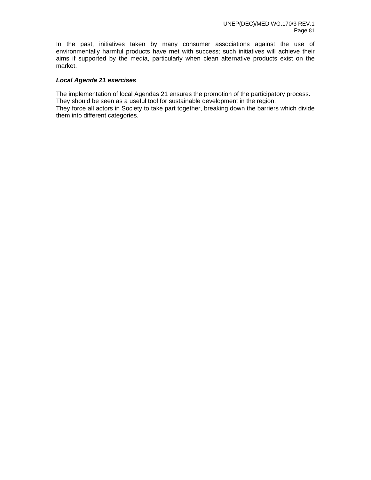In the past, initiatives taken by many consumer associations against the use of environmentally harmful products have met with success; such initiatives will achieve their aims if supported by the media, particularly when clean alternative products exist on the market.

## *Local Agenda 21 exercises*

The implementation of local Agendas 21 ensures the promotion of the participatory process. They should be seen as a useful tool for sustainable development in the region.

They force all actors in Society to take part together, breaking down the barriers which divide them into different categories.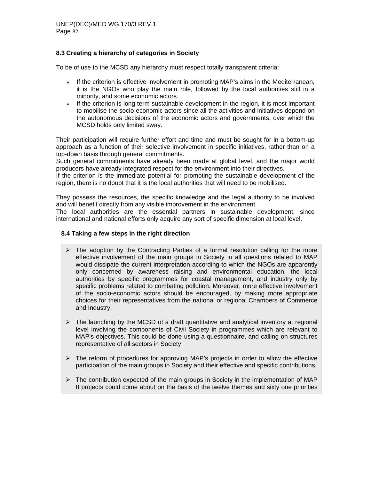# **8.3 Creating a hierarchy of categories in Society**

To be of use to the MCSD any hierarchy must respect totally transparent criteria:

- $\triangleright$  If the criterion is effective involvement in promoting MAP's aims in the Mediterranean, it is the NGOs who play the main role, followed by the local authorities still in a minority, and some economic actors.
- $\triangleright$  If the criterion is long term sustainable development in the region, it is most important to mobilise the socio-economic actors since all the activities and initiatives depend on the autonomous decisions of the economic actors and governments, over which the MCSD holds only limited sway.

Their participation will require further effort and time and must be sought for in a bottom-up approach as a function of their selective involvement in specific initiatives, rather than on a top-down basis through general commitments.

Such general commitments have already been made at global level, and the major world producers have already integrated respect for the environment into their directives.

If the criterion is the immediate potential for promoting the sustainable development of the region, there is no doubt that it is the local authorities that will need to be mobilised.

They possess the resources, the specific knowledge and the legal authority to be involved and will benefit directly from any visible improvement in the environment.

The local authorities are the essential partners in sustainable development, since international and national efforts only acquire any sort of specific dimension at local level.

# **8.4 Taking a few steps in the right direction**

- $\triangleright$  The adoption by the Contracting Parties of a formal resolution calling for the more effective involvement of the main groups in Society in all questions related to MAP would dissipate the current interpretation according to which the NGOs are apparently only concerned by awareness raising and environmental education, the local authorities by specific programmes for coastal management, and industry only by specific problems related to combating pollution. Moreover, more effective involvement of the socio-economic actors should be encouraged, by making more appropriate choices for their representatives from the national or regional Chambers of Commerce and Industry.
- $\triangleright$  The launching by the MCSD of a draft quantitative and analytical inventory at regional level involving the components of Civil Society in programmes which are relevant to MAP's objectives. This could be done using a questionnaire, and calling on structures representative of all sectors in Society
- $\triangleright$  The reform of procedures for approving MAP's projects in order to allow the effective participation of the main groups in Society and their effective and specific contributions.
- $\triangleright$  The contribution expected of the main groups in Society in the implementation of MAP II projects could come about on the basis of the twelve themes and sixty one priorities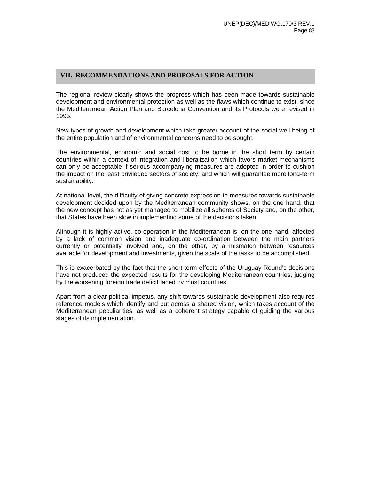# **VII. RECOMMENDATIONS AND PROPOSALS FOR ACTION**

The regional review clearly shows the progress which has been made towards sustainable development and environmental protection as well as the flaws which continue to exist, since the Mediterranean Action Plan and Barcelona Convention and its Protocols were revised in 1995.

New types of growth and development which take greater account of the social well-being of the entire population and of environmental concerns need to be sought.

The environmental, economic and social cost to be borne in the short term by certain countries within a context of integration and liberalization which favors market mechanisms can only be acceptable if serious accompanying measures are adopted in order to cushion the impact on the least privileged sectors of society, and which will guarantee more long-term sustainability.

At national level, the difficulty of giving concrete expression to measures towards sustainable development decided upon by the Mediterranean community shows, on the one hand, that the new concept has not as yet managed to mobilize all spheres of Society and, on the other, that States have been slow in implementing some of the decisions taken.

Although it is highly active, co-operation in the Mediterranean is, on the one hand, affected by a lack of common vision and inadequate co-ordination between the main partners currently or potentially involved and, on the other, by a mismatch between resources available for development and investments, given the scale of the tasks to be accomplished.

This is exacerbated by the fact that the short-term effects of the Uruguay Round's decisions have not produced the expected results for the developing Mediterranean countries, judging by the worsening foreign trade deficit faced by most countries.

Apart from a clear political impetus, any shift towards sustainable development also requires reference models which identify and put across a shared vision, which takes account of the Mediterranean peculiarities, as well as a coherent strategy capable of guiding the various stages of its implementation.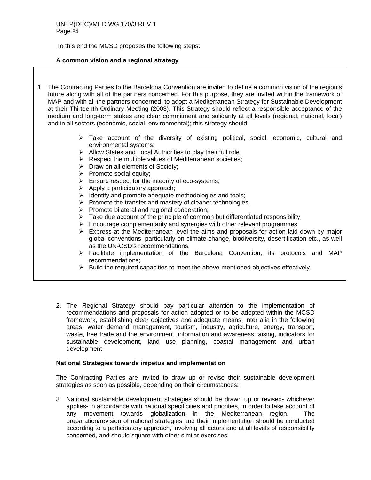To this end the MCSD proposes the following steps:

## **A common vision and a regional strategy**

- 1 The Contracting Parties to the Barcelona Convention are invited to define a common vision of the region's future along with all of the partners concerned. For this purpose, they are invited within the framework of MAP and with all the partners concerned, to adopt a Mediterranean Strategy for Sustainable Development at their Thirteenth Ordinary Meeting (2003). This Strategy should reflect a responsible acceptance of the medium and long-term stakes and clear commitment and solidarity at all levels (regional, national, local) and in all sectors (economic, social, environmental); this strategy should:
	- $\triangleright$  Take account of the diversity of existing political, social, economic, cultural and environmental systems;
	- $\triangleright$  Allow States and Local Authorities to play their full role
	- $\triangleright$  Respect the multiple values of Mediterranean societies;
	- $\triangleright$  Draw on all elements of Society;
	- $\triangleright$  Promote social equity;
	- $\triangleright$  Ensure respect for the integrity of eco-systems;
	- $\triangleright$  Apply a participatory approach;
	- $\triangleright$  Identify and promote adequate methodologies and tools;
	- $\triangleright$  Promote the transfer and mastery of cleaner technologies;
	- $\triangleright$  Promote bilateral and regional cooperation;
	- $\triangleright$  Take due account of the principle of common but differentiated responsibility;
	- $\triangleright$  Encourage complementarity and synergies with other relevant programmes;
	- $\triangleright$  Express at the Mediterranean level the aims and proposals for action laid down by major global conventions, particularly on climate change, biodiversity, desertification etc., as well as the UN-CSD's recommendations;
	- ¾ Facilitate implementation of the Barcelona Convention, its protocols and MAP recommendations;
	- $\triangleright$  Build the required capacities to meet the above-mentioned objectives effectively.
	- 2. The Regional Strategy should pay particular attention to the implementation of recommendations and proposals for action adopted or to be adopted within the MCSD framework, establishing clear objectives and adequate means, inter alia in the following areas: water demand management, tourism, industry, agriculture, energy, transport, waste, free trade and the environment, information and awareness raising, indicators for sustainable development, land use planning, coastal management and urban development.

### **National Strategies towards impetus and implementation**

The Contracting Parties are invited to draw up or revise their sustainable development strategies as soon as possible, depending on their circumstances:

3. National sustainable development strategies should be drawn up or revised- whichever applies- in accordance with national specificities and priorities, in order to take account of any movement towards globalization in the Mediterranean region. The preparation/revision of national strategies and their implementation should be conducted according to a participatory approach, involving all actors and at all levels of responsibility concerned, and should square with other similar exercises.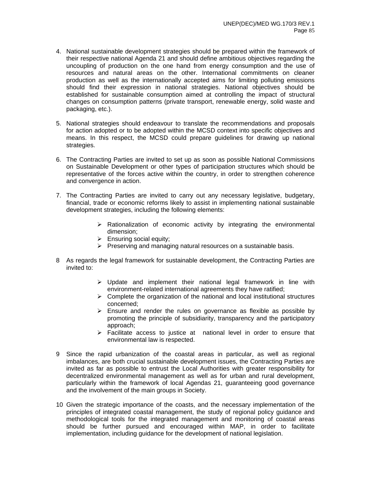- 4. National sustainable development strategies should be prepared within the framework of their respective national Agenda 21 and should define ambitious objectives regarding the uncoupling of production on the one hand from energy consumption and the use of resources and natural areas on the other. International commitments on cleaner production as well as the internationally accepted aims for limiting polluting emissions should find their expression in national strategies. National objectives should be established for sustainable consumption aimed at controlling the impact of structural changes on consumption patterns (private transport, renewable energy, solid waste and packaging, etc.).
- 5. National strategies should endeavour to translate the recommendations and proposals for action adopted or to be adopted within the MCSD context into specific objectives and means. In this respect, the MCSD could prepare guidelines for drawing up national strategies.
- 6. The Contracting Parties are invited to set up as soon as possible National Commissions on Sustainable Development or other types of participation structures which should be representative of the forces active within the country, in order to strengthen coherence and convergence in action.
- 7. The Contracting Parties are invited to carry out any necessary legislative, budgetary, financial, trade or economic reforms likely to assist in implementing national sustainable development strategies, including the following elements:
	- $\triangleright$  Rationalization of economic activity by integrating the environmental dimension;
	- $\triangleright$  Ensuring social equity;
	- $\triangleright$  Preserving and managing natural resources on a sustainable basis.
- 8 As regards the legal framework for sustainable development, the Contracting Parties are invited to:
	- $\triangleright$  Update and implement their national legal framework in line with environment-related international agreements they have ratified;
	- $\triangleright$  Complete the organization of the national and local institutional structures concerned;
	- $\triangleright$  Ensure and render the rules on governance as flexible as possible by promoting the principle of subsidiarity, transparency and the participatory approach;
	- $\triangleright$  Facilitate access to justice at national level in order to ensure that environmental law is respected.
- 9 Since the rapid urbanization of the coastal areas in particular, as well as regional imbalances, are both crucial sustainable development issues, the Contracting Parties are invited as far as possible to entrust the Local Authorities with greater responsibility for decentralized environmental management as well as for urban and rural development, particularly within the framework of local Agendas 21, guaranteeing good governance and the involvement of the main groups in Society.
- 10 Given the strategic importance of the coasts, and the necessary implementation of the principles of integrated coastal management, the study of regional policy guidance and methodological tools for the integrated management and monitoring of coastal areas should be further pursued and encouraged within MAP, in order to facilitate implementation, including guidance for the development of national legislation.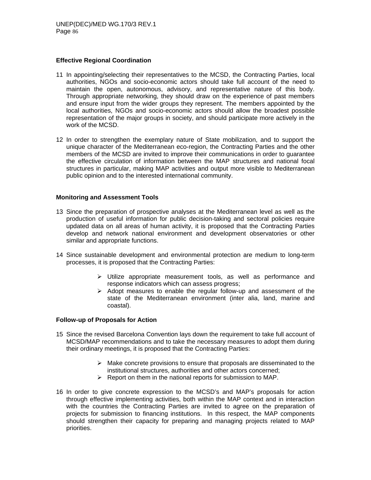# **Effective Regional Coordination**

- 11 In appointing/selecting their representatives to the MCSD, the Contracting Parties, local authorities, NGOs and socio-economic actors should take full account of the need to maintain the open, autonomous, advisory, and representative nature of this body. Through appropriate networking, they should draw on the experience of past members and ensure input from the wider groups they represent. The members appointed by the local authorities, NGOs and socio-economic actors should allow the broadest possible representation of the major groups in society, and should participate more actively in the work of the MCSD.
- 12 In order to strengthen the exemplary nature of State mobilization, and to support the unique character of the Mediterranean eco-region, the Contracting Parties and the other members of the MCSD are invited to improve their communications in order to guarantee the effective circulation of information between the MAP structures and national focal structures in particular, making MAP activities and output more visible to Mediterranean public opinion and to the interested international community.

# **Monitoring and Assessment Tools**

- 13 Since the preparation of prospective analyses at the Mediterranean level as well as the production of useful information for public decision-taking and sectoral policies require updated data on all areas of human activity, it is proposed that the Contracting Parties develop and network national environment and development observatories or other similar and appropriate functions.
- 14 Since sustainable development and environmental protection are medium to long-term processes, it is proposed that the Contracting Parties:
	- $\triangleright$  Utilize appropriate measurement tools, as well as performance and response indicators which can assess progress;
	- $\triangleright$  Adopt measures to enable the regular follow-up and assessment of the state of the Mediterranean environment (inter alia, land, marine and coastal).

### **Follow-up of Proposals for Action**

- 15 Since the revised Barcelona Convention lays down the requirement to take full account of MCSD/MAP recommendations and to take the necessary measures to adopt them during their ordinary meetings, it is proposed that the Contracting Parties:
	- $\triangleright$  Make concrete provisions to ensure that proposals are disseminated to the institutional structures, authorities and other actors concerned;
	- $\triangleright$  Report on them in the national reports for submission to MAP.
- 16 In order to give concrete expression to the MCSD's and MAP's proposals for action through effective implementing activities, both within the MAP context and in interaction with the countries the Contracting Parties are invited to agree on the preparation of projects for submission to financing institutions. In this respect, the MAP components should strengthen their capacity for preparing and managing projects related to MAP priorities.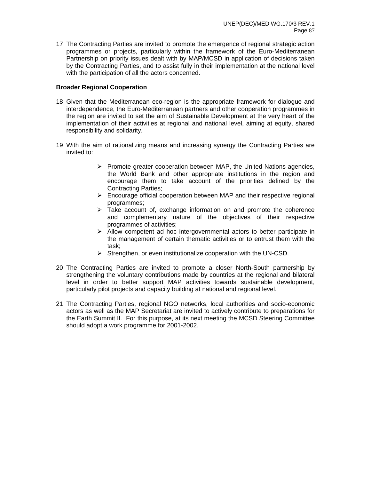17 The Contracting Parties are invited to promote the emergence of regional strategic action programmes or projects, particularly within the framework of the Euro-Mediterranean Partnership on priority issues dealt with by MAP/MCSD in application of decisions taken by the Contracting Parties, and to assist fully in their implementation at the national level with the participation of all the actors concerned.

# **Broader Regional Cooperation**

- 18 Given that the Mediterranean eco-region is the appropriate framework for dialogue and interdependence, the Euro-Mediterranean partners and other cooperation programmes in the region are invited to set the aim of Sustainable Development at the very heart of the implementation of their activities at regional and national level, aiming at equity, shared responsibility and solidarity.
- 19 With the aim of rationalizing means and increasing synergy the Contracting Parties are invited to:
	- ¾ Promote greater cooperation between MAP, the United Nations agencies, the World Bank and other appropriate institutions in the region and encourage them to take account of the priorities defined by the Contracting Parties;
	- $\triangleright$  Encourage official cooperation between MAP and their respective regional programmes;
	- $\triangleright$  Take account of, exchange information on and promote the coherence and complementary nature of the objectives of their respective programmes of activities;
	- $\triangleright$  Allow competent ad hoc intergovernmental actors to better participate in the management of certain thematic activities or to entrust them with the task;
	- ¾ Strengthen, or even institutionalize cooperation with the UN-CSD.
- 20 The Contracting Parties are invited to promote a closer North-South partnership by strengthening the voluntary contributions made by countries at the regional and bilateral level in order to better support MAP activities towards sustainable development, particularly pilot projects and capacity building at national and regional level.
- 21 The Contracting Parties, regional NGO networks, local authorities and socio-economic actors as well as the MAP Secretariat are invited to actively contribute to preparations for the Earth Summit II. For this purpose, at its next meeting the MCSD Steering Committee should adopt a work programme for 2001-2002.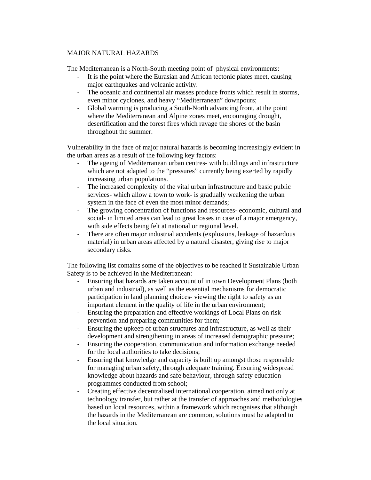# MAJOR NATURAL HAZARDS

The Mediterranean is a North-South meeting point of physical environments:

- It is the point where the Eurasian and African tectonic plates meet, causing major earthquakes and volcanic activity.
- The oceanic and continental air masses produce fronts which result in storms, even minor cyclones, and heavy "Mediterranean" downpours;
- Global warming is producing a South-North advancing front, at the point where the Mediterranean and Alpine zones meet, encouraging drought, desertification and the forest fires which ravage the shores of the basin throughout the summer.

Vulnerability in the face of major natural hazards is becoming increasingly evident in the urban areas as a result of the following key factors:

- The ageing of Mediterranean urban centres- with buildings and infrastructure which are not adapted to the "pressures" currently being exerted by rapidly increasing urban populations.
- The increased complexity of the vital urban infrastructure and basic public services- which allow a town to work- is gradually weakening the urban system in the face of even the most minor demands;
- The growing concentration of functions and resources- economic, cultural and social- in limited areas can lead to great losses in case of a major emergency, with side effects being felt at national or regional level.
- There are often major industrial accidents (explosions, leakage of hazardous material) in urban areas affected by a natural disaster, giving rise to major secondary risks.

The following list contains some of the objectives to be reached if Sustainable Urban Safety is to be achieved in the Mediterranean:

- Ensuring that hazards are taken account of in town Development Plans (both urban and industrial), as well as the essential mechanisms for democratic participation in land planning choices- viewing the right to safety as an important element in the quality of life in the urban environment;
- Ensuring the preparation and effective workings of Local Plans on risk prevention and preparing communities for them;
- Ensuring the upkeep of urban structures and infrastructure, as well as their development and strengthening in areas of increased demographic pressure;
- Ensuring the cooperation, communication and information exchange needed for the local authorities to take decisions;
- Ensuring that knowledge and capacity is built up amongst those responsible for managing urban safety, through adequate training. Ensuring widespread knowledge about hazards and safe behaviour, through safety education programmes conducted from school;
- Creating effective decentralised international cooperation, aimed not only at technology transfer, but rather at the transfer of approaches and methodologies based on local resources, within a framework which recognises that although the hazards in the Mediterranean are common, solutions must be adapted to the local situation.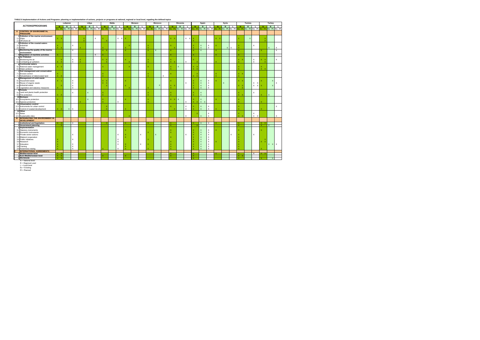| <b>ACTIONS/PROGRAMS</b> |                                                       |                                         | Lebanon      |                           | Libya |                |              | <b>Malta</b>    |                 |          | Monaco       |                |          | Morocco                                 |                           |          | Slovenia     |                |                           | Spain                           |                                |                           | Syria        |                |                         | Tunisia            |                           |                                | <b>Turkey</b>  |                              |              |
|-------------------------|-------------------------------------------------------|-----------------------------------------|--------------|---------------------------|-------|----------------|--------------|-----------------|-----------------|----------|--------------|----------------|----------|-----------------------------------------|---------------------------|----------|--------------|----------------|---------------------------|---------------------------------|--------------------------------|---------------------------|--------------|----------------|-------------------------|--------------------|---------------------------|--------------------------------|----------------|------------------------------|--------------|
|                         |                                                       | $\overline{N}$                          | $\mathbb{R}$ |                           | N     | $\overline{R}$ |              | N               | $\overline{R}$  | L.       | N            | $\overline{R}$ |          | N                                       | $\mathbf R$               |          | N            | $\overline{R}$ |                           | N                               | $\overline{R}$                 |                           | N            | $\overline{R}$ | л.                      | N                  | $\overline{R}$            |                                | $\overline{N}$ | $\overline{R}$               |              |
|                         |                                                       | Ex. PI                                  |              | Ex. Pl. Ex. Pl.           |       | x. Pl. Ex. Pl. | Ex. Pl.      | Ex. PI          | Ex. Pl. Ex. Pl. |          | =v P         |                |          | Ex. Pl. Ex. Pl. Ex. Pl. Ex. Pl. Ex. Pl. |                           |          | Ex. P        |                | Ex. Pl. Ex. Pl.           | ix P                            | Ex. Pl.                        | Ex. Pl.                   |              |                | Ex. PI. Ex. PI. Ex. PI. | x. Pl.             |                           | Ex. Pl. Ex. Pl.                | Ex. PI         | Ex. Pl. Ex. Pl.              |              |
| $\mathbf{A}$            | <b>CONTROL OF ENVIRONMETAL</b><br><b>PRESSURE</b>     |                                         |              |                           |       |                |              |                 |                 |          |              |                |          |                                         |                           |          |              |                |                           |                                 |                                |                           |              |                |                         |                    |                           |                                |                |                              |              |
|                         | Pollution of the marine environment                   |                                         |              |                           |       |                |              |                 |                 |          |              |                |          |                                         |                           |          |              |                |                           |                                 |                                |                           |              |                |                         |                    |                           |                                |                |                              |              |
|                         | 1.1 Ships                                             | $X$ $X$                                 |              |                           |       |                | $\times$     |                 |                 | $X$ $X$  | $\mathbf{x}$ |                |          |                                         |                           |          | $X$ $X$      |                | $x \times 1$              | x                               |                                |                           | $X$ $X$      |                |                         |                    | $\boldsymbol{\mathsf{x}}$ |                                |                |                              |              |
|                         | 1.2 Off-shore oil                                     |                                         |              |                           |       |                |              |                 |                 |          |              |                |          |                                         |                           |          |              |                |                           |                                 |                                |                           |              |                |                         |                    |                           |                                |                |                              |              |
|                         | Pollution of the coastal waters                       |                                         |              |                           |       |                |              |                 |                 |          |              |                |          |                                         |                           |          |              |                |                           |                                 |                                |                           |              |                |                         |                    |                           |                                |                |                              |              |
| 2.1                     | Industrial                                            | $\mathsf{x}$                            |              | $\mathsf X$               |       |                |              |                 |                 |          |              |                |          |                                         |                           |          | x            |                |                           |                                 | $\mathsf X$                    | $\boldsymbol{\mathsf{x}}$ | X            |                |                         |                    |                           | X                              |                |                              |              |
|                         | 2.2 Urban                                             | $X$ $X$                                 |              |                           |       |                |              |                 |                 |          |              |                |          |                                         |                           |          |              |                |                           |                                 | $\boldsymbol{\mathsf{x}}$      | $\times$                  |              | $\mathsf{x}$   | $\times$                |                    |                           |                                |                | $\mathsf{x}$                 | $\times$     |
|                         | 3 Monitoring the quality of the marine                |                                         |              | $\overline{\mathsf{x}}$   |       |                |              |                 |                 |          |              |                |          |                                         | $\boldsymbol{\mathsf{X}}$ |          |              |                |                           |                                 | $\overline{\mathsf{x}}$        |                           |              |                |                         |                    |                           |                                |                |                              | $\mathsf{x}$ |
|                         | environment                                           |                                         |              |                           |       |                |              |                 |                 |          |              |                |          |                                         |                           |          |              |                |                           |                                 |                                |                           |              |                |                         |                    |                           |                                |                |                              |              |
|                         | 4 Regulation of maritime activities                   | $\mathbf{x}$                            |              |                           |       |                | $\mathbf{x}$ |                 |                 |          |              |                |          |                                         |                           |          |              |                |                           |                                 |                                |                           |              |                |                         |                    |                           |                                |                |                              |              |
|                         | <b>5 Air Pollution</b>                                |                                         |              |                           |       |                |              |                 |                 |          |              |                |          |                                         |                           |          |              |                |                           |                                 |                                |                           |              |                |                         |                    |                           |                                |                |                              |              |
| 5.1                     | Monitoring the air<br>5.2 Combating air pollution     |                                         |              | Χ<br>$\mathsf{x}$         |       |                |              | $X \rightarrow$ |                 |          |              |                |          |                                         |                           |          | $\mathbf{x}$ |                | $\mathsf{x}$              | x                               |                                |                           |              |                |                         | X                  |                           | X<br>$\boldsymbol{\mathsf{x}}$ |                |                              | $\times$     |
|                         | <b>6</b> Continental waters                           | $\mathsf{X}$<br>$\mathbf{x}$            |              |                           |       |                |              |                 |                 |          |              |                |          |                                         |                           |          |              |                |                           |                                 |                                |                           |              |                |                         |                    |                           |                                |                |                              |              |
|                         | 6.1 Rational water management                         | $X$ $X$                                 |              |                           |       |                |              |                 |                 |          |              |                |          | x                                       |                           |          | x            | X              |                           | $X$ $X$                         |                                |                           |              |                |                         |                    |                           |                                |                |                              |              |
|                         | 6.2 Water pollution                                   |                                         |              |                           |       |                |              |                 |                 |          |              |                |          |                                         |                           |          |              |                |                           | Y.<br>$\mathbf{x}$              |                                |                           |              |                |                         |                    |                           |                                |                |                              |              |
|                         | 7 Soil management and conservation                    |                                         |              |                           |       |                |              |                 |                 |          |              |                |          |                                         |                           |          |              |                |                           |                                 |                                |                           |              |                |                         |                    |                           |                                |                |                              |              |
|                         | 7.1 Erosion control                                   | x                                       |              |                           |       |                |              |                 |                 |          |              |                |          |                                         |                           |          | x            |                |                           | x                               |                                |                           |              |                |                         | X<br>- X           |                           |                                |                |                              |              |
|                         | 7.2 Rehabilitation of deteriorated land               | $X$ $X$                                 |              |                           |       |                |              |                 |                 |          |              |                |          |                                         |                           | $\times$ |              |                |                           | $\mathbf{x}$                    |                                |                           |              |                |                         | $\mathbf{x}$       |                           |                                |                |                              |              |
|                         | 8 Management of solid waste                           |                                         |              |                           |       |                |              |                 |                 |          |              |                |          |                                         |                           |          |              |                |                           |                                 |                                |                           |              |                |                         |                    |                           |                                |                |                              |              |
|                         | 8.1 Household waste                                   | $X -$                                   |              | Χ                         |       |                |              | X.              |                 |          |              |                |          |                                         |                           |          | x            |                |                           |                                 | $\boldsymbol{\mathsf{x}}$      | $\times$                  |              |                |                         | $X - X$            |                           |                                |                | X                            |              |
|                         | 8.2 Reuse of organic waste                            |                                         |              | $\boldsymbol{\mathsf{X}}$ |       |                |              |                 |                 |          |              |                |          |                                         |                           |          |              |                | X                         |                                 | $\mathsf X$                    | $\boldsymbol{\mathsf{x}}$ |              | $\mathsf{x}$   |                         |                    |                           | X<br>$\rightarrow$             |                |                              | $\mathsf{x}$ |
|                         | 8.3 Industrial waste                                  |                                         |              | Χ                         |       |                |              |                 |                 |          |              |                |          |                                         | $\mathsf X$               |          | $X - X$      |                |                           |                                 | $\boldsymbol{\mathsf{x}}$      | $\times$                  |              |                |                         | X.<br>$\mathbf{x}$ |                           | $x \times$                     |                | X                            |              |
|                         | 8.4 Legislative and statutory measures                | x                                       |              | $\boldsymbol{\mathsf{X}}$ |       |                |              |                 |                 |          |              |                |          |                                         |                           |          | x            |                |                           |                                 | $\mathsf{x}$                   | $\boldsymbol{\mathsf{x}}$ |              |                |                         |                    |                           |                                |                |                              |              |
|                         | 9 Forests                                             |                                         |              |                           |       |                |              |                 |                 |          |              |                |          |                                         |                           |          |              |                |                           |                                 |                                |                           |              |                |                         |                    |                           |                                |                |                              |              |
|                         | 9.1 Land and plants health protection                 |                                         |              | $\mathsf X$               |       | $\mathsf x$    |              |                 |                 |          |              |                |          |                                         |                           |          | X            |                |                           |                                 | $\mathsf X$                    |                           |              |                |                         |                    |                           | X                              |                |                              |              |
|                         | 9.2 Fire protection                                   | $X$ $X$                                 |              |                           |       |                |              |                 |                 |          |              |                |          |                                         |                           |          |              |                |                           |                                 | $\mathsf{x}$                   |                           |              |                |                         | $\mathbf{x}$       |                           |                                |                | $\mathsf{x}$                 |              |
|                         | 10 Biotopes                                           |                                         |              |                           |       |                |              |                 |                 |          |              |                |          |                                         |                           |          |              |                |                           |                                 |                                |                           |              |                |                         |                    |                           |                                |                |                              |              |
|                         | 10.1 Ecosystems protection<br>10.2 Species protection | $\mathsf{x}$<br>$\overline{\mathbf{x}}$ |              |                           |       | $\mathsf X$    |              |                 |                 | X        |              |                |          | x                                       |                           |          | $X$ $X$      | $\mathbf{X}$   | $\times$                  | x.<br>$\boldsymbol{\mathsf{x}}$ | $\mathsf X$<br>$X$ $X$         |                           | $\mathbf{x}$ |                |                         |                    |                           |                                |                |                              |              |
|                         | 11 Urbanization control                               |                                         |              |                           |       |                |              |                 |                 |          |              |                |          |                                         |                           |          |              |                |                           |                                 |                                |                           |              |                |                         |                    |                           |                                |                |                              |              |
|                         | 11.1 Instruments for urban control                    |                                         |              |                           |       |                |              |                 |                 |          |              |                |          |                                         |                           |          | X            |                | Χ                         |                                 | $\mathsf X$                    | $\boldsymbol{\mathsf{X}}$ |              |                |                         |                    |                           |                                |                |                              | $\times$     |
|                         | 11.2 Control of coastal development                   | $X$ $X$                                 | $\times$     | $\boldsymbol{\mathsf{x}}$ |       |                |              |                 |                 |          |              |                |          |                                         |                           |          |              |                | $\mathsf{x}$              |                                 | $\mathsf{x}$                   | $\mathsf{x}$              |              |                |                         |                    |                           |                                |                |                              |              |
|                         | 12 Other                                              |                                         |              |                           |       |                |              |                 |                 |          |              |                |          |                                         |                           |          |              |                |                           |                                 |                                |                           |              |                |                         |                    |                           |                                |                |                              |              |
|                         | 12.1 Noise                                            |                                         |              |                           |       |                |              |                 |                 |          |              |                |          |                                         |                           |          |              |                |                           |                                 |                                | $\boldsymbol{\mathsf{x}}$ |              |                |                         |                    |                           | X                              |                |                              |              |
|                         | 12.2 Sustainable cities                               |                                         |              |                           |       |                |              |                 |                 |          |              |                |          |                                         |                           |          |              |                | $\times$                  |                                 | $\mathsf{x}$                   | $\mathsf{x}$              |              |                |                         | x                  |                           | $X$ $X$                        |                |                              | $\mathsf{x}$ |
| B.                      | <b>INTEGRATING THE ENVIRONMENT IN</b>                 |                                         |              |                           |       |                |              |                 |                 |          |              |                |          |                                         |                           |          |              |                |                           |                                 |                                |                           |              |                |                         |                    |                           |                                |                |                              |              |
|                         | <b>DEVELOPMENT</b>                                    |                                         |              |                           |       |                |              |                 |                 |          |              |                |          |                                         |                           |          |              |                |                           |                                 |                                |                           |              |                |                         |                    |                           |                                |                |                              |              |
|                         | 1 Institutional and legislation                       | $X$ $X$                                 |              | $\boldsymbol{\mathsf{X}}$ |       |                |              | <b>X</b>        |                 |          |              |                |          |                                         |                           |          |              |                |                           |                                 | $\mathsf{X}$                   | $\times$                  |              |                |                         |                    |                           |                                | $X$ $X$        |                              |              |
|                         | 2 Government planning                                 | - x                                     |              |                           |       |                |              |                 |                 |          |              |                |          |                                         |                           |          |              |                |                           |                                 |                                |                           |              |                |                         |                    |                           |                                |                | $\mathsf{X}$                 |              |
|                         | Implementation<br>3.1 Statutory instruments           |                                         |              |                           |       |                |              |                 |                 |          |              |                |          |                                         |                           |          |              |                |                           |                                 |                                | $\pmb{\times}$            |              |                |                         |                    |                           |                                |                |                              |              |
|                         | 3.2 Economic instruments                              |                                         |              |                           |       |                |              |                 |                 |          |              |                |          |                                         |                           |          |              |                |                           |                                 | X<br>$\boldsymbol{\mathsf{x}}$ | $\boldsymbol{\mathsf{x}}$ |              |                |                         |                    |                           |                                |                |                              |              |
|                         | 3.3 Private sector actions                            |                                         |              | $\boldsymbol{\mathsf{x}}$ |       |                |              |                 |                 | Х        |              |                | X        |                                         | $\boldsymbol{\mathsf{x}}$ |          |              |                | $\boldsymbol{\mathsf{x}}$ |                                 | $\mathsf X$                    | $\times$                  |              |                | X                       |                    |                           | X                              |                |                              |              |
|                         | 3.4 Bilateral cooperation                             |                                         |              |                           |       |                |              |                 |                 |          |              |                |          |                                         |                           |          |              |                |                           |                                 | $\boldsymbol{\mathsf{x}}$      | $\times$                  |              |                |                         |                    |                           |                                |                |                              |              |
|                         | 3.5 Public initiatives                                |                                         |              | X                         |       |                |              |                 |                 | X        |              |                |          |                                         |                           |          |              |                |                           |                                 | $\mathsf{x}$                   | $\times$                  |              |                |                         |                    |                           |                                |                |                              |              |
|                         | 3.6 Research                                          |                                         |              |                           |       |                |              |                 |                 | X        |              |                |          |                                         |                           |          |              |                |                           |                                 | $\mathsf{x}$                   | $\times$                  |              |                |                         |                    |                           |                                |                |                              |              |
|                         | 3.7 Education                                         |                                         |              | X                         |       |                |              |                 |                 | X        |              |                | $\times$ |                                         |                           |          |              |                |                           |                                 | $\mathsf{x}$                   | $\times$                  |              |                |                         |                    |                           |                                |                | $\mathsf{x}$<br>$\mathsf{x}$ | $\times$     |
|                         | 3.8 Training                                          |                                         |              | X                         |       |                |              |                 |                 |          |              |                |          |                                         |                           |          |              |                |                           |                                 | $\boldsymbol{\mathsf{x}}$      | $\mathsf{x}$              |              |                |                         |                    |                           |                                |                |                              |              |
|                         | 3.9 Awareness raising                                 |                                         |              | $\boldsymbol{\mathsf{x}}$ |       |                |              |                 |                 | $\times$ |              |                |          |                                         |                           |          |              |                |                           |                                 | $\mathbf{x}$                   | $\boldsymbol{\mathsf{x}}$ |              |                |                         |                    |                           |                                |                |                              |              |
| $\overline{c}$          | <b>INTERNATIONAL AGREEMENTS</b>                       |                                         |              |                           |       |                |              |                 |                 |          |              |                |          |                                         |                           |          |              |                |                           |                                 |                                |                           |              |                |                         |                    |                           |                                |                |                              |              |
|                         | 1 Mediterranean level                                 | $X$ $X$                                 |              |                           |       |                |              |                 |                 |          |              |                |          |                                         |                           |          |              |                |                           |                                 |                                |                           |              |                |                         |                    |                           | $\times$                       | $X$ $X$        |                              |              |
|                         | 2 Euro-Mediterranean level                            | $X$ $X$                                 |              |                           |       |                |              |                 |                 |          |              |                |          |                                         |                           |          |              |                |                           |                                 |                                |                           |              |                |                         |                    |                           |                                |                |                              |              |
|                         | Worldwide<br>N - National leve                        | $X$ $X$                                 |              |                           |       |                |              |                 |                 |          |              |                |          |                                         |                           |          |              |                |                           |                                 |                                |                           |              |                |                         |                    |                           |                                |                |                              |              |

N = National level R = Regional Level L = Local level Ex = Existing Pl = Planned

**TABLE 6 Implementation of Actions and Programs: planning or implementation of actions, projects or programs at national, regional or local level, regading the defined topics**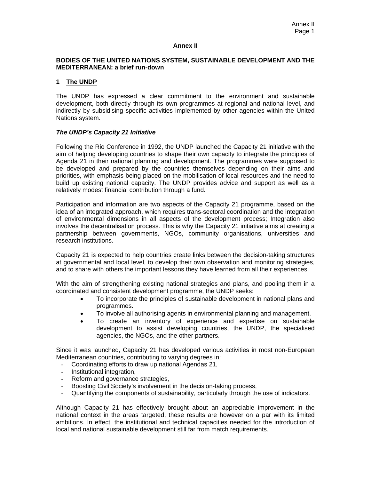#### **Annex II**

## **BODIES OF THE UNITED NATIONS SYSTEM, SUSTAINABLE DEVELOPMENT AND THE MEDITERRANEAN: a brief run-down**

## **1 The UNDP**

The UNDP has expressed a clear commitment to the environment and sustainable development, both directly through its own programmes at regional and national level, and indirectly by subsidising specific activities implemented by other agencies within the United Nations system.

### *The UNDP's Capacity 21 Initiative*

Following the Rio Conference in 1992, the UNDP launched the Capacity 21 initiative with the aim of helping developing countries to shape their own capacity to integrate the principles of Agenda 21 in their national planning and development. The programmes were supposed to be developed and prepared by the countries themselves depending on their aims and priorities, with emphasis being placed on the mobilisation of local resources and the need to build up existing national capacity. The UNDP provides advice and support as well as a relatively modest financial contribution through a fund.

Participation and information are two aspects of the Capacity 21 programme, based on the idea of an integrated approach, which requires trans-sectoral coordination and the integration of environmental dimensions in all aspects of the development process; Integration also involves the decentralisation process. This is why the Capacity 21 initiative aims at creating a partnership between governments, NGOs, community organisations, universities and research institutions.

Capacity 21 is expected to help countries create links between the decision-taking structures at governmental and local level, to develop their own observation and monitoring strategies, and to share with others the important lessons they have learned from all their experiences.

With the aim of strengthening existing national strategies and plans, and pooling them in a coordinated and consistent development programme, the UNDP seeks:

- To incorporate the principles of sustainable development in national plans and programmes.
- To involve all authorising agents in environmental planning and management.
- To create an inventory of experience and expertise on sustainable development to assist developing countries, the UNDP, the specialised agencies, the NGOs, and the other partners.

Since it was launched, Capacity 21 has developed various activities in most non-European Mediterranean countries, contributing to varying degrees in:

- Coordinating efforts to draw up national Agendas 21,
- Institutional integration,
- Reform and governance strategies,
- Boosting Civil Society's involvement in the decision-taking process,
- Quantifying the components of sustainability, particularly through the use of indicators.

Although Capacity 21 has effectively brought about an appreciable improvement in the national context in the areas targeted, these results are however on a par with its limited ambitions. In effect, the institutional and technical capacities needed for the introduction of local and national sustainable development still far from match requirements.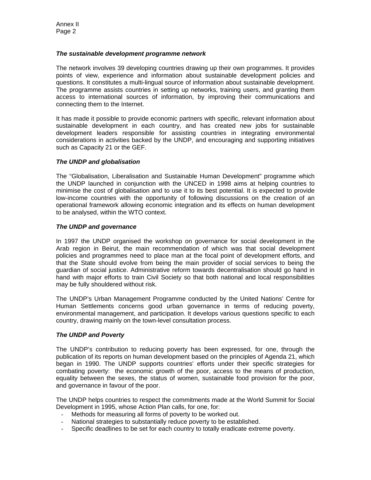# *The sustainable development programme network*

The network involves 39 developing countries drawing up their own programmes. It provides points of view, experience and information about sustainable development policies and questions. It constitutes a multi-lingual source of information about sustainable development. The programme assists countries in setting up networks, training users, and granting them access to international sources of information, by improving their communications and connecting them to the Internet.

It has made it possible to provide economic partners with specific, relevant information about sustainable development in each country, and has created new jobs for sustainable development leaders responsible for assisting countries in integrating environmental considerations in activities backed by the UNDP, and encouraging and supporting initiatives such as Capacity 21 or the GEF.

# *The UNDP and globalisation*

The "Globalisation, Liberalisation and Sustainable Human Development" programme which the UNDP launched in conjunction with the UNCED in 1998 aims at helping countries to minimise the cost of globalisation and to use it to its best potential. It is expected to provide low-income countries with the opportunity of following discussions on the creation of an operational framework allowing economic integration and its effects on human development to be analysed, within the WTO context.

# *The UNDP and governance*

In 1997 the UNDP organised the workshop on governance for social development in the Arab region in Beirut, the main recommendation of which was that social development policies and programmes need to place man at the focal point of development efforts, and that the State should evolve from being the main provider of social services to being the guardian of social justice. Administrative reform towards decentralisation should go hand in hand with major efforts to train Civil Society so that both national and local responsibilities may be fully shouldered without risk.

The UNDP's Urban Management Programme conducted by the United Nations' Centre for Human Settlements concerns good urban governance in terms of reducing poverty, environmental management, and participation. It develops various questions specific to each country, drawing mainly on the town-level consultation process.

### *The UNDP and Poverty*

The UNDP's contribution to reducing poverty has been expressed, for one, through the publication of its reports on human development based on the principles of Agenda 21, which began in 1990. The UNDP supports countries' efforts under their specific strategies for combating poverty: the economic growth of the poor, access to the means of production, equality between the sexes, the status of women, sustainable food provision for the poor, and governance in favour of the poor.

The UNDP helps countries to respect the commitments made at the World Summit for Social Development in 1995, whose Action Plan calls, for one, for:

- Methods for measuring all forms of poverty to be worked out.
- National strategies to substantially reduce poverty to be established.
- Specific deadlines to be set for each country to totally eradicate extreme poverty.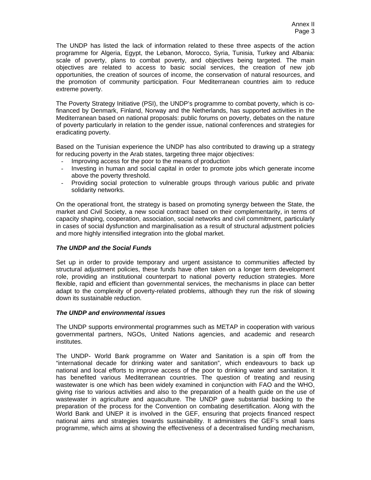The UNDP has listed the lack of information related to these three aspects of the action programme for Algeria, Egypt, the Lebanon, Morocco, Syria, Tunisia, Turkey and Albania: scale of poverty, plans to combat poverty, and objectives being targeted. The main objectives are related to access to basic social services, the creation of new job opportunities, the creation of sources of income, the conservation of natural resources, and the promotion of community participation. Four Mediterranean countries aim to reduce extreme poverty.

The Poverty Strategy Initiative (PSI), the UNDP's programme to combat poverty, which is cofinanced by Denmark, Finland, Norway and the Netherlands, has supported activities in the Mediterranean based on national proposals: public forums on poverty, debates on the nature of poverty particularly in relation to the gender issue, national conferences and strategies for eradicating poverty.

Based on the Tunisian experience the UNDP has also contributed to drawing up a strategy for reducing poverty in the Arab states, targeting three major objectives:

- Improving access for the poor to the means of production
- Investing in human and social capital in order to promote jobs which generate income above the poverty threshold.
- Providing social protection to vulnerable groups through various public and private solidarity networks.

On the operational front, the strategy is based on promoting synergy between the State, the market and Civil Society, a new social contract based on their complementarity, in terms of capacity shaping, cooperation, association, social networks and civil commitment, particularly in cases of social dysfunction and marginalisation as a result of structural adjustment policies and more highly intensified integration into the global market.

# *The UNDP and the Social Funds*

Set up in order to provide temporary and urgent assistance to communities affected by structural adjustment policies, these funds have often taken on a longer term development role, providing an institutional counterpart to national poverty reduction strategies. More flexible, rapid and efficient than governmental services, the mechanisms in place can better adapt to the complexity of poverty-related problems, although they run the risk of slowing down its sustainable reduction.

### *The UNDP and environmental issues*

The UNDP supports environmental programmes such as METAP in cooperation with various governmental partners, NGOs, United Nations agencies, and academic and research institutes.

The UNDP- World Bank programme on Water and Sanitation is a spin off from the "international decade for drinking water and sanitation", which endeavours to back up national and local efforts to improve access of the poor to drinking water and sanitation. It has benefited various Mediterranean countries. The question of treating and reusing wastewater is one which has been widely examined in conjunction with FAO and the WHO, giving rise to various activities and also to the preparation of a health guide on the use of wastewater in agriculture and aquaculture. The UNDP gave substantial backing to the preparation of the process for the Convention on combating desertification. Along with the World Bank and UNEP it is involved in the GEF, ensuring that projects financed respect national aims and strategies towards sustainability. It administers the GEF's small loans programme, which aims at showing the effectiveness of a decentralised funding mechanism,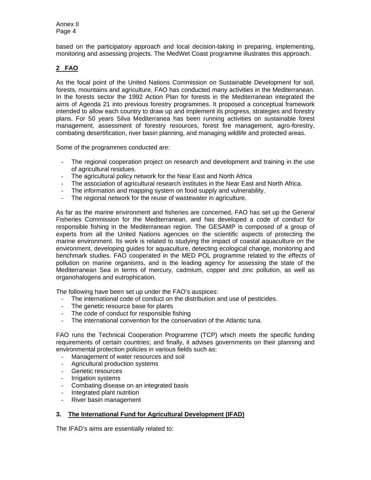Annex II Page 4

based on the participatory approach and local decision-taking in preparing, implementing, monitoring and assessing projects. The MedWet Coast programme illustrates this approach.

# **2 FAO**

As the focal point of the United Nations Commission on Sustainable Development for soil, forests, mountains and agriculture, FAO has conducted many activities in the Mediterranean. In the forests sector the 1992 Action Plan for forests in the Mediterranean integrated the aims of Agenda 21 into previous forestry programmes. It proposed a conceptual framework intended to allow each country to draw up and implement its progress, strategies and forestry plans. For 50 years Silva Mediterranea has been running activities on sustainable forest management, assessment of forestry resources, forest fire management, agro-forestry, combating desertification, river basin planning, and managing wildlife and protected areas.

Some of the programmes conducted are:

- The regional cooperation project on research and development and training in the use of agricultural residues.
- The agricultural policy network for the Near East and North Africa
- The association of agricultural research institutes in the Near East and North Africa.
- The information and mapping system on food supply and vulnerability.
- The regional network for the reuse of wastewater in agriculture.

As far as the marine environment and fisheries are concerned, FAO has set up the General Fisheries Commission for the Mediterranean, and has developed a code of conduct for responsible fishing in the Mediterranean region. The GESAMP is composed of a group of experts from all the United Nations agencies on the scientific aspects of protecting the marine environment. Its work is related to studying the impact of coastal aquaculture on the environment, developing guides for aquaculture, detecting ecological change, monitoring and benchmark studies. FAO cooperated in the MED POL programme related to the effects of pollution on marine organisms, and is the leading agency for assessing the state of the Mediterranean Sea in terms of mercury, cadmium, copper and zinc pollution, as well as organohalogens and eutrophication.

The following have been set up under the FAO's auspices:

- The international code of conduct on the distribution and use of pesticides.
- The genetic resource base for plants
- The code of conduct for responsible fishing
- The international convention for the conservation of the Atlantic tuna.

FAO runs the Technical Cooperation Programme (TCP) which meets the specific funding requirements of certain countries; and finally, it advises governments on their planning and environmental protection policies in various fields such as:

- Management of water resources and soil
- Agricultural production systems
- Genetic resources
- Irrigation systems
- Combating disease on an integrated basis
- Integrated plant nutrition
- River basin management

# **3. The International Fund for Agricultural Development (IFAD)**

The IFAD's aims are essentially related to: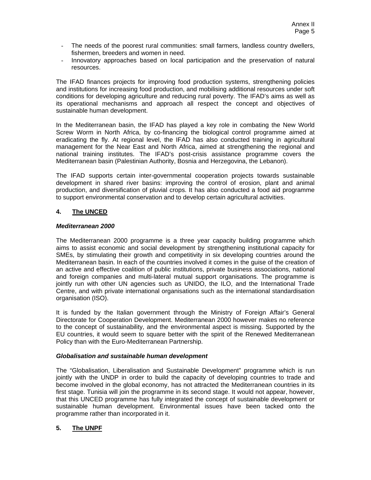- The needs of the poorest rural communities: small farmers, landless country dwellers, fishermen, breeders and women in need.
- Innovatory approaches based on local participation and the preservation of natural resources.

The IFAD finances projects for improving food production systems, strengthening policies and institutions for increasing food production, and mobilising additional resources under soft conditions for developing agriculture and reducing rural poverty. The IFAD's aims as well as its operational mechanisms and approach all respect the concept and objectives of sustainable human development.

In the Mediterranean basin, the IFAD has played a key role in combating the New World Screw Worm in North Africa, by co-financing the biological control programme aimed at eradicating the fly. At regional level, the IFAD has also conducted training in agricultural management for the Near East and North Africa, aimed at strengthening the regional and national training institutes. The IFAD's post-crisis assistance programme covers the Mediterranean basin (Palestinian Authority, Bosnia and Herzegovina, the Lebanon).

The IFAD supports certain inter-governmental cooperation projects towards sustainable development in shared river basins: improving the control of erosion, plant and animal production, and diversification of pluvial crops. It has also conducted a food aid programme to support environmental conservation and to develop certain agricultural activities.

# **4. The UNCED**

# *Mediterranean 2000*

The Mediterranean 2000 programme is a three year capacity building programme which aims to assist economic and social development by strengthening institutional capacity for SMEs, by stimulating their growth and competitivity in six developing countries around the Mediterranean basin. In each of the countries involved it comes in the guise of the creation of an active and effective coalition of public institutions, private business associations, national and foreign companies and multi-lateral mutual support organisations. The programme is jointly run with other UN agencies such as UNIDO, the ILO, and the International Trade Centre, and with private international organisations such as the international standardisation organisation (ISO).

It is funded by the Italian government through the Ministry of Foreign Affair's General Directorate for Cooperation Development. Mediterranean 2000 however makes no reference to the concept of sustainability, and the environmental aspect is missing. Supported by the EU countries, it would seem to square better with the spirit of the Renewed Mediterranean Policy than with the Euro-Mediterranean Partnership.

# *Globalisation and sustainable human development*

The "Globalisation, Liberalisation and Sustainable Development" programme which is run jointly with the UNDP in order to build the capacity of developing countries to trade and become involved in the global economy, has not attracted the Mediterranean countries in its first stage. Tunisia will join the programme in its second stage. It would not appear, however, that this UNCED programme has fully integrated the concept of sustainable development or sustainable human development. Environmental issues have been tacked onto the programme rather than incorporated in it.

# **5. The UNPF**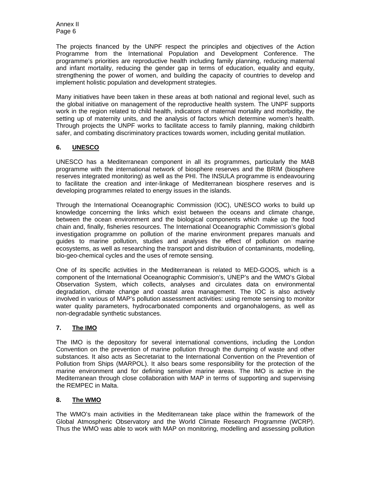Annex II Page 6

The projects financed by the UNPF respect the principles and objectives of the Action Programme from the International Population and Development Conference. The programme's priorities are reproductive health including family planning, reducing maternal and infant mortality, reducing the gender gap in terms of education, equality and equity, strengthening the power of women, and building the capacity of countries to develop and implement holistic population and development strategies.

Many initiatives have been taken in these areas at both national and regional level, such as the global initiative on management of the reproductive health system. The UNPF supports work in the region related to child health, indicators of maternal mortality and morbidity, the setting up of maternity units, and the analysis of factors which determine women's health. Through projects the UNPF works to facilitate access to family planning, making childbirth safer, and combating discriminatory practices towards women, including genital mutilation.

# **6. UNESCO**

UNESCO has a Mediterranean component in all its programmes, particularly the MAB programme with the international network of biosphere reserves and the BRIM (biosphere reserves integrated monitoring) as well as the PHI. The INSULA programme is endeavouring to facilitate the creation and inter-linkage of Mediterranean biosphere reserves and is developing programmes related to energy issues in the islands.

Through the International Oceanographic Commission (IOC), UNESCO works to build up knowledge concerning the links which exist between the oceans and climate change, between the ocean environment and the biological components which make up the food chain and, finally, fisheries resources. The International Oceanographic Commission's global investigation programme on pollution of the marine environment prepares manuals and guides to marine pollution, studies and analyses the effect of pollution on marine ecosystems, as well as researching the transport and distribution of contaminants, modelling, bio-geo-chemical cycles and the uses of remote sensing.

One of its specific activities in the Mediterranean is related to MED-GOOS, which is a component of the International Oceanographic Commision's, UNEP's and the WMO's Global Observation System, which collects, analyses and circulates data on environmental degradation, climate change and coastal area management. The IOC is also actively involved in various of MAP's pollution assessment activities: using remote sensing to monitor water quality parameters, hydrocarbonated components and organohalogens, as well as non-degradable synthetic substances.

# **7. The IMO**

The IMO is the depository for several international conventions, including the London Convention on the prevention of marine pollution through the dumping of waste and other substances. It also acts as Secretariat to the International Convention on the Prevention of Pollution from Ships (MARPOL). It also bears some responsibility for the protection of the marine environment and for defining sensitive marine areas. The IMO is active in the Mediterranean through close collaboration with MAP in terms of supporting and supervising the REMPEC in Malta.

# **8. The WMO**

The WMO's main activities in the Mediterranean take place within the framework of the Global Atmospheric Observatory and the World Climate Research Programme (WCRP). Thus the WMO was able to work with MAP on monitoring, modelling and assessing pollution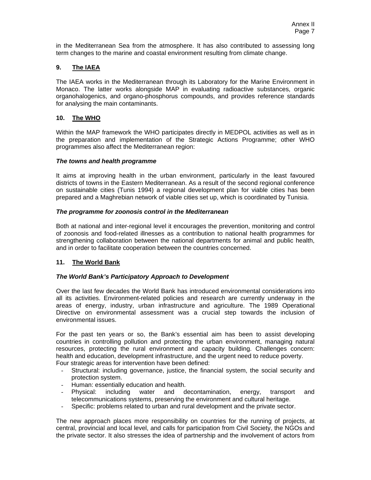in the Mediterranean Sea from the atmosphere. It has also contributed to assessing long term changes to the marine and coastal environment resulting from climate change.

# **9. The IAEA**

The IAEA works in the Mediterranean through its Laboratory for the Marine Environment in Monaco. The latter works alongside MAP in evaluating radioactive substances, organic organohalogenics, and organo-phosphorus compounds, and provides reference standards for analysing the main contaminants.

# **10. The WHO**

Within the MAP framework the WHO participates directly in MEDPOL activities as well as in the preparation and implementation of the Strategic Actions Programme; other WHO programmes also affect the Mediterranean region:

# *The towns and health programme*

It aims at improving health in the urban environment, particularly in the least favoured districts of towns in the Eastern Mediterranean. As a result of the second regional conference on sustainable cities (Tunis 1994) a regional development plan for viable cities has been prepared and a Maghrebian network of viable cities set up, which is coordinated by Tunisia.

# *The programme for zoonosis control in the Mediterranean*

Both at national and inter-regional level it encourages the prevention, monitoring and control of zoonosis and food-related illnesses as a contribution to national health programmes for strengthening collaboration between the national departments for animal and public health, and in order to facilitate cooperation between the countries concerned.

# **11. The World Bank**

# *The World Bank's Participatory Approach to Development*

Over the last few decades the World Bank has introduced environmental considerations into all its activities. Environment-related policies and research are currently underway in the areas of energy, industry, urban infrastructure and agriculture. The 1989 Operational Directive on environmental assessment was a crucial step towards the inclusion of environmental issues.

For the past ten years or so, the Bank's essential aim has been to assist developing countries in controlling pollution and protecting the urban environment, managing natural resources, protecting the rural environment and capacity building. Challenges concern: health and education, development infrastructure, and the urgent need to reduce poverty.

Four strategic areas for intervention have been defined:

- Structural: including governance, justice, the financial system, the social security and protection system.
- Human: essentially education and health.
- Physical: including water and decontamination, energy, transport and telecommunications systems, preserving the environment and cultural heritage.
- Specific: problems related to urban and rural development and the private sector.

The new approach places more responsibility on countries for the running of projects, at central, provincial and local level, and calls for participation from Civil Society, the NGOs and the private sector. It also stresses the idea of partnership and the involvement of actors from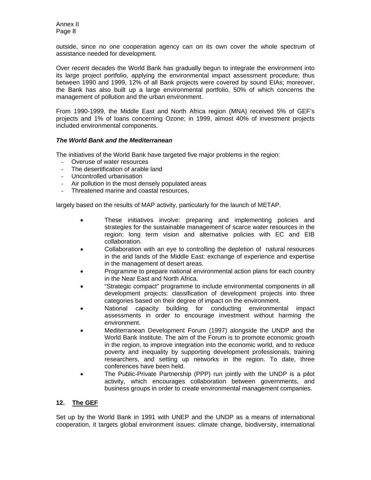outside, since no one cooperation agency can on its own cover the whole spectrum of assistance needed for development.

Over recent decades the World Bank has gradually begun to integrate the environment into its large project portfolio, applying the environmental impact assessment procedure; thus between 1990 and 1999, 12% of all Bank projects were covered by sound EIAs; moreover, the Bank has also built up a large environmental portfolio, 50% of which concerns the management of pollution and the urban environment.

From 1990-1999, the Middle East and North Africa region (MNA) received 5% of GEF's projects and 1% of loans concerning Ozone; in 1999, almost 40% of investment projects included environmental components.

# *The World Bank and the Mediterranean*

The initiatives of the World Bank have targeted five major problems in the region:

- Overuse of water resources
- The desertification of arable land
- Uncontrolled urbanisation
- Air pollution in the most densely populated areas
- Threatened marine and coastal resources,

largely based on the results of MAP activity, particularly for the launch of METAP.

- These initiatives involve: preparing and implementing policies and strategies for the sustainable management of scarce water resources in the region: long term vision and alternative policies with EC and EIB collaboration.
- Collaboration with an eye to controlling the depletion of natural resources in the arid lands of the Middle East: exchange of experience and expertise in the management of desert areas.
- Programme to prepare national environmental action plans for each country in the Near East and North Africa.
- "Strategic compact" programme to include environmental components in all development projects: classification of development projects into three categories based on their degree of impact on the environment.
- National capacity building for conducting environmental impact assessments in order to encourage investment without harming the environment.
- Mediterranean Development Forum (1997) alongside the UNDP and the World Bank Institute. The aim of the Forum is to promote economic growth in the region, to improve integration into the economic world, and to reduce poverty and inequality by supporting development professionals, training researchers, and setting up networks in the region. To date, three conferences have been held.
- The Public-Private Partnership (PPP) run jointly with the UNDP is a pilot activity, which encourages collaboration between governments, and business groups in order to create environmental management companies.

# **12. The GEF**

Set up by the World Bank in 1991 with UNEP and the UNDP as a means of international cooperation, it targets global environment issues: climate change, biodiversity, international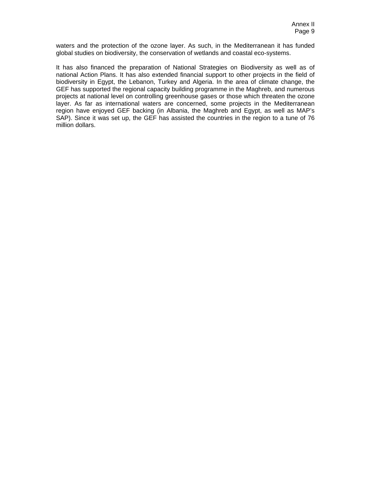waters and the protection of the ozone layer. As such, in the Mediterranean it has funded global studies on biodiversity, the conservation of wetlands and coastal eco-systems.

It has also financed the preparation of National Strategies on Biodiversity as well as of national Action Plans. It has also extended financial support to other projects in the field of biodiversity in Egypt, the Lebanon, Turkey and Algeria. In the area of climate change, the GEF has supported the regional capacity building programme in the Maghreb, and numerous projects at national level on controlling greenhouse gases or those which threaten the ozone layer. As far as international waters are concerned, some projects in the Mediterranean region have enjoyed GEF backing (in Albania, the Maghreb and Egypt, as well as MAP's SAP). Since it was set up, the GEF has assisted the countries in the region to a tune of 76 million dollars.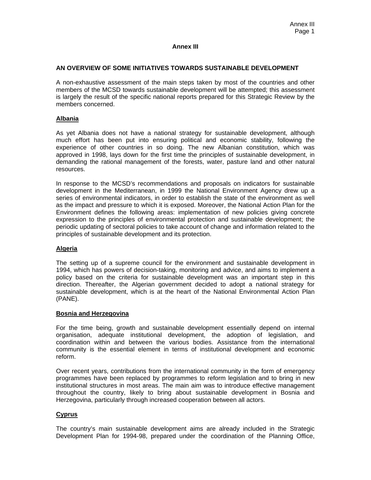#### **Annex III**

## **AN OVERVIEW OF SOME INITIATIVES TOWARDS SUSTAINABLE DEVELOPMENT**

A non-exhaustive assessment of the main steps taken by most of the countries and other members of the MCSD towards sustainable development will be attempted; this assessment is largely the result of the specific national reports prepared for this Strategic Review by the members concerned.

### **Albania**

As yet Albania does not have a national strategy for sustainable development, although much effort has been put into ensuring political and economic stability, following the experience of other countries in so doing. The new Albanian constitution, which was approved in 1998, lays down for the first time the principles of sustainable development, in demanding the rational management of the forests, water, pasture land and other natural resources.

In response to the MCSD's recommendations and proposals on indicators for sustainable development in the Mediterranean, in 1999 the National Environment Agency drew up a series of environmental indicators, in order to establish the state of the environment as well as the impact and pressure to which it is exposed. Moreover, the National Action Plan for the Environment defines the following areas: implementation of new policies giving concrete expression to the principles of environmental protection and sustainable development; the periodic updating of sectoral policies to take account of change and information related to the principles of sustainable development and its protection.

### **Algeria**

The setting up of a supreme council for the environment and sustainable development in 1994, which has powers of decision-taking, monitoring and advice, and aims to implement a policy based on the criteria for sustainable development was an important step in this direction. Thereafter, the Algerian government decided to adopt a national strategy for sustainable development, which is at the heart of the National Environmental Action Plan (PANE).

### **Bosnia and Herzegovina**

For the time being, growth and sustainable development essentially depend on internal organisation, adequate institutional development, the adoption of legislation, and coordination within and between the various bodies. Assistance from the international community is the essential element in terms of institutional development and economic reform.

Over recent years, contributions from the international community in the form of emergency programmes have been replaced by programmes to reform legislation and to bring in new institutional structures in most areas. The main aim was to introduce effective management throughout the country, likely to bring about sustainable development in Bosnia and Herzegovina, particularly through increased cooperation between all actors.

### **Cyprus**

The country's main sustainable development aims are already included in the Strategic Development Plan for 1994-98, prepared under the coordination of the Planning Office,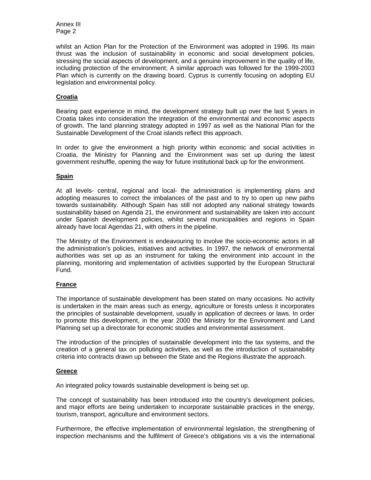Annex III Page 2

whilst an Action Plan for the Protection of the Environment was adopted in 1996. Its main thrust was the inclusion of sustainability in economic and social development policies, stressing the social aspects of development, and a genuine improvement in the quality of life, including protection of the environment; A similar approach was followed for the 1999-2003 Plan which is currently on the drawing board. Cyprus is currently focusing on adopting EU legislation and environmental policy.

# **Croatia**

Bearing past experience in mind, the development strategy built up over the last 5 years in Croatia takes into consideration the integration of the environmental and economic aspects of growth. The land planning strategy adopted in 1997 as well as the National Plan for the Sustainable Development of the Croat islands reflect this approach.

In order to give the environment a high priority within economic and social activities in Croatia, the Ministry for Planning and the Environment was set up during the latest government reshuffle, opening the way for future institutional back up for the environment.

# **Spain**

At all levels- central, regional and local- the administration is implementing plans and adopting measures to correct the imbalances of the past and to try to open up new paths towards sustainability. Although Spain has still not adopted any national strategy towards sustainability based on Agenda 21, the environment and sustainability are taken into account under Spanish development policies, whilst several municipalities and regions in Spain already have local Agendas 21, with others in the pipeline.

The Ministry of the Environment is endeavouring to involve the socio-economic actors in all the administration's policies, initiatives and activities. In 1997, the network of environmental authorities was set up as an instrument for taking the environment into account in the planning, monitoring and implementation of activities supported by the European Structural Fund.

### **France**

The importance of sustainable development has been stated on many occasions. No activity is undertaken in the main areas such as energy, agriculture or forests unless it incorporates the principles of sustainable development, usually in application of decrees or laws. In order to promote this development, in the year 2000 the Ministry for the Environment and Land Planning set up a directorate for economic studies and environmental assessment.

The introduction of the principles of sustainable development into the tax systems, and the creation of a general tax on polluting activities, as well as the introduction of sustainability criteria into contracts drawn up between the State and the Regions illustrate the approach.

### **Greece**

An integrated policy towards sustainable development is being set up.

The concept of sustainability has been introduced into the country's development policies, and major efforts are being undertaken to incorporate sustainable practices in the energy, tourism, transport, agriculture and environment sectors.

Furthermore, the effective implementation of environmental legislation, the strengthening of inspection mechanisms and the fulfilment of Greece's obligations vis a vis the international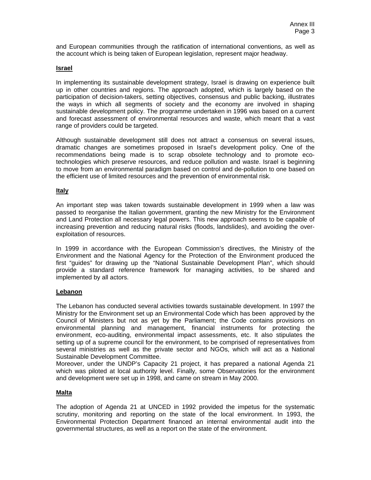and European communities through the ratification of international conventions, as well as the account which is being taken of European legislation, represent major headway.

# **Israel**

In implementing its sustainable development strategy, Israel is drawing on experience built up in other countries and regions. The approach adopted, which is largely based on the participation of decision-takers, setting objectives, consensus and public backing, illustrates the ways in which all segments of society and the economy are involved in shaping sustainable development policy. The programme undertaken in 1996 was based on a current and forecast assessment of environmental resources and waste, which meant that a vast range of providers could be targeted.

Although sustainable development still does not attract a consensus on several issues, dramatic changes are sometimes proposed in Israel's development policy. One of the recommendations being made is to scrap obsolete technology and to promote ecotechnologies which preserve resources, and reduce pollution and waste. Israel is beginning to move from an environmental paradigm based on control and de-pollution to one based on the efficient use of limited resources and the prevention of environmental risk.

# **Italy**

An important step was taken towards sustainable development in 1999 when a law was passed to reorganise the Italian government, granting the new Ministry for the Environment and Land Protection all necessary legal powers. This new approach seems to be capable of increasing prevention and reducing natural risks (floods, landslides), and avoiding the overexploitation of resources.

In 1999 in accordance with the European Commission's directives, the Ministry of the Environment and the National Agency for the Protection of the Environment produced the first "guides" for drawing up the "National Sustainable Development Plan", which should provide a standard reference framework for managing activities, to be shared and implemented by all actors.

### **Lebanon**

The Lebanon has conducted several activities towards sustainable development. In 1997 the Ministry for the Environment set up an Environmental Code which has been approved by the Council of Ministers but not as yet by the Parliament; the Code contains provisions on environmental planning and management, financial instruments for protecting the environment, eco-auditing, environmental impact assessments, etc. It also stipulates the setting up of a supreme council for the environment, to be comprised of representatives from several ministries as well as the private sector and NGOs, which will act as a National Sustainable Development Committee.

Moreover, under the UNDP's Capacity 21 project, it has prepared a national Agenda 21 which was piloted at local authority level. Finally, some Observatories for the environment and development were set up in 1998, and came on stream in May 2000.

### **Malta**

The adoption of Agenda 21 at UNCED in 1992 provided the impetus for the systematic scrutiny, monitoring and reporting on the state of the local environment. In 1993, the Environmental Protection Department financed an internal environmental audit into the governmental structures, as well as a report on the state of the environment.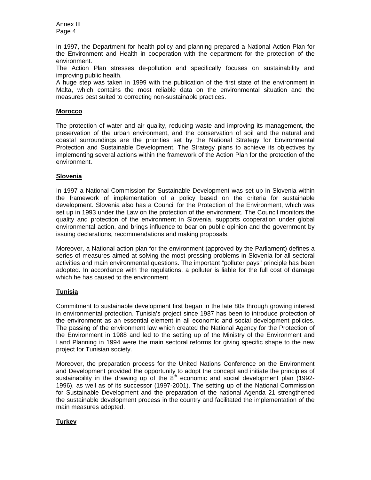Annex III Page 4

In 1997, the Department for health policy and planning prepared a National Action Plan for the Environment and Health in cooperation with the department for the protection of the environment.

The Action Plan stresses de-pollution and specifically focuses on sustainability and improving public health.

A huge step was taken in 1999 with the publication of the first state of the environment in Malta, which contains the most reliable data on the environmental situation and the measures best suited to correcting non-sustainable practices.

## **Morocco**

The protection of water and air quality, reducing waste and improving its management, the preservation of the urban environment, and the conservation of soil and the natural and coastal surroundings are the priorities set by the National Strategy for Environmental Protection and Sustainable Development. The Strategy plans to achieve its objectives by implementing several actions within the framework of the Action Plan for the protection of the environment.

## **Slovenia**

In 1997 a National Commission for Sustainable Development was set up in Slovenia within the framework of implementation of a policy based on the criteria for sustainable development. Slovenia also has a Council for the Protection of the Environment, which was set up in 1993 under the Law on the protection of the environment. The Council monitors the quality and protection of the environment in Slovenia, supports cooperation under global environmental action, and brings influence to bear on public opinion and the government by issuing declarations, recommendations and making proposals.

Moreover, a National action plan for the environment (approved by the Parliament) defines a series of measures aimed at solving the most pressing problems in Slovenia for all sectoral activities and main environmental questions. The important "polluter pays" principle has been adopted. In accordance with the regulations, a polluter is liable for the full cost of damage which he has caused to the environment.

### **Tunisia**

Commitment to sustainable development first began in the late 80s through growing interest in environmental protection. Tunisia's project since 1987 has been to introduce protection of the environment as an essential element in all economic and social development policies. The passing of the environment law which created the National Agency for the Protection of the Environment in 1988 and led to the setting up of the Ministry of the Environment and Land Planning in 1994 were the main sectoral reforms for giving specific shape to the new project for Tunisian society.

Moreover, the preparation process for the United Nations Conference on the Environment and Development provided the opportunity to adopt the concept and initiate the principles of sustainability in the drawing up of the  $8<sup>th</sup>$  economic and social development plan (1992-1996), as well as of its successor (1997-2001). The setting up of the National Commission for Sustainable Development and the preparation of the national Agenda 21 strengthened the sustainable development process in the country and facilitated the implementation of the main measures adopted.

# **Turkey**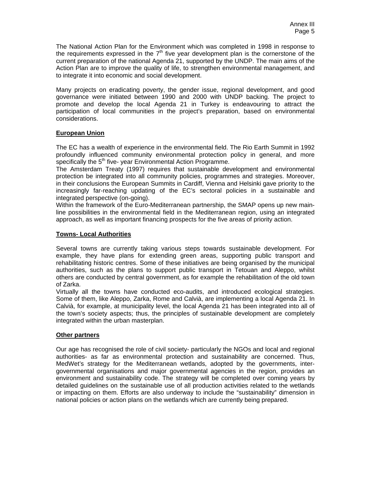The National Action Plan for the Environment which was completed in 1998 in response to the requirements expressed in the  $7<sup>th</sup>$  five year development plan is the cornerstone of the current preparation of the national Agenda 21, supported by the UNDP. The main aims of the Action Plan are to improve the quality of life, to strengthen environmental management, and to integrate it into economic and social development.

Many projects on eradicating poverty, the gender issue, regional development, and good governance were initiated between 1990 and 2000 with UNDP backing. The project to promote and develop the local Agenda 21 in Turkey is endeavouring to attract the participation of local communities in the project's preparation, based on environmental considerations.

# **European Union**

The EC has a wealth of experience in the environmental field. The Rio Earth Summit in 1992 profoundly influenced community environmental protection policy in general, and more specifically the 5<sup>th</sup> five- year Environmental Action Programme.

The Amsterdam Treaty (1997) requires that sustainable development and environmental protection be integrated into all community policies, programmes and strategies. Moreover, in their conclusions the European Summits in Cardiff, Vienna and Helsinki gave priority to the increasingly far-reaching updating of the EC's sectoral policies in a sustainable and integrated perspective (on-going).

Within the framework of the Euro-Mediterranean partnership, the SMAP opens up new mainline possibilities in the environmental field in the Mediterranean region, using an integrated approach, as well as important financing prospects for the five areas of priority action.

## **Towns- Local Authorities**

Several towns are currently taking various steps towards sustainable development. For example, they have plans for extending green areas, supporting public transport and rehabilitating historic centres. Some of these initiatives are being organised by the municipal authorities, such as the plans to support public transport in Tetouan and Aleppo, whilst others are conducted by central government, as for example the rehabilitation of the old town of Zarka.

Virtually all the towns have conducted eco-audits, and introduced ecological strategies. Some of them, like Aleppo, Zarka, Rome and Calvià, are implementing a local Agenda 21. In Calvià, for example, at municipality level, the local Agenda 21 has been integrated into all of the town's society aspects; thus, the principles of sustainable development are completely integrated within the urban masterplan.

### **Other partners**

Our age has recognised the role of civil society- particularly the NGOs and local and regional authorities- as far as environmental protection and sustainability are concerned. Thus, MedWet's strategy for the Mediterranean wetlands, adopted by the governments, intergovernmental organisations and major governmental agencies in the region, provides an environment and sustainability code. The strategy will be completed over coming years by detailed guidelines on the sustainable use of all production activities related to the wetlands or impacting on them. Efforts are also underway to include the "sustainability" dimension in national policies or action plans on the wetlands which are currently being prepared.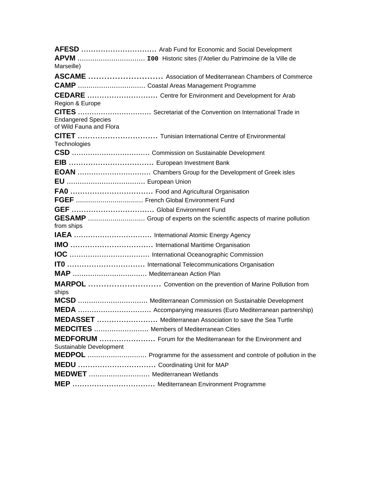| APVM  100 Historic sites (l'Atelier du Patrimoine de la Ville de                                  |
|---------------------------------------------------------------------------------------------------|
| Marseille)                                                                                        |
| ASCAME  Association of Mediterranean Chambers of Commerce                                         |
| CAMP  Coastal Areas Management Programme                                                          |
| CEDARE  Centre for Environment and Development for Arab                                           |
| Region & Europe                                                                                   |
| <b>CITES</b> Secretariat of the Convention on International Trade in<br><b>Endangered Species</b> |
| of Wild Fauna and Flora                                                                           |
| CITET  Tunisian International Centre of Environmental                                             |
| Technologies                                                                                      |
|                                                                                                   |
| EIB  European Investment Bank                                                                     |
|                                                                                                   |
|                                                                                                   |
|                                                                                                   |
|                                                                                                   |
| GEF  Global Environment Fund                                                                      |
| GESAMP  Group of experts on the scientific aspects of marine pollution<br>from ships              |
|                                                                                                   |
|                                                                                                   |
|                                                                                                   |
|                                                                                                   |
| ITO  International Telecommunications Organisation                                                |
| <b>MAP</b> Mediterranean Action Plan                                                              |
| MARPOL  Convention on the prevention of Marine Pollution from<br>ships                            |
| MCSD  Mediterranean Commission on Sustainable Development                                         |
| MEDA  Accompanying measures (Euro Mediterranean partnership)                                      |
| <b>MEDASSET</b> Mediterranean Association to save the Sea Turtle                                  |
| MEDCITES  Members of Mediterranean Cities                                                         |
| MEDFORUM  Forum for the Mediterranean for the Environment and                                     |
| Sustainable Development                                                                           |
|                                                                                                   |
| MEDU  Coordinating Unit for MAP                                                                   |
| MEDWET  Mediterranean Wetlands                                                                    |
| MEP  Mediterranean Environment Programme                                                          |
|                                                                                                   |